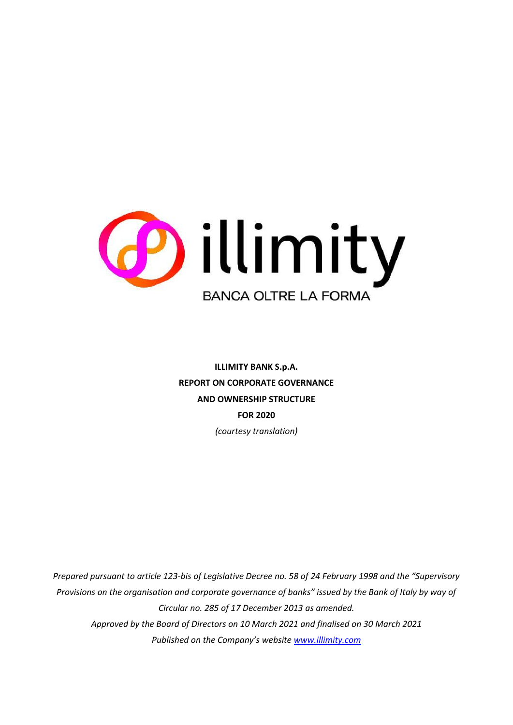

**ILLIMITY BANK S.p.A. REPORT ON CORPORATE GOVERNANCE AND OWNERSHIP STRUCTURE FOR 2020** *(courtesy translation)*

*Prepared pursuant to article 123-bis of Legislative Decree no. 58 of 24 February 1998 and the "Supervisory Provisions on the organisation and corporate governance of banks" issued by the Bank of Italy by way of Circular no. 285 of 17 December 2013 as amended. Approved by the Board of Directors on 10 March 2021 and finalised on 30 March 2021 Published on the Company's website [www.illimity.com](http://www.illimity.com/)*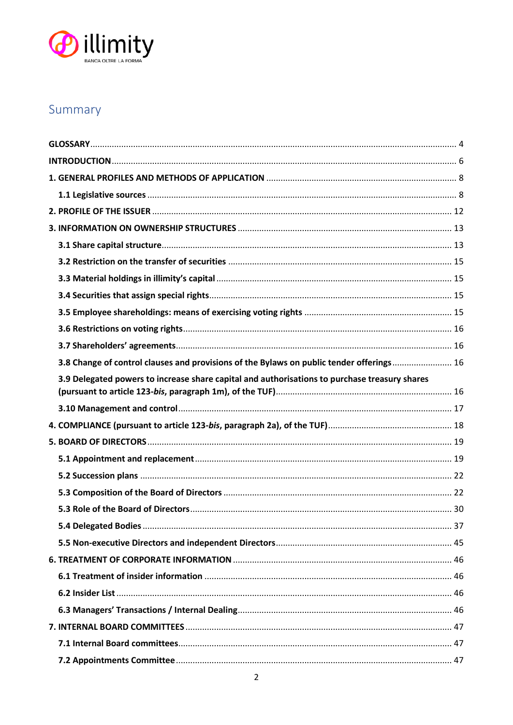

# Summary

| 3.8 Change of control clauses and provisions of the Bylaws on public tender offerings 16      |  |
|-----------------------------------------------------------------------------------------------|--|
| 3.9 Delegated powers to increase share capital and authorisations to purchase treasury shares |  |
|                                                                                               |  |
|                                                                                               |  |
|                                                                                               |  |
|                                                                                               |  |
|                                                                                               |  |
|                                                                                               |  |
|                                                                                               |  |
|                                                                                               |  |
|                                                                                               |  |
|                                                                                               |  |
|                                                                                               |  |
|                                                                                               |  |
|                                                                                               |  |
|                                                                                               |  |
|                                                                                               |  |
|                                                                                               |  |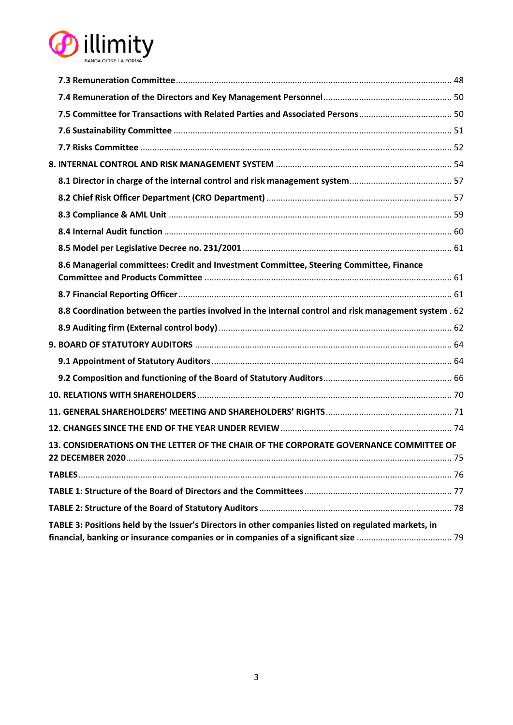

| 8.6 Managerial committees: Credit and Investment Committee, Steering Committee, Finance                            |    |
|--------------------------------------------------------------------------------------------------------------------|----|
|                                                                                                                    |    |
| 8.8 Coordination between the parties involved in the internal control and risk management system . 62              |    |
|                                                                                                                    |    |
|                                                                                                                    |    |
|                                                                                                                    |    |
|                                                                                                                    |    |
|                                                                                                                    |    |
|                                                                                                                    |    |
|                                                                                                                    |    |
| 13. CONSIDERATIONS ON THE LETTER OF THE CHAIR OF THE CORPORATE GOVERNANCE COMMITTEE OF<br><b>22 DECEMBER 2020.</b> | 75 |
|                                                                                                                    |    |
|                                                                                                                    |    |
|                                                                                                                    |    |
| TABLE 3: Positions held by the Issuer's Directors in other companies listed on regulated markets, in               |    |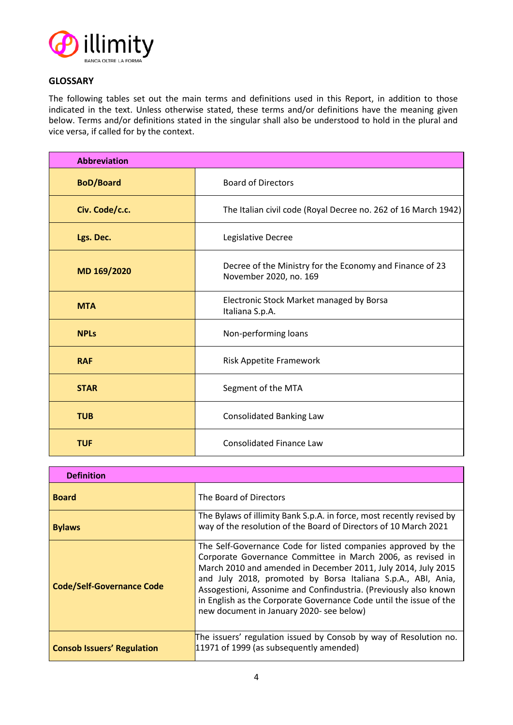

# <span id="page-3-0"></span>**GLOSSARY**

The following tables set out the main terms and definitions used in this Report, in addition to those indicated in the text. Unless otherwise stated, these terms and/or definitions have the meaning given below. Terms and/or definitions stated in the singular shall also be understood to hold in the plural and vice versa, if called for by the context.

| <b>Abbreviation</b> |                                                                                    |  |
|---------------------|------------------------------------------------------------------------------------|--|
| <b>BoD/Board</b>    | <b>Board of Directors</b>                                                          |  |
| Civ. Code/c.c.      | The Italian civil code (Royal Decree no. 262 of 16 March 1942)                     |  |
| Lgs. Dec.           | Legislative Decree                                                                 |  |
| MD 169/2020         | Decree of the Ministry for the Economy and Finance of 23<br>November 2020, no. 169 |  |
| <b>MTA</b>          | Electronic Stock Market managed by Borsa<br>Italiana S.p.A.                        |  |
| <b>NPLs</b>         | Non-performing loans                                                               |  |
| <b>RAF</b>          | <b>Risk Appetite Framework</b>                                                     |  |
| <b>STAR</b>         | Segment of the MTA                                                                 |  |
| <b>TUB</b>          | <b>Consolidated Banking Law</b>                                                    |  |
| <b>TUF</b>          | <b>Consolidated Finance Law</b>                                                    |  |

| <b>Definition</b>                 |                                                                                                                                                                                                                                                                                                                                                                                                                                                     |
|-----------------------------------|-----------------------------------------------------------------------------------------------------------------------------------------------------------------------------------------------------------------------------------------------------------------------------------------------------------------------------------------------------------------------------------------------------------------------------------------------------|
| <b>Board</b>                      | The Board of Directors                                                                                                                                                                                                                                                                                                                                                                                                                              |
| <b>Bylaws</b>                     | The Bylaws of illimity Bank S.p.A. in force, most recently revised by<br>way of the resolution of the Board of Directors of 10 March 2021                                                                                                                                                                                                                                                                                                           |
| <b>Code/Self-Governance Code</b>  | The Self-Governance Code for listed companies approved by the<br>Corporate Governance Committee in March 2006, as revised in<br>March 2010 and amended in December 2011, July 2014, July 2015<br>and July 2018, promoted by Borsa Italiana S.p.A., ABI, Ania,<br>Assogestioni, Assonime and Confindustria. (Previously also known<br>in English as the Corporate Governance Code until the issue of the<br>new document in January 2020- see below) |
| <b>Consob Issuers' Regulation</b> | The issuers' regulation issued by Consob by way of Resolution no.<br>11971 of 1999 (as subsequently amended)                                                                                                                                                                                                                                                                                                                                        |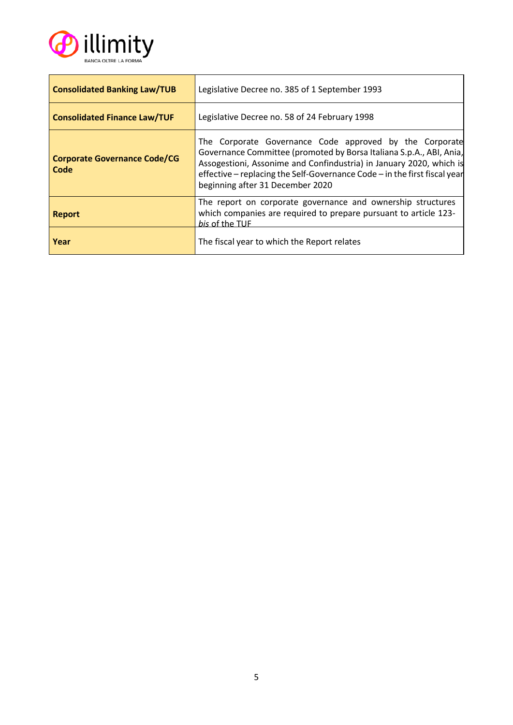

| <b>Consolidated Banking Law/TUB</b>         | Legislative Decree no. 385 of 1 September 1993                                                                                                                                                                                                                                                                         |  |
|---------------------------------------------|------------------------------------------------------------------------------------------------------------------------------------------------------------------------------------------------------------------------------------------------------------------------------------------------------------------------|--|
| <b>Consolidated Finance Law/TUF</b>         | Legislative Decree no. 58 of 24 February 1998                                                                                                                                                                                                                                                                          |  |
| <b>Corporate Governance Code/CG</b><br>Code | The Corporate Governance Code approved by the Corporate<br>Governance Committee (promoted by Borsa Italiana S.p.A., ABI, Ania,<br>Assogestioni, Assonime and Confindustria) in January 2020, which is<br>effective – replacing the Self-Governance Code – in the first fiscal year<br>beginning after 31 December 2020 |  |
| <b>Report</b>                               | The report on corporate governance and ownership structures<br>which companies are required to prepare pursuant to article 123-<br>his of the TUF                                                                                                                                                                      |  |
| Year                                        | The fiscal year to which the Report relates                                                                                                                                                                                                                                                                            |  |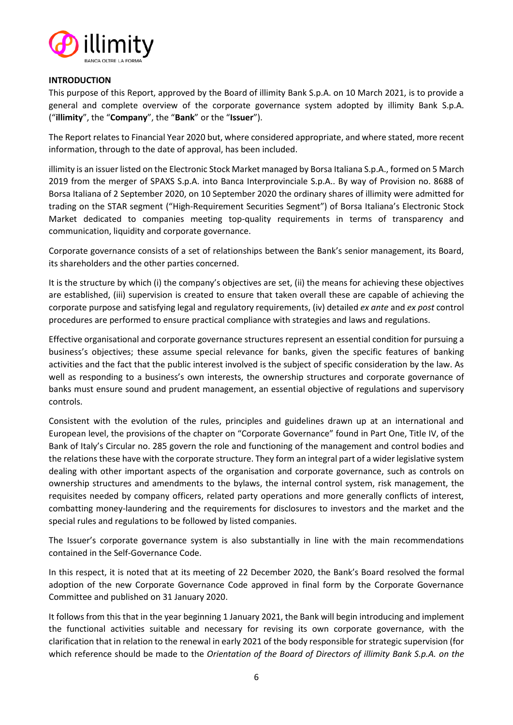

#### <span id="page-5-0"></span>**INTRODUCTION**

This purpose of this Report, approved by the Board of illimity Bank S.p.A. on 10 March 2021, is to provide a general and complete overview of the corporate governance system adopted by illimity Bank S.p.A. ("**illimity**", the "**Company**", the "**Bank**" or the "**Issuer**").

The Report relates to Financial Year 2020 but, where considered appropriate, and where stated, more recent information, through to the date of approval, has been included.

illimity is an issuer listed on the Electronic Stock Market managed by Borsa Italiana S.p.A., formed on 5 March 2019 from the merger of SPAXS S.p.A. into Banca Interprovinciale S.p.A.. By way of Provision no. 8688 of Borsa Italiana of 2 September 2020, on 10 September 2020 the ordinary shares of illimity were admitted for trading on the STAR segment ("High-Requirement Securities Segment") of Borsa Italiana's Electronic Stock Market dedicated to companies meeting top-quality requirements in terms of transparency and communication, liquidity and corporate governance.

Corporate governance consists of a set of relationships between the Bank's senior management, its Board, its shareholders and the other parties concerned.

It is the structure by which (i) the company's objectives are set, (ii) the means for achieving these objectives are established, (iii) supervision is created to ensure that taken overall these are capable of achieving the corporate purpose and satisfying legal and regulatory requirements, (iv) detailed *ex ante* and *ex post* control procedures are performed to ensure practical compliance with strategies and laws and regulations.

Effective organisational and corporate governance structures represent an essential condition for pursuing a business's objectives; these assume special relevance for banks, given the specific features of banking activities and the fact that the public interest involved is the subject of specific consideration by the law. As well as responding to a business's own interests, the ownership structures and corporate governance of banks must ensure sound and prudent management, an essential objective of regulations and supervisory controls.

Consistent with the evolution of the rules, principles and guidelines drawn up at an international and European level, the provisions of the chapter on "Corporate Governance" found in Part One, Title IV, of the Bank of Italy's Circular no. 285 govern the role and functioning of the management and control bodies and the relations these have with the corporate structure. They form an integral part of a wider legislative system dealing with other important aspects of the organisation and corporate governance, such as controls on ownership structures and amendments to the bylaws, the internal control system, risk management, the requisites needed by company officers, related party operations and more generally conflicts of interest, combatting money-laundering and the requirements for disclosures to investors and the market and the special rules and regulations to be followed by listed companies.

The Issuer's corporate governance system is also substantially in line with the main recommendations contained in the Self-Governance Code.

In this respect, it is noted that at its meeting of 22 December 2020, the Bank's Board resolved the formal adoption of the new Corporate Governance Code approved in final form by the Corporate Governance Committee and published on 31 January 2020.

It follows from this that in the year beginning 1 January 2021, the Bank will begin introducing and implement the functional activities suitable and necessary for revising its own corporate governance, with the clarification that in relation to the renewal in early 2021 of the body responsible for strategic supervision (for which reference should be made to the *Orientation of the Board of Directors of illimity Bank S.p.A. on the*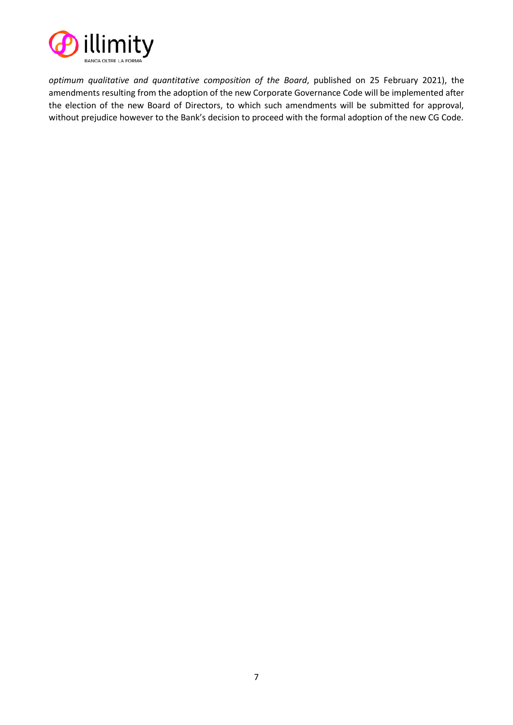

*optimum qualitative and quantitative composition of the Board*, published on 25 February 2021), the amendments resulting from the adoption of the new Corporate Governance Code will be implemented after the election of the new Board of Directors, to which such amendments will be submitted for approval, without prejudice however to the Bank's decision to proceed with the formal adoption of the new CG Code.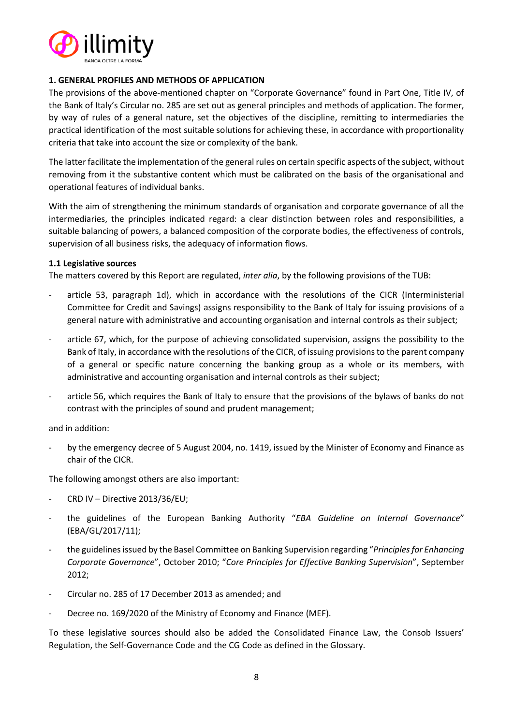

#### <span id="page-7-0"></span>**1. GENERAL PROFILES AND METHODS OF APPLICATION**

The provisions of the above-mentioned chapter on "Corporate Governance" found in Part One, Title IV, of the Bank of Italy's Circular no. 285 are set out as general principles and methods of application. The former, by way of rules of a general nature, set the objectives of the discipline, remitting to intermediaries the practical identification of the most suitable solutions for achieving these, in accordance with proportionality criteria that take into account the size or complexity of the bank.

The latter facilitate the implementation of the general rules on certain specific aspects of the subject, without removing from it the substantive content which must be calibrated on the basis of the organisational and operational features of individual banks.

With the aim of strengthening the minimum standards of organisation and corporate governance of all the intermediaries, the principles indicated regard: a clear distinction between roles and responsibilities, a suitable balancing of powers, a balanced composition of the corporate bodies, the effectiveness of controls, supervision of all business risks, the adequacy of information flows.

#### <span id="page-7-1"></span>**1.1 Legislative sources**

The matters covered by this Report are regulated, *inter alia*, by the following provisions of the TUB:

- article 53, paragraph 1d), which in accordance with the resolutions of the CICR (Interministerial Committee for Credit and Savings) assigns responsibility to the Bank of Italy for issuing provisions of a general nature with administrative and accounting organisation and internal controls as their subject;
- article 67, which, for the purpose of achieving consolidated supervision, assigns the possibility to the Bank of Italy, in accordance with the resolutions of the CICR, of issuing provisions to the parent company of a general or specific nature concerning the banking group as a whole or its members, with administrative and accounting organisation and internal controls as their subject;
- article 56, which requires the Bank of Italy to ensure that the provisions of the bylaws of banks do not contrast with the principles of sound and prudent management;

and in addition:

by the emergency decree of 5 August 2004, no. 1419, issued by the Minister of Economy and Finance as chair of the CICR.

The following amongst others are also important:

- CRD IV Directive 2013/36/EU;
- the guidelines of the European Banking Authority "*EBA Guideline on Internal Governance*" (EBA/GL/2017/11);
- the guidelines issued by the Basel Committee on Banking Supervision regarding "*Principles for Enhancing Corporate Governance*", October 2010; "*Core Principles for Effective Banking Supervision*", September 2012;
- Circular no. 285 of 17 December 2013 as amended; and
- Decree no. 169/2020 of the Ministry of Economy and Finance (MEF).

To these legislative sources should also be added the Consolidated Finance Law, the Consob Issuers' Regulation, the Self-Governance Code and the CG Code as defined in the Glossary.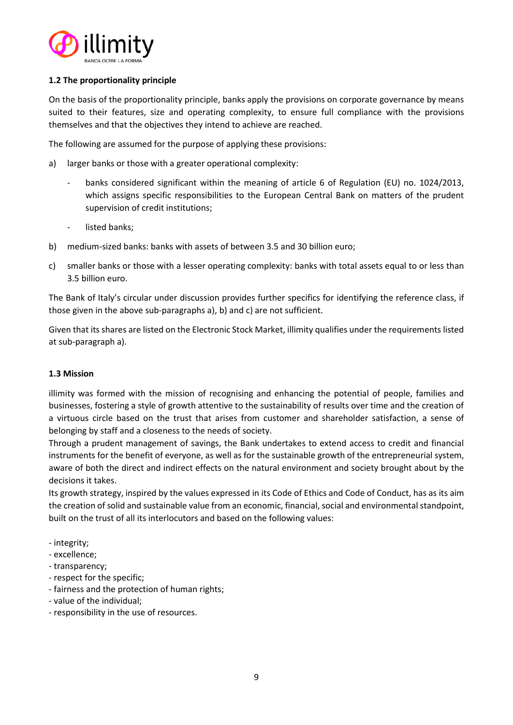

# **1.2 The proportionality principle**

On the basis of the proportionality principle, banks apply the provisions on corporate governance by means suited to their features, size and operating complexity, to ensure full compliance with the provisions themselves and that the objectives they intend to achieve are reached.

The following are assumed for the purpose of applying these provisions:

- a) larger banks or those with a greater operational complexity:
	- banks considered significant within the meaning of article 6 of Regulation (EU) no. 1024/2013, which assigns specific responsibilities to the European Central Bank on matters of the prudent supervision of credit institutions;
	- listed banks;
- b) medium-sized banks: banks with assets of between 3.5 and 30 billion euro;
- c) smaller banks or those with a lesser operating complexity: banks with total assets equal to or less than 3.5 billion euro.

The Bank of Italy's circular under discussion provides further specifics for identifying the reference class, if those given in the above sub-paragraphs a), b) and c) are not sufficient.

Given that its shares are listed on the Electronic Stock Market, illimity qualifies under the requirements listed at sub-paragraph a).

#### **1.3 Mission**

illimity was formed with the mission of recognising and enhancing the potential of people, families and businesses, fostering a style of growth attentive to the sustainability of results over time and the creation of a virtuous circle based on the trust that arises from customer and shareholder satisfaction, a sense of belonging by staff and a closeness to the needs of society.

Through a prudent management of savings, the Bank undertakes to extend access to credit and financial instruments for the benefit of everyone, as well as for the sustainable growth of the entrepreneurial system, aware of both the direct and indirect effects on the natural environment and society brought about by the decisions it takes.

Its growth strategy, inspired by the values expressed in its Code of Ethics and Code of Conduct, has as its aim the creation of solid and sustainable value from an economic, financial, social and environmental standpoint, built on the trust of all its interlocutors and based on the following values:

- integrity;
- excellence;
- transparency;
- respect for the specific;
- fairness and the protection of human rights;
- value of the individual;
- responsibility in the use of resources.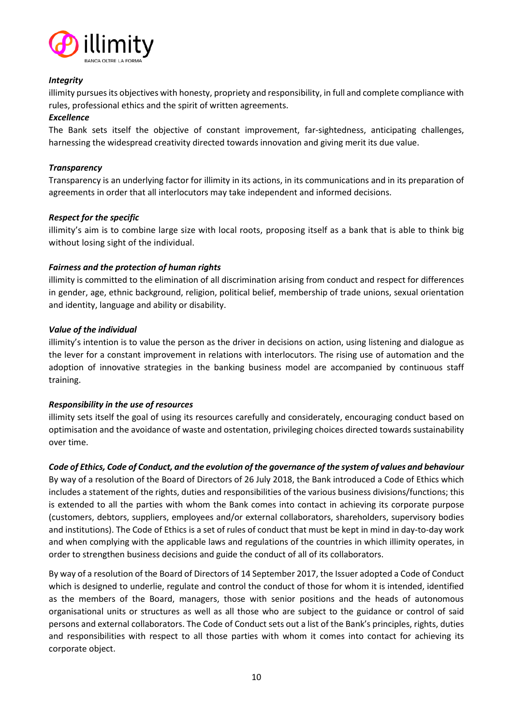

## *Integrity*

illimity pursues its objectives with honesty, propriety and responsibility, in full and complete compliance with rules, professional ethics and the spirit of written agreements.

## *Excellence*

The Bank sets itself the objective of constant improvement, far-sightedness, anticipating challenges, harnessing the widespread creativity directed towards innovation and giving merit its due value.

# *Transparency*

Transparency is an underlying factor for illimity in its actions, in its communications and in its preparation of agreements in order that all interlocutors may take independent and informed decisions.

# *Respect for the specific*

illimity's aim is to combine large size with local roots, proposing itself as a bank that is able to think big without losing sight of the individual.

# *Fairness and the protection of human rights*

illimity is committed to the elimination of all discrimination arising from conduct and respect for differences in gender, age, ethnic background, religion, political belief, membership of trade unions, sexual orientation and identity, language and ability or disability.

# *Value of the individual*

illimity's intention is to value the person as the driver in decisions on action, using listening and dialogue as the lever for a constant improvement in relations with interlocutors. The rising use of automation and the adoption of innovative strategies in the banking business model are accompanied by continuous staff training.

# *Responsibility in the use of resources*

illimity sets itself the goal of using its resources carefully and considerately, encouraging conduct based on optimisation and the avoidance of waste and ostentation, privileging choices directed towards sustainability over time.

#### *Code of Ethics, Code of Conduct, and the evolution of the governance of the system of values and behaviour*

By way of a resolution of the Board of Directors of 26 July 2018, the Bank introduced a Code of Ethics which includes a statement of the rights, duties and responsibilities of the various business divisions/functions; this is extended to all the parties with whom the Bank comes into contact in achieving its corporate purpose (customers, debtors, suppliers, employees and/or external collaborators, shareholders, supervisory bodies and institutions). The Code of Ethics is a set of rules of conduct that must be kept in mind in day-to-day work and when complying with the applicable laws and regulations of the countries in which illimity operates, in order to strengthen business decisions and guide the conduct of all of its collaborators.

By way of a resolution of the Board of Directors of 14 September 2017, the Issuer adopted a Code of Conduct which is designed to underlie, regulate and control the conduct of those for whom it is intended, identified as the members of the Board, managers, those with senior positions and the heads of autonomous organisational units or structures as well as all those who are subject to the guidance or control of said persons and external collaborators. The Code of Conduct sets out a list of the Bank's principles, rights, duties and responsibilities with respect to all those parties with whom it comes into contact for achieving its corporate object.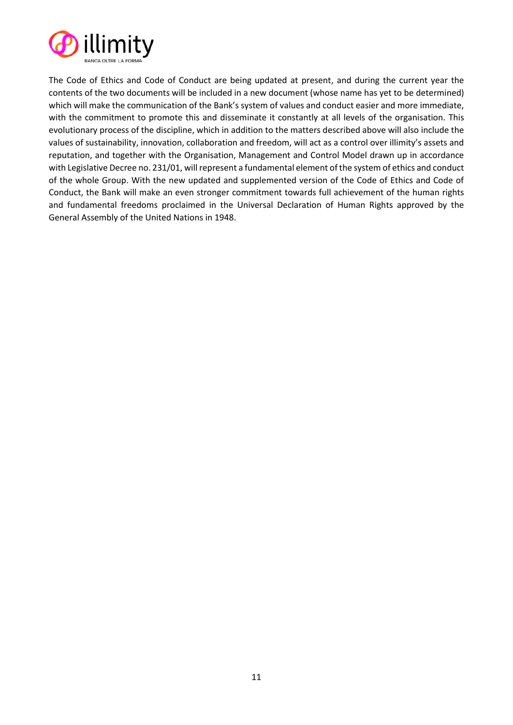

The Code of Ethics and Code of Conduct are being updated at present, and during the current year the contents of the two documents will be included in a new document (whose name has yet to be determined) which will make the communication of the Bank's system of values and conduct easier and more immediate, with the commitment to promote this and disseminate it constantly at all levels of the organisation. This evolutionary process of the discipline, which in addition to the matters described above will also include the values of sustainability, innovation, collaboration and freedom, will act as a control over illimity's assets and reputation, and together with the Organisation, Management and Control Model drawn up in accordance with Legislative Decree no. 231/01, will represent a fundamental element of the system of ethics and conduct of the whole Group. With the new updated and supplemented version of the Code of Ethics and Code of Conduct, the Bank will make an even stronger commitment towards full achievement of the human rights and fundamental freedoms proclaimed in the Universal Declaration of Human Rights approved by the General Assembly of the United Nations in 1948.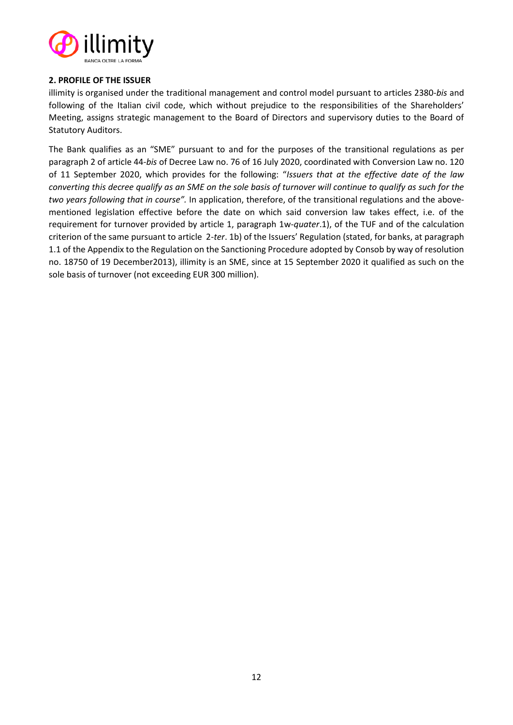

## <span id="page-11-0"></span>**2. PROFILE OF THE ISSUER**

illimity is organised under the traditional management and control model pursuant to articles 2380-*bis* and following of the Italian civil code, which without prejudice to the responsibilities of the Shareholders' Meeting, assigns strategic management to the Board of Directors and supervisory duties to the Board of Statutory Auditors.

The Bank qualifies as an "SME" pursuant to and for the purposes of the transitional regulations as per paragraph 2 of article 44-*bis* of Decree La[w no. 76 of 16 July 2020,](https://www.normattiva.it/uri-res/N2Ls?urn:nir:stato:decreto.legge:2020-07-16;76) coordinated with Conversion Law no. 120 of 11 September 2020, which provides for the following: "*Issuers that at the effective date of the law converting this decree qualify as an SME on the sole basis of turnover will continue to qualify as such for the two years following that in course".* In application, therefore, of the transitional regulations and the abovementioned legislation effective before the date on which said conversion law takes effect, i.e. of the requirement for turnover provided by article 1, paragraph 1w-*quater*.1), of the TUF and of the calculation criterion of the same pursuant to article 2-*ter*. 1b) of the Issuers' Regulation (stated, for banks, at paragraph 1.1 of the Appendix to the Regulation on the Sanctioning Procedure adopted by Consob by way of resolution no. 18750 of 19 December2013), illimity is an SME, since at 15 September 2020 it qualified as such on the sole basis of turnover (not exceeding EUR 300 million).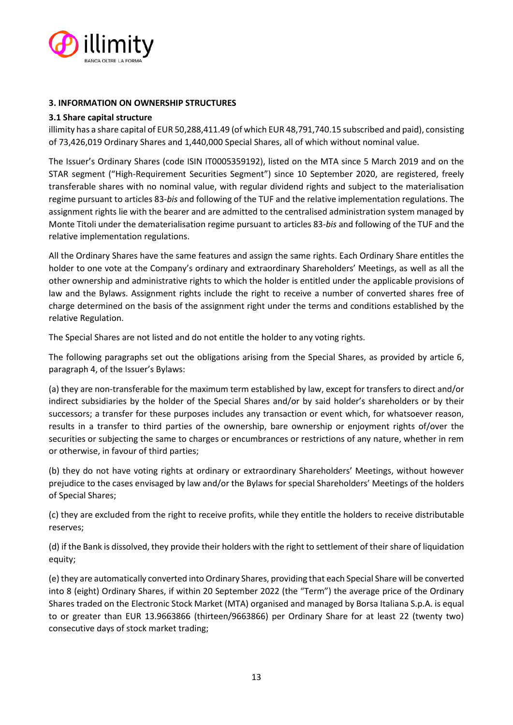

## <span id="page-12-0"></span>**3. INFORMATION ON OWNERSHIP STRUCTURES**

#### <span id="page-12-1"></span>**3.1 Share capital structure**

illimity has a share capital of EUR 50,288,411.49 (of which EUR 48,791,740.15 subscribed and paid), consisting of 73,426,019 Ordinary Shares and 1,440,000 Special Shares, all of which without nominal value.

The Issuer's Ordinary Shares (code ISIN IT0005359192), listed on the MTA since 5 March 2019 and on the STAR segment ("High-Requirement Securities Segment") since 10 September 2020, are registered, freely transferable shares with no nominal value, with regular dividend rights and subject to the materialisation regime pursuant to articles 83-*bis* and following of the TUF and the relative implementation regulations. The assignment rights lie with the bearer and are admitted to the centralised administration system managed by Monte Titoli under the dematerialisation regime pursuant to articles 83-*bis* and following of the TUF and the relative implementation regulations.

All the Ordinary Shares have the same features and assign the same rights. Each Ordinary Share entitles the holder to one vote at the Company's ordinary and extraordinary Shareholders' Meetings, as well as all the other ownership and administrative rights to which the holder is entitled under the applicable provisions of law and the Bylaws. Assignment rights include the right to receive a number of converted shares free of charge determined on the basis of the assignment right under the terms and conditions established by the relative Regulation.

The Special Shares are not listed and do not entitle the holder to any voting rights.

The following paragraphs set out the obligations arising from the Special Shares, as provided by article 6, paragraph 4, of the Issuer's Bylaws:

(a) they are non-transferable for the maximum term established by law, except for transfers to direct and/or indirect subsidiaries by the holder of the Special Shares and/or by said holder's shareholders or by their successors; a transfer for these purposes includes any transaction or event which, for whatsoever reason, results in a transfer to third parties of the ownership, bare ownership or enjoyment rights of/over the securities or subjecting the same to charges or encumbrances or restrictions of any nature, whether in rem or otherwise, in favour of third parties;

(b) they do not have voting rights at ordinary or extraordinary Shareholders' Meetings, without however prejudice to the cases envisaged by law and/or the Bylaws for special Shareholders' Meetings of the holders of Special Shares;

(c) they are excluded from the right to receive profits, while they entitle the holders to receive distributable reserves;

(d) if the Bank is dissolved, they provide their holders with the right to settlement of their share of liquidation equity;

(e) they are automatically converted into Ordinary Shares, providing that each Special Share will be converted into 8 (eight) Ordinary Shares, if within 20 September 2022 (the "Term") the average price of the Ordinary Shares traded on the Electronic Stock Market (MTA) organised and managed by Borsa Italiana S.p.A. is equal to or greater than EUR 13.9663866 (thirteen/9663866) per Ordinary Share for at least 22 (twenty two) consecutive days of stock market trading;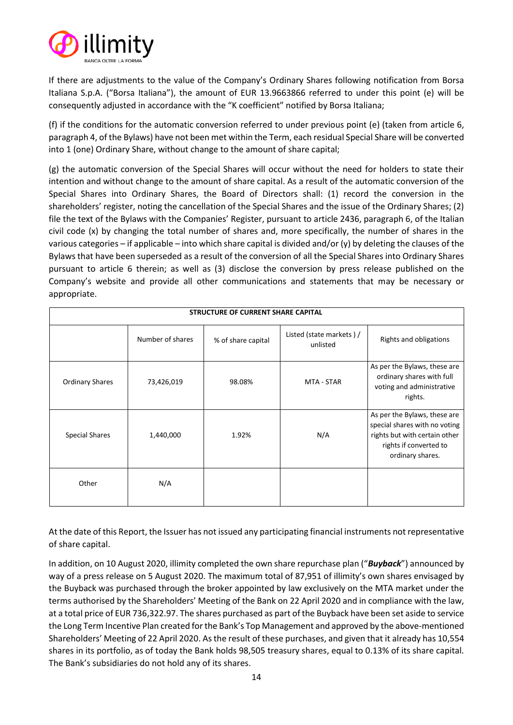

If there are adjustments to the value of the Company's Ordinary Shares following notification from Borsa Italiana S.p.A. ("Borsa Italiana"), the amount of EUR 13.9663866 referred to under this point (e) will be consequently adjusted in accordance with the "K coefficient" notified by Borsa Italiana;

(f) if the conditions for the automatic conversion referred to under previous point (e) (taken from article 6, paragraph 4, of the Bylaws) have not been met within the Term, each residual Special Share will be converted into 1 (one) Ordinary Share, without change to the amount of share capital;

(g) the automatic conversion of the Special Shares will occur without the need for holders to state their intention and without change to the amount of share capital. As a result of the automatic conversion of the Special Shares into Ordinary Shares, the Board of Directors shall: (1) record the conversion in the shareholders' register, noting the cancellation of the Special Shares and the issue of the Ordinary Shares; (2) file the text of the Bylaws with the Companies' Register, pursuant to article 2436, paragraph 6, of the Italian civil code (x) by changing the total number of shares and, more specifically, the number of shares in the various categories – if applicable – into which share capital is divided and/or (y) by deleting the clauses of the Bylaws that have been superseded as a result of the conversion of all the Special Shares into Ordinary Shares pursuant to article 6 therein; as well as (3) disclose the conversion by press release published on the Company's website and provide all other communications and statements that may be necessary or appropriate.

| STRUCTURE OF CURRENT SHARE CAPITAL |                  |                    |                                      |                                                                                                                                              |
|------------------------------------|------------------|--------------------|--------------------------------------|----------------------------------------------------------------------------------------------------------------------------------------------|
|                                    | Number of shares | % of share capital | Listed (state markets) /<br>unlisted | Rights and obligations                                                                                                                       |
| <b>Ordinary Shares</b>             | 73,426,019       | 98.08%             | MTA - STAR                           | As per the Bylaws, these are<br>ordinary shares with full<br>voting and administrative<br>rights.                                            |
| <b>Special Shares</b>              | 1,440,000        | 1.92%              | N/A                                  | As per the Bylaws, these are<br>special shares with no voting<br>rights but with certain other<br>rights if converted to<br>ordinary shares. |
| Other                              | N/A              |                    |                                      |                                                                                                                                              |

At the date of this Report, the Issuer has not issued any participating financial instruments not representative of share capital.

In addition, on 10 August 2020, illimity completed the own share repurchase plan ("*Buyback*") announced by way of a press release on 5 August 2020. The maximum total of 87,951 of illimity's own shares envisaged by the Buyback was purchased through the broker appointed by law exclusively on the MTA market under the terms authorised by the Shareholders' Meeting of the Bank on 22 April 2020 and in compliance with the law, at a total price of EUR 736,322.97. The shares purchased as part of the Buyback have been set aside to service the Long Term Incentive Plan created for the Bank's Top Management and approved by the above-mentioned Shareholders' Meeting of 22 April 2020. As the result of these purchases, and given that it already has 10,554 shares in its portfolio, as of today the Bank holds 98,505 treasury shares, equal to 0.13% of its share capital. The Bank's subsidiaries do not hold any of its shares.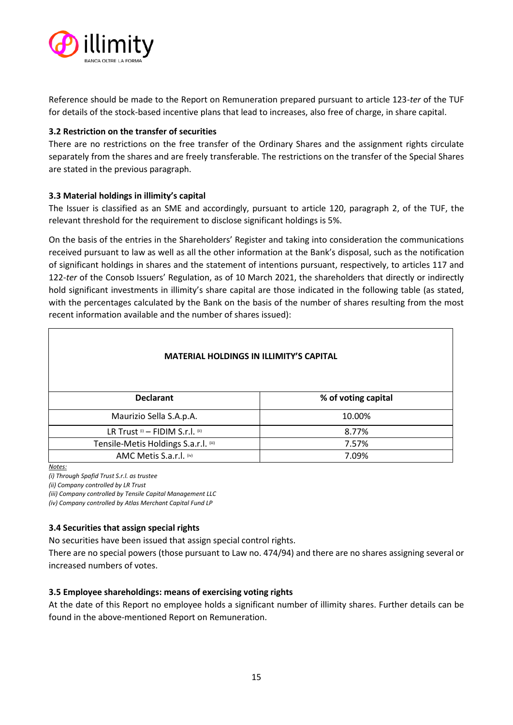

Reference should be made to the Report on Remuneration prepared pursuant to article 123-*ter* of the TUF for details of the stock-based incentive plans that lead to increases, also free of charge, in share capital.

# <span id="page-14-0"></span>**3.2 Restriction on the transfer of securities**

There are no restrictions on the free transfer of the Ordinary Shares and the assignment rights circulate separately from the shares and are freely transferable. The restrictions on the transfer of the Special Shares are stated in the previous paragraph.

# <span id="page-14-1"></span>**3.3 Material holdings in illimity's capital**

The Issuer is classified as an SME and accordingly, pursuant to article 120, paragraph 2, of the TUF, the relevant threshold for the requirement to disclose significant holdings is 5%.

On the basis of the entries in the Shareholders' Register and taking into consideration the communications received pursuant to law as well as all the other information at the Bank's disposal, such as the notification of significant holdings in shares and the statement of intentions pursuant, respectively, to articles 117 and 122-*ter* of the Consob Issuers' Regulation, as of 10 March 2021, the shareholders that directly or indirectly hold significant investments in illimity's share capital are those indicated in the following table (as stated, with the percentages calculated by the Bank on the basis of the number of shares resulting from the most recent information available and the number of shares issued):

| <b>MATERIAL HOLDINGS IN ILLIMITY'S CAPITAL</b> |                     |  |
|------------------------------------------------|---------------------|--|
| <b>Declarant</b>                               | % of voting capital |  |
| Maurizio Sella S.A.p.A.                        | 10.00%              |  |
| LR Trust (i) - FIDIM S.r.l. (ii)               | 8.77%               |  |
| Tensile-Metis Holdings S.a.r.l. (iii)          | 7.57%               |  |
| AMC Metis S.a.r.l. (iv)                        | 7.09%               |  |

*Notes:*

*(i) Through Spafid Trust S.r.l. as trustee*

*(ii) Company controlled by LR Trust*

*(iii) Company controlled by Tensile Capital Management LLC*

*(iv) Company controlled by Atlas Merchant Capital Fund LP* 

# <span id="page-14-2"></span>**3.4 Securities that assign special rights**

No securities have been issued that assign special control rights.

There are no special powers (those pursuant to Law no. 474/94) and there are no shares assigning several or increased numbers of votes.

#### <span id="page-14-3"></span>**3.5 Employee shareholdings: means of exercising voting rights**

At the date of this Report no employee holds a significant number of illimity shares. Further details can be found in the above-mentioned Report on Remuneration.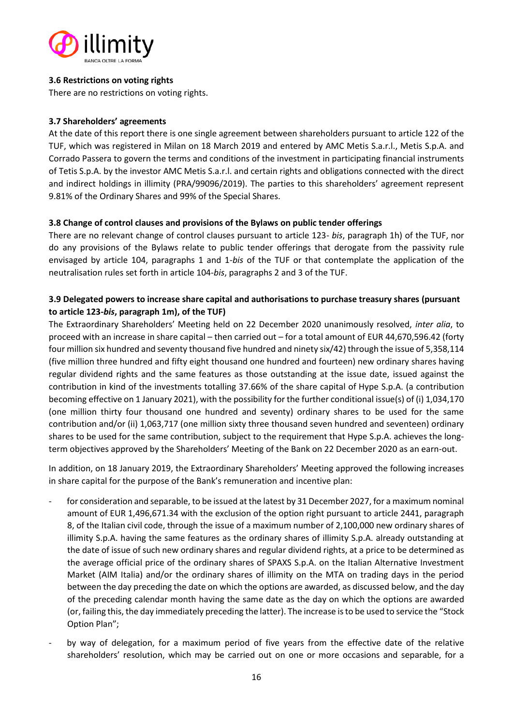

## <span id="page-15-0"></span>**3.6 Restrictions on voting rights**

There are no restrictions on voting rights.

## <span id="page-15-1"></span>**3.7 Shareholders' agreements**

At the date of this report there is one single agreement between shareholders pursuant to article 122 of the TUF, which was registered in Milan on 18 March 2019 and entered by AMC Metis S.a.r.l., Metis S.p.A. and Corrado Passera to govern the terms and conditions of the investment in participating financial instruments of Tetis S.p.A. by the investor AMC Metis S.a.r.l. and certain rights and obligations connected with the direct and indirect holdings in illimity (PRA/99096/2019). The parties to this shareholders' agreement represent 9.81% of the Ordinary Shares and 99% of the Special Shares.

# <span id="page-15-2"></span>**3.8 Change of control clauses and provisions of the Bylaws on public tender offerings**

There are no relevant change of control clauses pursuant to article 123- *bis*, paragraph 1h) of the TUF, nor do any provisions of the Bylaws relate to public tender offerings that derogate from the passivity rule envisaged by article 104, paragraphs 1 and 1-*bis* of the TUF or that contemplate the application of the neutralisation rules set forth in article 104-*bis*, paragraphs 2 and 3 of the TUF.

# <span id="page-15-3"></span>**3.9 Delegated powers to increase share capital and authorisations to purchase treasury shares (pursuant to article 123-***bis***, paragraph 1m), of the TUF)**

The Extraordinary Shareholders' Meeting held on 22 December 2020 unanimously resolved, *inter alia*, to proceed with an increase in share capital – then carried out – for a total amount of EUR 44,670,596.42 (forty four million six hundred and seventy thousand five hundred and ninety six/42) through the issue of 5,358,114 (five million three hundred and fifty eight thousand one hundred and fourteen) new ordinary shares having regular dividend rights and the same features as those outstanding at the issue date, issued against the contribution in kind of the investments totalling 37.66% of the share capital of Hype S.p.A. (a contribution becoming effective on 1 January 2021), with the possibility for the further conditional issue(s) of (i) 1,034,170 (one million thirty four thousand one hundred and seventy) ordinary shares to be used for the same contribution and/or (ii) 1,063,717 (one million sixty three thousand seven hundred and seventeen) ordinary shares to be used for the same contribution, subject to the requirement that Hype S.p.A. achieves the longterm objectives approved by the Shareholders' Meeting of the Bank on 22 December 2020 as an earn-out.

In addition, on 18 January 2019, the Extraordinary Shareholders' Meeting approved the following increases in share capital for the purpose of the Bank's remuneration and incentive plan:

- for consideration and separable, to be issued at the latest by 31 December 2027, for a maximum nominal amount of EUR 1,496,671.34 with the exclusion of the option right pursuant to article 2441, paragraph 8, of the Italian civil code, through the issue of a maximum number of 2,100,000 new ordinary shares of illimity S.p.A. having the same features as the ordinary shares of illimity S.p.A. already outstanding at the date of issue of such new ordinary shares and regular dividend rights, at a price to be determined as the average official price of the ordinary shares of SPAXS S.p.A. on the Italian Alternative Investment Market (AIM Italia) and/or the ordinary shares of illimity on the MTA on trading days in the period between the day preceding the date on which the options are awarded, as discussed below, and the day of the preceding calendar month having the same date as the day on which the options are awarded (or, failing this, the day immediately preceding the latter). The increase is to be used to service the "Stock Option Plan";
- by way of delegation, for a maximum period of five years from the effective date of the relative shareholders' resolution, which may be carried out on one or more occasions and separable, for a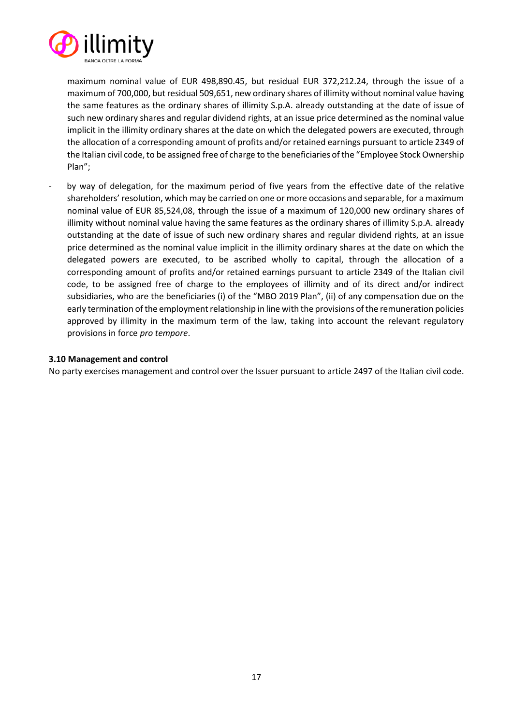

maximum nominal value of EUR 498,890.45, but residual EUR 372,212.24, through the issue of a maximum of 700,000, but residual 509,651, new ordinary shares of illimity without nominal value having the same features as the ordinary shares of illimity S.p.A. already outstanding at the date of issue of such new ordinary shares and regular dividend rights, at an issue price determined as the nominal value implicit in the illimity ordinary shares at the date on which the delegated powers are executed, through the allocation of a corresponding amount of profits and/or retained earnings pursuant to article 2349 of the Italian civil code, to be assigned free of charge to the beneficiaries of the "Employee Stock Ownership Plan";

by way of delegation, for the maximum period of five years from the effective date of the relative shareholders' resolution, which may be carried on one or more occasions and separable, for a maximum nominal value of EUR 85,524,08, through the issue of a maximum of 120,000 new ordinary shares of illimity without nominal value having the same features as the ordinary shares of illimity S.p.A. already outstanding at the date of issue of such new ordinary shares and regular dividend rights, at an issue price determined as the nominal value implicit in the illimity ordinary shares at the date on which the delegated powers are executed, to be ascribed wholly to capital, through the allocation of a corresponding amount of profits and/or retained earnings pursuant to article 2349 of the Italian civil code, to be assigned free of charge to the employees of illimity and of its direct and/or indirect subsidiaries, who are the beneficiaries (i) of the "MBO 2019 Plan", (ii) of any compensation due on the early termination of the employment relationship in line with the provisions of the remuneration policies approved by illimity in the maximum term of the law, taking into account the relevant regulatory provisions in force *pro tempore*.

#### <span id="page-16-0"></span>**3.10 Management and control**

No party exercises management and control over the Issuer pursuant to article 2497 of the Italian civil code.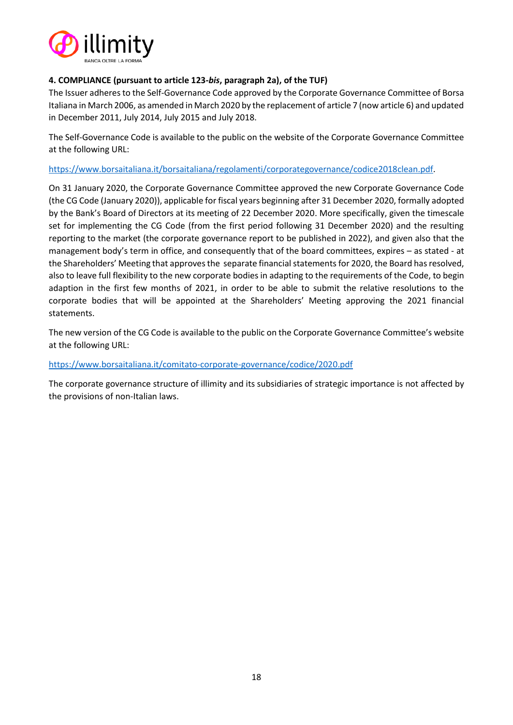

# <span id="page-17-0"></span>**4. COMPLIANCE (pursuant to article 123-***bis***, paragraph 2a), of the TUF)**

The Issuer adheres to the Self-Governance Code approved by the Corporate Governance Committee of Borsa Italiana in March 2006, as amended in March 2020 by the replacement of article 7 (now article 6) and updated in December 2011, July 2014, July 2015 and July 2018.

The Self-Governance Code is available to the public on the website of the Corporate Governance Committee at the following URL:

[https://www.borsaitaliana.it/borsaitaliana/regolamenti/corporategovernance/codice2018clean.pdf.](https://www.borsaitaliana.it/borsaitaliana/regolamenti/corporategovernance/codice2018clean.pdf)

On 31 January 2020, the Corporate Governance Committee approved the new Corporate Governance Code (the CG Code (January 2020)), applicable for fiscal years beginning after 31 December 2020, formally adopted by the Bank's Board of Directors at its meeting of 22 December 2020. More specifically, given the timescale set for implementing the CG Code (from the first period following 31 December 2020) and the resulting reporting to the market (the corporate governance report to be published in 2022), and given also that the management body's term in office, and consequently that of the board committees, expires – as stated - at the Shareholders' Meeting that approves the separate financial statements for 2020, the Board has resolved, also to leave full flexibility to the new corporate bodies in adapting to the requirements of the Code, to begin adaption in the first few months of 2021, in order to be able to submit the relative resolutions to the corporate bodies that will be appointed at the Shareholders' Meeting approving the 2021 financial statements.

The new version of the CG Code is available to the public on the Corporate Governance Committee's website at the following URL:

#### <https://www.borsaitaliana.it/comitato-corporate-governance/codice/2020.pdf>

The corporate governance structure of illimity and its subsidiaries of strategic importance is not affected by the provisions of non-Italian laws.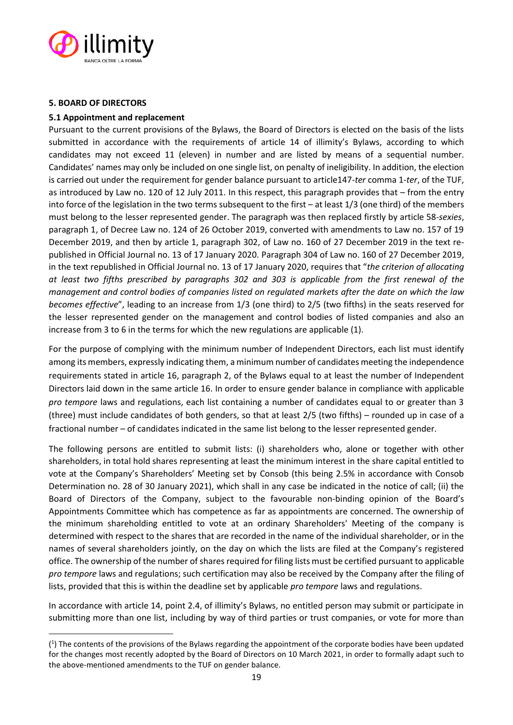

#### <span id="page-18-0"></span>**5. BOARD OF DIRECTORS**

#### <span id="page-18-1"></span>**5.1 Appointment and replacement**

Pursuant to the current provisions of the Bylaws, the Board of Directors is elected on the basis of the lists submitted in accordance with the requirements of article 14 of illimity's Bylaws, according to which candidates may not exceed 11 (eleven) in number and are listed by means of a sequential number. Candidates' names may only be included on one single list, on penalty of ineligibility. In addition, the election is carried out under the requirement for gender balance pursuant to article147-*ter* comma 1-*ter*, of the TUF, as introduced by Law no. 120 of 12 July 2011. In this respect, this paragraph provides that – from the entry into force of the legislation in the two terms subsequent to the first – at least 1/3 (one third) of the members must belong to the lesser represented gender. The paragraph was then replaced firstly by article 58-*sexies*, paragraph 1, of Decree Law no. 124 of 26 October 2019, converted with amendments to Law no. 157 of 19 December 2019, and then by article 1, paragraph 302, of Law no. 160 of 27 December 2019 in the text republished in Official Journal no. 13 of 17 January 2020. Paragraph 304 of Law no. 160 of 27 December 2019, in the text republished in Official Journal no. 13 of 17 January 2020, requires that "*the criterion of allocating at least two fifths prescribed by paragraphs 302 and 303 is applicable from the first renewal of the management and control bodies of companies listed on regulated markets after the date on which the law becomes effective*", leading to an increase from 1/3 (one third) to 2/5 (two fifths) in the seats reserved for the lesser represented gender on the management and control bodies of listed companies and also an increase from 3 to 6 in the terms for which the new regulations are applicable (1).

For the purpose of complying with the minimum number of Independent Directors, each list must identify among its members, expressly indicating them, a minimum number of candidates meeting the independence requirements stated in article 16, paragraph 2, of the Bylaws equal to at least the number of Independent Directors laid down in the same article 16. In order to ensure gender balance in compliance with applicable *pro tempore* laws and regulations, each list containing a number of candidates equal to or greater than 3 (three) must include candidates of both genders, so that at least 2/5 (two fifths) – rounded up in case of a fractional number – of candidates indicated in the same list belong to the lesser represented gender.

The following persons are entitled to submit lists: (i) shareholders who, alone or together with other shareholders, in total hold shares representing at least the minimum interest in the share capital entitled to vote at the Company's Shareholders' Meeting set by Consob (this being 2.5% in accordance with Consob Determination no. 28 of 30 January 2021), which shall in any case be indicated in the notice of call; (ii) the Board of Directors of the Company, subject to the favourable non-binding opinion of the Board's Appointments Committee which has competence as far as appointments are concerned. The ownership of the minimum shareholding entitled to vote at an ordinary Shareholders' Meeting of the company is determined with respect to the shares that are recorded in the name of the individual shareholder, or in the names of several shareholders jointly, on the day on which the lists are filed at the Company's registered office. The ownership of the number of shares required for filing lists must be certified pursuant to applicable *pro tempore* laws and regulations; such certification may also be received by the Company after the filing of lists, provided that this is within the deadline set by applicable *pro tempore* laws and regulations.

In accordance with article 14, point 2.4, of illimity's Bylaws, no entitled person may submit or participate in submitting more than one list, including by way of third parties or trust companies, or vote for more than

<sup>(</sup> 1 ) The contents of the provisions of the Bylaws regarding the appointment of the corporate bodies have been updated for the changes most recently adopted by the Board of Directors on 10 March 2021, in order to formally adapt such to the above-mentioned amendments to the TUF on gender balance.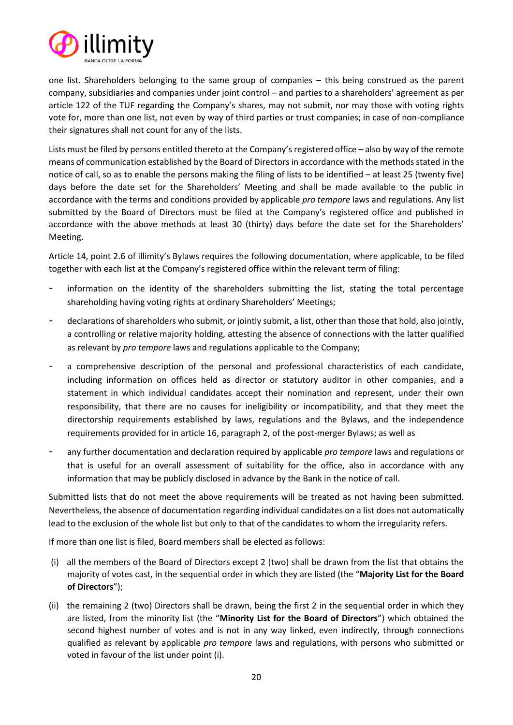

one list. Shareholders belonging to the same group of companies – this being construed as the parent company, subsidiaries and companies under joint control – and parties to a shareholders' agreement as per article 122 of the TUF regarding the Company's shares, may not submit, nor may those with voting rights vote for, more than one list, not even by way of third parties or trust companies; in case of non-compliance their signatures shall not count for any of the lists.

Lists must be filed by persons entitled thereto at the Company's registered office – also by way of the remote means of communication established by the Board of Directors in accordance with the methods stated in the notice of call, so as to enable the persons making the filing of lists to be identified – at least 25 (twenty five) days before the date set for the Shareholders' Meeting and shall be made available to the public in accordance with the terms and conditions provided by applicable *pro tempore* laws and regulations. Any list submitted by the Board of Directors must be filed at the Company's registered office and published in accordance with the above methods at least 30 (thirty) days before the date set for the Shareholders' Meeting.

Article 14, point 2.6 of illimity's Bylaws requires the following documentation, where applicable, to be filed together with each list at the Company's registered office within the relevant term of filing:

- information on the identity of the shareholders submitting the list, stating the total percentage shareholding having voting rights at ordinary Shareholders' Meetings;
- declarations of shareholders who submit, or jointly submit, a list, other than those that hold, also jointly, a controlling or relative majority holding, attesting the absence of connections with the latter qualified as relevant by *pro tempore* laws and regulations applicable to the Company;
- a comprehensive description of the personal and professional characteristics of each candidate, including information on offices held as director or statutory auditor in other companies, and a statement in which individual candidates accept their nomination and represent, under their own responsibility, that there are no causes for ineligibility or incompatibility, and that they meet the directorship requirements established by laws, regulations and the Bylaws, and the independence requirements provided for in article 16, paragraph 2, of the post-merger Bylaws; as well as
- any further documentation and declaration required by applicable *pro tempore* laws and regulations or that is useful for an overall assessment of suitability for the office, also in accordance with any information that may be publicly disclosed in advance by the Bank in the notice of call.

Submitted lists that do not meet the above requirements will be treated as not having been submitted. Nevertheless, the absence of documentation regarding individual candidates on a list does not automatically lead to the exclusion of the whole list but only to that of the candidates to whom the irregularity refers.

If more than one list is filed, Board members shall be elected as follows:

- (i) all the members of the Board of Directors except 2 (two) shall be drawn from the list that obtains the majority of votes cast, in the sequential order in which they are listed (the "**Majority List for the Board of Directors**");
- (ii) the remaining 2 (two) Directors shall be drawn, being the first 2 in the sequential order in which they are listed, from the minority list (the "**Minority List for the Board of Directors**") which obtained the second highest number of votes and is not in any way linked, even indirectly, through connections qualified as relevant by applicable *pro tempore* laws and regulations, with persons who submitted or voted in favour of the list under point (i).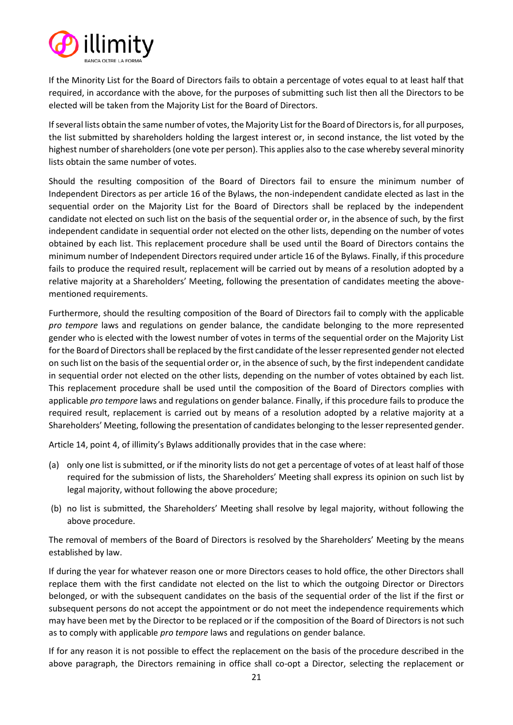

If the Minority List for the Board of Directors fails to obtain a percentage of votes equal to at least half that required, in accordance with the above, for the purposes of submitting such list then all the Directors to be elected will be taken from the Majority List for the Board of Directors.

If several lists obtain the same number of votes, the Majority List for the Board of Directors is, for all purposes, the list submitted by shareholders holding the largest interest or, in second instance, the list voted by the highest number of shareholders (one vote per person). This applies also to the case whereby several minority lists obtain the same number of votes.

Should the resulting composition of the Board of Directors fail to ensure the minimum number of Independent Directors as per article 16 of the Bylaws, the non-independent candidate elected as last in the sequential order on the Majority List for the Board of Directors shall be replaced by the independent candidate not elected on such list on the basis of the sequential order or, in the absence of such, by the first independent candidate in sequential order not elected on the other lists, depending on the number of votes obtained by each list. This replacement procedure shall be used until the Board of Directors contains the minimum number of Independent Directors required under article 16 of the Bylaws. Finally, if this procedure fails to produce the required result, replacement will be carried out by means of a resolution adopted by a relative majority at a Shareholders' Meeting, following the presentation of candidates meeting the abovementioned requirements.

Furthermore, should the resulting composition of the Board of Directors fail to comply with the applicable *pro tempore* laws and regulations on gender balance, the candidate belonging to the more represented gender who is elected with the lowest number of votes in terms of the sequential order on the Majority List for the Board of Directors shall be replaced by the first candidate of the lesserrepresented gender not elected on such list on the basis of the sequential order or, in the absence of such, by the first independent candidate in sequential order not elected on the other lists, depending on the number of votes obtained by each list. This replacement procedure shall be used until the composition of the Board of Directors complies with applicable *pro tempore* laws and regulations on gender balance. Finally, if this procedure fails to produce the required result, replacement is carried out by means of a resolution adopted by a relative majority at a Shareholders' Meeting, following the presentation of candidates belonging to the lesser represented gender.

Article 14, point 4, of illimity's Bylaws additionally provides that in the case where:

- (a) only one list is submitted, or if the minority lists do not get a percentage of votes of at least half of those required for the submission of lists, the Shareholders' Meeting shall express its opinion on such list by legal majority, without following the above procedure;
- (b) no list is submitted, the Shareholders' Meeting shall resolve by legal majority, without following the above procedure.

The removal of members of the Board of Directors is resolved by the Shareholders' Meeting by the means established by law.

If during the year for whatever reason one or more Directors ceases to hold office, the other Directors shall replace them with the first candidate not elected on the list to which the outgoing Director or Directors belonged, or with the subsequent candidates on the basis of the sequential order of the list if the first or subsequent persons do not accept the appointment or do not meet the independence requirements which may have been met by the Director to be replaced or if the composition of the Board of Directors is not such as to comply with applicable *pro tempore* laws and regulations on gender balance.

If for any reason it is not possible to effect the replacement on the basis of the procedure described in the above paragraph, the Directors remaining in office shall co-opt a Director, selecting the replacement or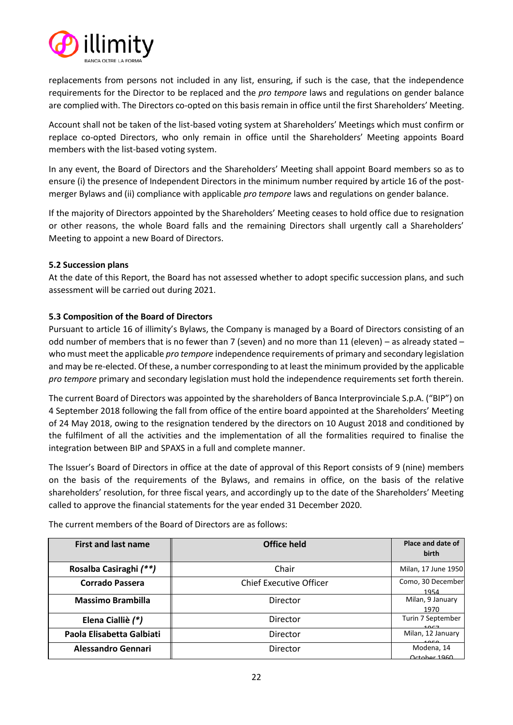

replacements from persons not included in any list, ensuring, if such is the case, that the independence requirements for the Director to be replaced and the *pro tempore* laws and regulations on gender balance are complied with. The Directors co-opted on this basis remain in office until the first Shareholders' Meeting.

Account shall not be taken of the list-based voting system at Shareholders' Meetings which must confirm or replace co-opted Directors, who only remain in office until the Shareholders' Meeting appoints Board members with the list-based voting system.

In any event, the Board of Directors and the Shareholders' Meeting shall appoint Board members so as to ensure (i) the presence of Independent Directors in the minimum number required by article 16 of the postmerger Bylaws and (ii) compliance with applicable *pro tempore* laws and regulations on gender balance.

If the majority of Directors appointed by the Shareholders' Meeting ceases to hold office due to resignation or other reasons, the whole Board falls and the remaining Directors shall urgently call a Shareholders' Meeting to appoint a new Board of Directors.

# <span id="page-21-0"></span>**5.2 Succession plans**

At the date of this Report, the Board has not assessed whether to adopt specific succession plans, and such assessment will be carried out during 2021.

# <span id="page-21-1"></span>**5.3 Composition of the Board of Directors**

Pursuant to article 16 of illimity's Bylaws, the Company is managed by a Board of Directors consisting of an odd number of members that is no fewer than 7 (seven) and no more than 11 (eleven) – as already stated – who must meet the applicable *pro tempore* independence requirements of primary and secondary legislation and may be re-elected. Of these, a number corresponding to at least the minimum provided by the applicable *pro tempore* primary and secondary legislation must hold the independence requirements set forth therein.

The current Board of Directors was appointed by the shareholders of Banca Interprovinciale S.p.A. ("BIP") on 4 September 2018 following the fall from office of the entire board appointed at the Shareholders' Meeting of 24 May 2018, owing to the resignation tendered by the directors on 10 August 2018 and conditioned by the fulfilment of all the activities and the implementation of all the formalities required to finalise the integration between BIP and SPAXS in a full and complete manner.

The Issuer's Board of Directors in office at the date of approval of this Report consists of 9 (nine) members on the basis of the requirements of the Bylaws, and remains in office, on the basis of the relative shareholders' resolution, for three fiscal years, and accordingly up to the date of the Shareholders' Meeting called to approve the financial statements for the year ended 31 December 2020.

| <b>First and last name</b> | Office held                    | Place and date of<br>birth |
|----------------------------|--------------------------------|----------------------------|
| Rosalba Casiraghi (**)     | Chair                          | Milan, 17 June 1950        |
| <b>Corrado Passera</b>     | <b>Chief Executive Officer</b> | Como, 30 December<br>1954  |
| <b>Massimo Brambilla</b>   | Director                       | Milan, 9 January<br>1970   |
| Elena Cialliè (*)          | Director                       | Turin 7 September<br>1057  |
| Paola Elisabetta Galbiati  | Director                       | Milan, 12 January<br>1000  |
| <b>Alessandro Gennari</b>  | Director                       | Modena, 14<br>October 1960 |

The current members of the Board of Directors are as follows: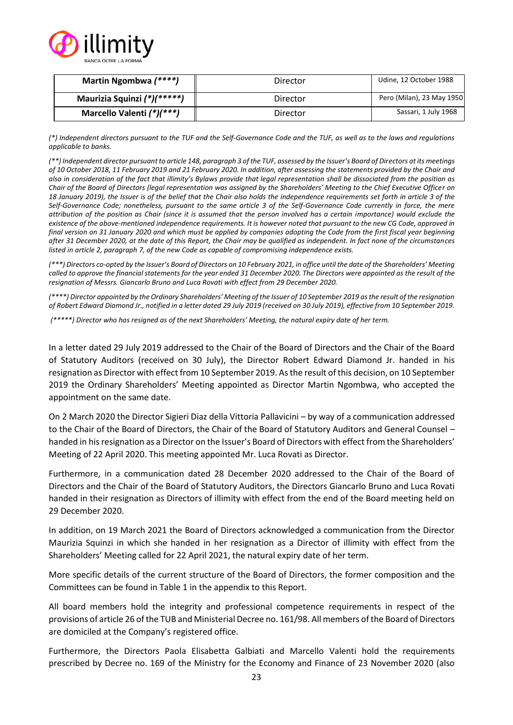

| Martin Ngombwa (****)       | Director | Udine, 12 October 1988    |
|-----------------------------|----------|---------------------------|
| Maurizia Squinzi (*)(*****) | Director | Pero (Milan), 23 May 1950 |
| Marcello Valenti (*)(***)   | Director | Sassari, 1 July 1968      |

*(\*) Independent directors pursuant to the TUF and the Self-Governance Code and the TUF, as well as to the laws and regulations applicable to banks.*

*(\*\*) Independent director pursuant to article 148, paragraph 3 of the TUF, assessed by the Issuer's Board of Directors at its meetings of 10 October 2018, 11 February 2019 and 21 February 2020. In addition, after assessing the statements provided by the Chair and also in consideration of the fact that illimity's Bylaws provide that legal representation shall be dissociated from the position as Chair of the Board of Directors (legal representation was assigned by the Shareholders' Meeting to the Chief Executive Officer on*  18 January 2019), the Issuer is of the belief that the Chair also holds the independence requirements set forth in article 3 of the *Self-Governance Code; nonetheless, pursuant to the same article 3 of the Self-Governance Code currently in force, the mere attribution of the position as Chair (since it is assumed that the person involved has a certain importance) would exclude the existence of the above-mentioned independence requirements. It is however noted that pursuant to the new CG Code, approved in final version on 31 January 2020 and which must be applied by companies adopting the Code from the first fiscal year beginning after 31 December 2020, at the date of this Report, the Chair may be qualified as independent. In fact none of the circumstances listed in article 2, paragraph 7, of the new Code as capable of compromising independence exists.*

*(\*\*\*) Directors co-opted by the Issuer's Board of Directors on 10 February 2021, in office until the date of the Shareholders' Meeting called to approve the financial statements for the year ended 31 December 2020. The Directors were appointed as the result of the resignation of Messrs. Giancarlo Bruno and Luca Rovati with effect from 29 December 2020.*

*(\*\*\*\*) Director appointed by the Ordinary Shareholders' Meeting of the Issuer of 10 September 2019 as the result of the resignation of Robert Edward Diamond Jr., notified in a letter dated 29 July 2019 (received on 30 July 2019), effective from 10 September 2019.*

*(\*\*\*\*\*) Director who has resigned as of the next Shareholders' Meeting, the natural expiry date of her term.*

In a letter dated 29 July 2019 addressed to the Chair of the Board of Directors and the Chair of the Board of Statutory Auditors (received on 30 July), the Director Robert Edward Diamond Jr. handed in his resignation as Director with effect from 10 September 2019. As the result of this decision, on 10 September 2019 the Ordinary Shareholders' Meeting appointed as Director Martin Ngombwa, who accepted the appointment on the same date.

On 2 March 2020 the Director Sigieri Diaz della Vittoria Pallavicini – by way of a communication addressed to the Chair of the Board of Directors, the Chair of the Board of Statutory Auditors and General Counsel – handed in his resignation as a Director on the Issuer's Board of Directors with effect from the Shareholders' Meeting of 22 April 2020. This meeting appointed Mr. Luca Rovati as Director.

Furthermore, in a communication dated 28 December 2020 addressed to the Chair of the Board of Directors and the Chair of the Board of Statutory Auditors, the Directors Giancarlo Bruno and Luca Rovati handed in their resignation as Directors of illimity with effect from the end of the Board meeting held on 29 December 2020.

In addition, on 19 March 2021 the Board of Directors acknowledged a communication from the Director Maurizia Squinzi in which she handed in her resignation as a Director of illimity with effect from the Shareholders' Meeting called for 22 April 2021, the natural expiry date of her term.

More specific details of the current structure of the Board of Directors, the former composition and the Committees can be found in Table 1 in the appendix to this Report.

All board members hold the integrity and professional competence requirements in respect of the provisions of article 26 of the TUB and Ministerial Decree no. 161/98. All members of the Board of Directors are domiciled at the Company's registered office.

Furthermore, the Directors Paola Elisabetta Galbiati and Marcello Valenti hold the requirements prescribed by Decree no. 169 of the Ministry for the Economy and Finance of 23 November 2020 (also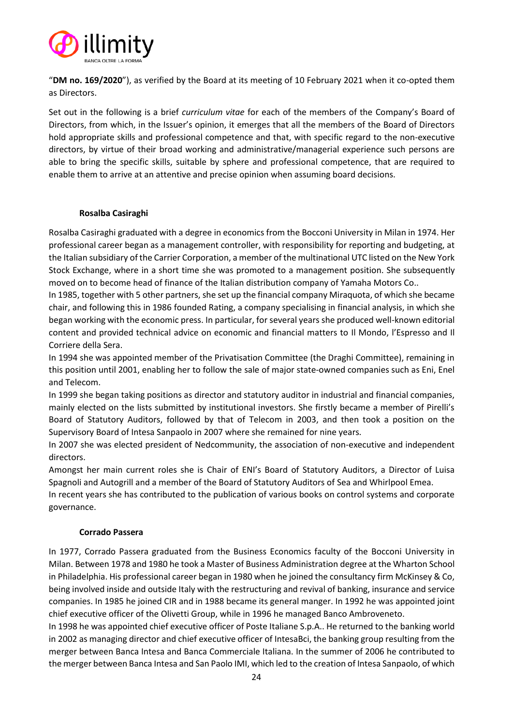

"**DM no. 169/2020**"), as verified by the Board at its meeting of 10 February 2021 when it co-opted them as Directors.

Set out in the following is a brief *curriculum vitae* for each of the members of the Company's Board of Directors, from which, in the Issuer's opinion, it emerges that all the members of the Board of Directors hold appropriate skills and professional competence and that, with specific regard to the non-executive directors, by virtue of their broad working and administrative/managerial experience such persons are able to bring the specific skills, suitable by sphere and professional competence, that are required to enable them to arrive at an attentive and precise opinion when assuming board decisions.

# **Rosalba Casiraghi**

Rosalba Casiraghi graduated with a degree in economics from the Bocconi University in Milan in 1974. Her professional career began as a management controller, with responsibility for reporting and budgeting, at the Italian subsidiary of the Carrier Corporation, a member of the multinational UTC listed on the New York Stock Exchange, where in a short time she was promoted to a management position. She subsequently moved on to become head of finance of the Italian distribution company of Yamaha Motors Co..

In 1985, together with 5 other partners, she set up the financial company Miraquota, of which she became chair, and following this in 1986 founded Rating, a company specialising in financial analysis, in which she began working with the economic press. In particular, for several years she produced well-known editorial content and provided technical advice on economic and financial matters to Il Mondo, l'Espresso and Il Corriere della Sera.

In 1994 she was appointed member of the Privatisation Committee (the Draghi Committee), remaining in this position until 2001, enabling her to follow the sale of major state-owned companies such as Eni, Enel and Telecom.

In 1999 she began taking positions as director and statutory auditor in industrial and financial companies, mainly elected on the lists submitted by institutional investors. She firstly became a member of Pirelli's Board of Statutory Auditors, followed by that of Telecom in 2003, and then took a position on the Supervisory Board of Intesa Sanpaolo in 2007 where she remained for nine years.

In 2007 she was elected president of Nedcommunity, the association of non-executive and independent directors.

Amongst her main current roles she is Chair of ENI's Board of Statutory Auditors, a Director of Luisa Spagnoli and Autogrill and a member of the Board of Statutory Auditors of Sea and Whirlpool Emea.

In recent years she has contributed to the publication of various books on control systems and corporate governance.

#### **Corrado Passera**

In 1977, Corrado Passera graduated from the Business Economics faculty of the Bocconi University in Milan. Between 1978 and 1980 he took a Master of Business Administration degree at the Wharton School in Philadelphia. His professional career began in 1980 when he joined the consultancy firm McKinsey & Co, being involved inside and outside Italy with the restructuring and revival of banking, insurance and service companies. In 1985 he joined CIR and in 1988 became its general manger. In 1992 he was appointed joint chief executive officer of the Olivetti Group, while in 1996 he managed Banco Ambroveneto.

In 1998 he was appointed chief executive officer of Poste Italiane S.p.A.. He returned to the banking world in 2002 as managing director and chief executive officer of IntesaBci, the banking group resulting from the merger between Banca Intesa and Banca Commerciale Italiana. In the summer of 2006 he contributed to the merger between Banca Intesa and San Paolo IMI, which led to the creation of Intesa Sanpaolo, of which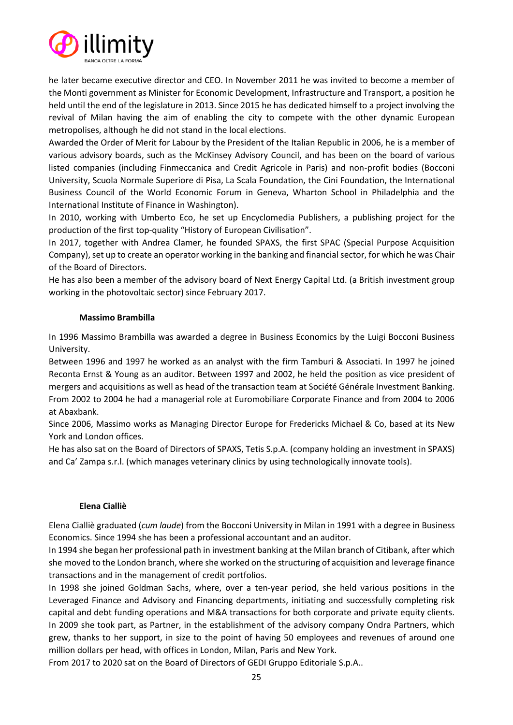

he later became executive director and CEO. In November 2011 he was invited to become a member of the Monti government as Minister for Economic Development, Infrastructure and Transport, a position he held until the end of the legislature in 2013. Since 2015 he has dedicated himself to a project involving the revival of Milan having the aim of enabling the city to compete with the other dynamic European metropolises, although he did not stand in the local elections.

Awarded the Order of Merit for Labour by the President of the Italian Republic in 2006, he is a member of various advisory boards, such as the McKinsey Advisory Council, and has been on the board of various listed companies (including Finmeccanica and Credit Agricole in Paris) and non-profit bodies (Bocconi University, Scuola Normale Superiore di Pisa, La Scala Foundation, the Cini Foundation, the International Business Council of the World Economic Forum in Geneva, Wharton School in Philadelphia and the International Institute of Finance in Washington).

In 2010, working with Umberto Eco, he set up Encyclomedia Publishers, a publishing project for the production of the first top-quality "History of European Civilisation".

In 2017, together with Andrea Clamer, he founded SPAXS, the first SPAC (Special Purpose Acquisition Company), set up to create an operator working in the banking and financial sector, for which he was Chair of the Board of Directors.

He has also been a member of the advisory board of Next Energy Capital Ltd. (a British investment group working in the photovoltaic sector) since February 2017.

# **Massimo Brambilla**

In 1996 Massimo Brambilla was awarded a degree in Business Economics by the Luigi Bocconi Business University.

Between 1996 and 1997 he worked as an analyst with the firm Tamburi & Associati. In 1997 he joined Reconta Ernst & Young as an auditor. Between 1997 and 2002, he held the position as vice president of mergers and acquisitions as well as head of the transaction team at Société Générale Investment Banking. From 2002 to 2004 he had a managerial role at Euromobiliare Corporate Finance and from 2004 to 2006 at Abaxbank.

Since 2006, Massimo works as Managing Director Europe for Fredericks Michael & Co, based at its New York and London offices.

He has also sat on the Board of Directors of SPAXS, Tetis S.p.A. (company holding an investment in SPAXS) and Ca' Zampa s.r.l. (which manages veterinary clinics by using technologically innovate tools).

#### **Elena Cialliè**

Elena Cialliè graduated (*cum laude*) from the Bocconi University in Milan in 1991 with a degree in Business Economics. Since 1994 she has been a professional accountant and an auditor.

In 1994 she began her professional path in investment banking at the Milan branch of Citibank, after which she moved to the London branch, where she worked on the structuring of acquisition and leverage finance transactions and in the management of credit portfolios.

In 1998 she joined Goldman Sachs, where, over a ten-year period, she held various positions in the Leveraged Finance and Advisory and Financing departments, initiating and successfully completing risk capital and debt funding operations and M&A transactions for both corporate and private equity clients. In 2009 she took part, as Partner, in the establishment of the advisory company Ondra Partners, which grew, thanks to her support, in size to the point of having 50 employees and revenues of around one million dollars per head, with offices in London, Milan, Paris and New York.

From 2017 to 2020 sat on the Board of Directors of GEDI Gruppo Editoriale S.p.A..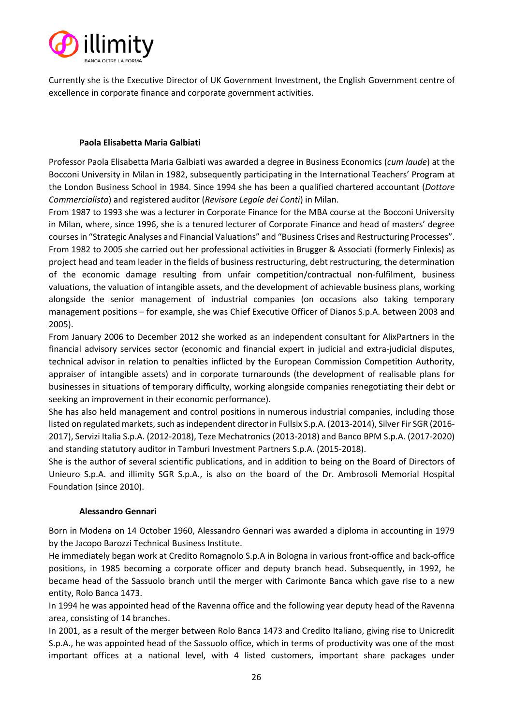

Currently she is the Executive Director of UK Government Investment, the English Government centre of excellence in corporate finance and corporate government activities.

# **Paola Elisabetta Maria Galbiati**

Professor Paola Elisabetta Maria Galbiati was awarded a degree in Business Economics (*cum laude*) at the Bocconi University in Milan in 1982, subsequently participating in the International Teachers' Program at the London Business School in 1984. Since 1994 she has been a qualified chartered accountant (*Dottore Commercialista*) and registered auditor (*Revisore Legale dei Conti*) in Milan.

From 1987 to 1993 she was a lecturer in Corporate Finance for the MBA course at the Bocconi University in Milan, where, since 1996, she is a tenured lecturer of Corporate Finance and head of masters' degree courses in "Strategic Analyses and Financial Valuations" and "Business Crises and Restructuring Processes". From 1982 to 2005 she carried out her professional activities in Brugger & Associati (formerly Finlexis) as project head and team leader in the fields of business restructuring, debt restructuring, the determination of the economic damage resulting from unfair competition/contractual non-fulfilment, business valuations, the valuation of intangible assets, and the development of achievable business plans, working alongside the senior management of industrial companies (on occasions also taking temporary management positions – for example, she was Chief Executive Officer of Dianos S.p.A. between 2003 and 2005).

From January 2006 to December 2012 she worked as an independent consultant for AlixPartners in the financial advisory services sector (economic and financial expert in judicial and extra-judicial disputes, technical advisor in relation to penalties inflicted by the European Commission Competition Authority, appraiser of intangible assets) and in corporate turnarounds (the development of realisable plans for businesses in situations of temporary difficulty, working alongside companies renegotiating their debt or seeking an improvement in their economic performance).

She has also held management and control positions in numerous industrial companies, including those listed on regulated markets, such as independent director in Fullsix S.p.A. (2013-2014), Silver Fir SGR (2016- 2017), Servizi Italia S.p.A. (2012-2018), Teze Mechatronics (2013-2018) and Banco BPM S.p.A. (2017-2020) and standing statutory auditor in Tamburi Investment Partners S.p.A. (2015-2018).

She is the author of several scientific publications, and in addition to being on the Board of Directors of Unieuro S.p.A. and illimity SGR S.p.A., is also on the board of the Dr. Ambrosoli Memorial Hospital Foundation (since 2010).

#### **Alessandro Gennari**

Born in Modena on 14 October 1960, Alessandro Gennari was awarded a diploma in accounting in 1979 by the Jacopo Barozzi Technical Business Institute.

He immediately began work at Credito Romagnolo S.p.A in Bologna in various front-office and back-office positions, in 1985 becoming a corporate officer and deputy branch head. Subsequently, in 1992, he became head of the Sassuolo branch until the merger with Carimonte Banca which gave rise to a new entity, Rolo Banca 1473.

In 1994 he was appointed head of the Ravenna office and the following year deputy head of the Ravenna area, consisting of 14 branches.

In 2001, as a result of the merger between Rolo Banca 1473 and Credito Italiano, giving rise to Unicredit S.p.A., he was appointed head of the Sassuolo office, which in terms of productivity was one of the most important offices at a national level, with 4 listed customers, important share packages under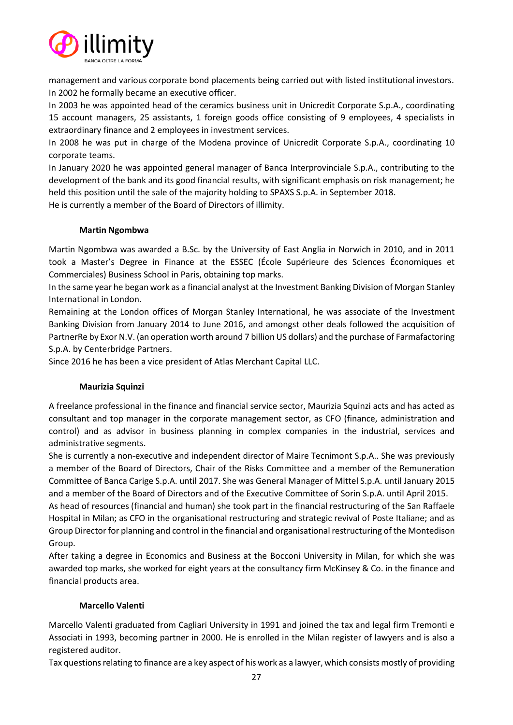

management and various corporate bond placements being carried out with listed institutional investors. In 2002 he formally became an executive officer.

In 2003 he was appointed head of the ceramics business unit in Unicredit Corporate S.p.A., coordinating 15 account managers, 25 assistants, 1 foreign goods office consisting of 9 employees, 4 specialists in extraordinary finance and 2 employees in investment services.

In 2008 he was put in charge of the Modena province of Unicredit Corporate S.p.A., coordinating 10 corporate teams.

In January 2020 he was appointed general manager of Banca Interprovinciale S.p.A., contributing to the development of the bank and its good financial results, with significant emphasis on risk management; he held this position until the sale of the majority holding to SPAXS S.p.A. in September 2018.

He is currently a member of the Board of Directors of illimity.

# **Martin Ngombwa**

Martin Ngombwa was awarded a B.Sc. by the University of East Anglia in Norwich in 2010, and in 2011 took a Master's Degree in Finance at the ESSEC (École Supérieure des Sciences Économiques et Commerciales) Business School in Paris, obtaining top marks.

In the same year he began work as a financial analyst at the Investment Banking Division of Morgan Stanley International in London.

Remaining at the London offices of Morgan Stanley International, he was associate of the Investment Banking Division from January 2014 to June 2016, and amongst other deals followed the acquisition of PartnerRe by Exor N.V. (an operation worth around 7 billion US dollars) and the purchase of Farmafactoring S.p.A. by Centerbridge Partners.

Since 2016 he has been a vice president of Atlas Merchant Capital LLC.

#### **Maurizia Squinzi**

A freelance professional in the finance and financial service sector, Maurizia Squinzi acts and has acted as consultant and top manager in the corporate management sector, as CFO (finance, administration and control) and as advisor in business planning in complex companies in the industrial, services and administrative segments.

She is currently a non-executive and independent director of Maire Tecnimont S.p.A.. She was previously a member of the Board of Directors, Chair of the Risks Committee and a member of the Remuneration Committee of Banca Carige S.p.A. until 2017. She was General Manager of Mittel S.p.A. until January 2015 and a member of the Board of Directors and of the Executive Committee of Sorin S.p.A. until April 2015.

As head of resources (financial and human) she took part in the financial restructuring of the San Raffaele Hospital in Milan; as CFO in the organisational restructuring and strategic revival of Poste Italiane; and as Group Director for planning and control in the financial and organisational restructuring of the Montedison Group.

After taking a degree in Economics and Business at the Bocconi University in Milan, for which she was awarded top marks, she worked for eight years at the consultancy firm McKinsey & Co. in the finance and financial products area.

#### **Marcello Valenti**

Marcello Valenti graduated from Cagliari University in 1991 and joined the tax and legal firm Tremonti e Associati in 1993, becoming partner in 2000. He is enrolled in the Milan register of lawyers and is also a registered auditor.

Tax questions relating to finance are a key aspect of his work as a lawyer, which consists mostly of providing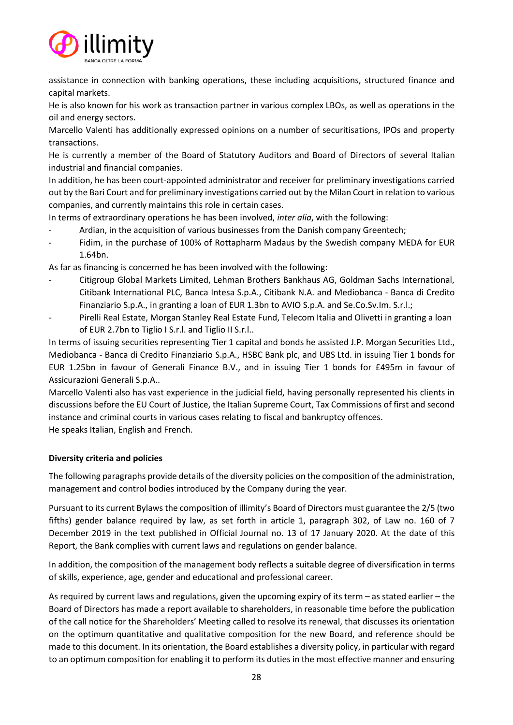

assistance in connection with banking operations, these including acquisitions, structured finance and capital markets.

He is also known for his work as transaction partner in various complex LBOs, as well as operations in the oil and energy sectors.

Marcello Valenti has additionally expressed opinions on a number of securitisations, IPOs and property transactions.

He is currently a member of the Board of Statutory Auditors and Board of Directors of several Italian industrial and financial companies.

In addition, he has been court-appointed administrator and receiver for preliminary investigations carried out by the Bari Court and for preliminary investigations carried out by the Milan Court in relation to various companies, and currently maintains this role in certain cases.

In terms of extraordinary operations he has been involved, *inter alia*, with the following:

- Ardian, in the acquisition of various businesses from the Danish company Greentech;
- Fidim, in the purchase of 100% of Rottapharm Madaus by the Swedish company MEDA for EUR 1.64bn.

As far as financing is concerned he has been involved with the following:

- Citigroup Global Markets Limited, Lehman Brothers Bankhaus AG, Goldman Sachs International, Citibank International PLC, Banca Intesa S.p.A., Citibank N.A. and Mediobanca - Banca di Credito Finanziario S.p.A., in granting a loan of EUR 1.3bn to AVIO S.p.A. and Se.Co.Sv.Im. S.r.l.;
- Pirelli Real Estate, Morgan Stanley Real Estate Fund, Telecom Italia and Olivetti in granting a loan of EUR 2.7bn to Tiglio I S.r.l. and Tiglio II S.r.l..

In terms of issuing securities representing Tier 1 capital and bonds he assisted J.P. Morgan Securities Ltd., Mediobanca - Banca di Credito Finanziario S.p.A., HSBC Bank plc, and UBS Ltd. in issuing Tier 1 bonds for EUR 1.25bn in favour of Generali Finance B.V., and in issuing Tier 1 bonds for £495m in favour of Assicurazioni Generali S.p.A..

Marcello Valenti also has vast experience in the judicial field, having personally represented his clients in discussions before the EU Court of Justice, the Italian Supreme Court, Tax Commissions of first and second instance and criminal courts in various cases relating to fiscal and bankruptcy offences. He speaks Italian, English and French.

**Diversity criteria and policies**

The following paragraphs provide details of the diversity policies on the composition of the administration, management and control bodies introduced by the Company during the year.

Pursuant to its current Bylaws the composition of illimity's Board of Directors must guarantee the 2/5 (two fifths) gender balance required by law, as set forth in article 1, paragraph 302, of Law no. 160 of 7 December 2019 in the text published in Official Journal no. 13 of 17 January 2020. At the date of this Report, the Bank complies with current laws and regulations on gender balance.

In addition, the composition of the management body reflects a suitable degree of diversification in terms of skills, experience, age, gender and educational and professional career.

As required by current laws and regulations, given the upcoming expiry of its term – as stated earlier – the Board of Directors has made a report available to shareholders, in reasonable time before the publication of the call notice for the Shareholders' Meeting called to resolve its renewal, that discusses its orientation on the optimum quantitative and qualitative composition for the new Board, and reference should be made to this document. In its orientation, the Board establishes a diversity policy, in particular with regard to an optimum composition for enabling it to perform its duties in the most effective manner and ensuring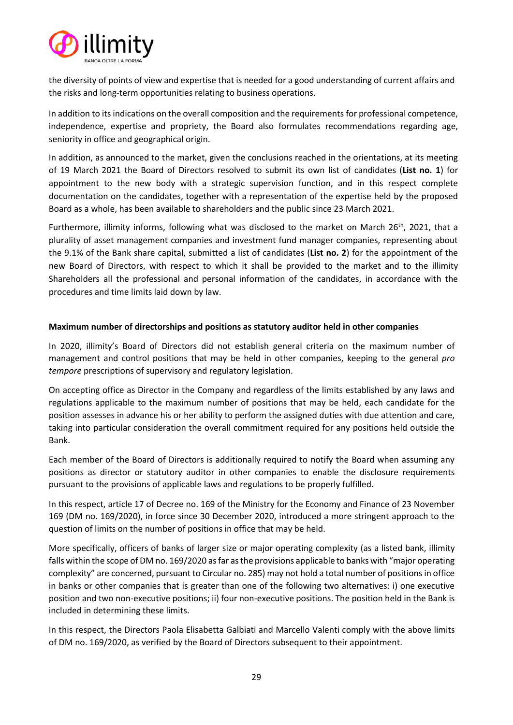

the diversity of points of view and expertise that is needed for a good understanding of current affairs and the risks and long-term opportunities relating to business operations.

In addition to its indications on the overall composition and the requirements for professional competence, independence, expertise and propriety, the Board also formulates recommendations regarding age, seniority in office and geographical origin.

In addition, as announced to the market, given the conclusions reached in the orientations, at its meeting of 19 March 2021 the Board of Directors resolved to submit its own list of candidates (**List no. 1**) for appointment to the new body with a strategic supervision function, and in this respect complete documentation on the candidates, together with a representation of the expertise held by the proposed Board as a whole, has been available to shareholders and the public since 23 March 2021.

Furthermore, illimity informs, following what was disclosed to the market on March 26<sup>th</sup>, 2021, that a plurality of asset management companies and investment fund manager companies, representing about the 9.1% of the Bank share capital, submitted a list of candidates (**List no. 2**) for the appointment of the new Board of Directors, with respect to which it shall be provided to the market and to the illimity Shareholders all the professional and personal information of the candidates, in accordance with the procedures and time limits laid down by law.

# **Maximum number of directorships and positions as statutory auditor held in other companies**

In 2020, illimity's Board of Directors did not establish general criteria on the maximum number of management and control positions that may be held in other companies, keeping to the general *pro tempore* prescriptions of supervisory and regulatory legislation.

On accepting office as Director in the Company and regardless of the limits established by any laws and regulations applicable to the maximum number of positions that may be held, each candidate for the position assesses in advance his or her ability to perform the assigned duties with due attention and care, taking into particular consideration the overall commitment required for any positions held outside the Bank.

Each member of the Board of Directors is additionally required to notify the Board when assuming any positions as director or statutory auditor in other companies to enable the disclosure requirements pursuant to the provisions of applicable laws and regulations to be properly fulfilled.

In this respect, article 17 of Decree no. 169 of the Ministry for the Economy and Finance of 23 November 169 (DM no. 169/2020), in force since 30 December 2020, introduced a more stringent approach to the question of limits on the number of positions in office that may be held.

More specifically, officers of banks of larger size or major operating complexity (as a listed bank, illimity falls within the scope of DM no. 169/2020 as far as the provisions applicable to banks with "major operating complexity" are concerned, pursuant to Circular no. 285) may not hold a total number of positions in office in banks or other companies that is greater than one of the following two alternatives: i) one executive position and two non-executive positions; ii) four non-executive positions. The position held in the Bank is included in determining these limits.

In this respect, the Directors Paola Elisabetta Galbiati and Marcello Valenti comply with the above limits of DM no. 169/2020, as verified by the Board of Directors subsequent to their appointment.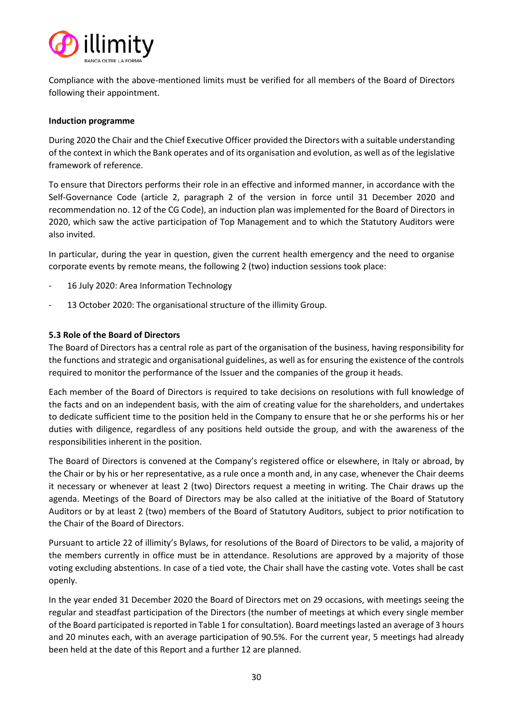

Compliance with the above-mentioned limits must be verified for all members of the Board of Directors following their appointment.

## **Induction programme**

During 2020 the Chair and the Chief Executive Officer provided the Directors with a suitable understanding of the context in which the Bank operates and of its organisation and evolution, as well as of the legislative framework of reference.

To ensure that Directors performs their role in an effective and informed manner, in accordance with the Self-Governance Code (article 2, paragraph 2 of the version in force until 31 December 2020 and recommendation no. 12 of the CG Code), an induction plan was implemented for the Board of Directors in 2020, which saw the active participation of Top Management and to which the Statutory Auditors were also invited.

In particular, during the year in question, given the current health emergency and the need to organise corporate events by remote means, the following 2 (two) induction sessions took place:

- 16 July 2020: Area Information Technology
- 13 October 2020: The organisational structure of the illimity Group.

# <span id="page-29-0"></span>**5.3 Role of the Board of Directors**

The Board of Directors has a central role as part of the organisation of the business, having responsibility for the functions and strategic and organisational guidelines, as well as for ensuring the existence of the controls required to monitor the performance of the Issuer and the companies of the group it heads.

Each member of the Board of Directors is required to take decisions on resolutions with full knowledge of the facts and on an independent basis, with the aim of creating value for the shareholders, and undertakes to dedicate sufficient time to the position held in the Company to ensure that he or she performs his or her duties with diligence, regardless of any positions held outside the group, and with the awareness of the responsibilities inherent in the position.

The Board of Directors is convened at the Company's registered office or elsewhere, in Italy or abroad, by the Chair or by his or her representative, as a rule once a month and, in any case, whenever the Chair deems it necessary or whenever at least 2 (two) Directors request a meeting in writing. The Chair draws up the agenda. Meetings of the Board of Directors may be also called at the initiative of the Board of Statutory Auditors or by at least 2 (two) members of the Board of Statutory Auditors, subject to prior notification to the Chair of the Board of Directors.

Pursuant to article 22 of illimity's Bylaws, for resolutions of the Board of Directors to be valid, a majority of the members currently in office must be in attendance. Resolutions are approved by a majority of those voting excluding abstentions. In case of a tied vote, the Chair shall have the casting vote. Votes shall be cast openly.

In the year ended 31 December 2020 the Board of Directors met on 29 occasions, with meetings seeing the regular and steadfast participation of the Directors (the number of meetings at which every single member of the Board participated is reported in Table 1 for consultation). Board meetings lasted an average of 3 hours and 20 minutes each, with an average participation of 90.5%. For the current year, 5 meetings had already been held at the date of this Report and a further 12 are planned.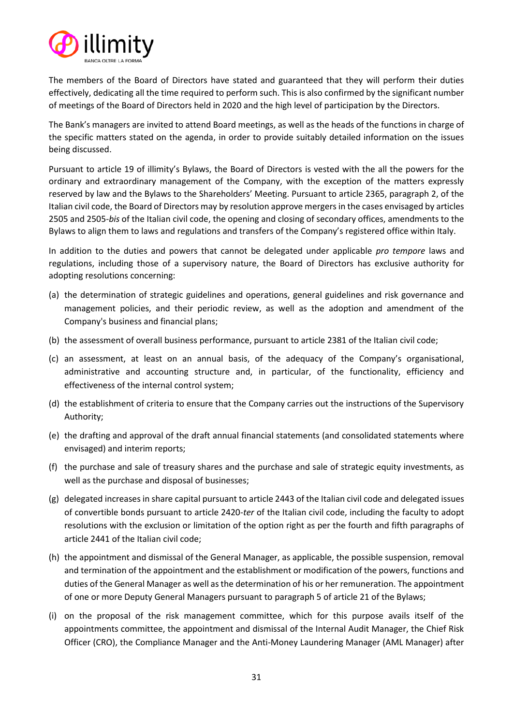

The members of the Board of Directors have stated and guaranteed that they will perform their duties effectively, dedicating all the time required to perform such. This is also confirmed by the significant number of meetings of the Board of Directors held in 2020 and the high level of participation by the Directors.

The Bank's managers are invited to attend Board meetings, as well as the heads of the functions in charge of the specific matters stated on the agenda, in order to provide suitably detailed information on the issues being discussed.

Pursuant to article 19 of illimity's Bylaws, the Board of Directors is vested with the all the powers for the ordinary and extraordinary management of the Company, with the exception of the matters expressly reserved by law and the Bylaws to the Shareholders' Meeting. Pursuant to article 2365, paragraph 2, of the Italian civil code, the Board of Directors may by resolution approve mergers in the cases envisaged by articles 2505 and 2505-*bis* of the Italian civil code, the opening and closing of secondary offices, amendments to the Bylaws to align them to laws and regulations and transfers of the Company's registered office within Italy.

In addition to the duties and powers that cannot be delegated under applicable *pro tempore* laws and regulations, including those of a supervisory nature, the Board of Directors has exclusive authority for adopting resolutions concerning:

- (a) the determination of strategic guidelines and operations, general guidelines and risk governance and management policies, and their periodic review, as well as the adoption and amendment of the Company's business and financial plans;
- (b) the assessment of overall business performance, pursuant to article 2381 of the Italian civil code;
- (c) an assessment, at least on an annual basis, of the adequacy of the Company's organisational, administrative and accounting structure and, in particular, of the functionality, efficiency and effectiveness of the internal control system;
- (d) the establishment of criteria to ensure that the Company carries out the instructions of the Supervisory Authority;
- (e) the drafting and approval of the draft annual financial statements (and consolidated statements where envisaged) and interim reports;
- (f) the purchase and sale of treasury shares and the purchase and sale of strategic equity investments, as well as the purchase and disposal of businesses;
- (g) delegated increases in share capital pursuant to article 2443 of the Italian civil code and delegated issues of convertible bonds pursuant to article 2420-*ter* of the Italian civil code, including the faculty to adopt resolutions with the exclusion or limitation of the option right as per the fourth and fifth paragraphs of article 2441 of the Italian civil code;
- (h) the appointment and dismissal of the General Manager, as applicable, the possible suspension, removal and termination of the appointment and the establishment or modification of the powers, functions and duties of the General Manager as well as the determination of his or her remuneration. The appointment of one or more Deputy General Managers pursuant to paragraph 5 of article 21 of the Bylaws;
- (i) on the proposal of the risk management committee, which for this purpose avails itself of the appointments committee, the appointment and dismissal of the Internal Audit Manager, the Chief Risk Officer (CRO), the Compliance Manager and the Anti-Money Laundering Manager (AML Manager) after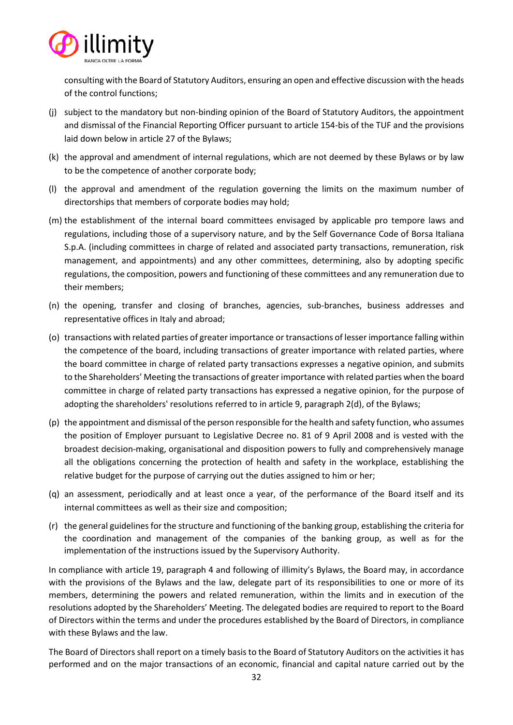

consulting with the Board of Statutory Auditors, ensuring an open and effective discussion with the heads of the control functions;

- (j) subject to the mandatory but non-binding opinion of the Board of Statutory Auditors, the appointment and dismissal of the Financial Reporting Officer pursuant to article 154-bis of the TUF and the provisions laid down below in article 27 of the Bylaws;
- (k) the approval and amendment of internal regulations, which are not deemed by these Bylaws or by law to be the competence of another corporate body;
- (l) the approval and amendment of the regulation governing the limits on the maximum number of directorships that members of corporate bodies may hold;
- (m) the establishment of the internal board committees envisaged by applicable pro tempore laws and regulations, including those of a supervisory nature, and by the Self Governance Code of Borsa Italiana S.p.A. (including committees in charge of related and associated party transactions, remuneration, risk management, and appointments) and any other committees, determining, also by adopting specific regulations, the composition, powers and functioning of these committees and any remuneration due to their members;
- (n) the opening, transfer and closing of branches, agencies, sub-branches, business addresses and representative offices in Italy and abroad;
- (o) transactions with related parties of greater importance or transactions of lesser importance falling within the competence of the board, including transactions of greater importance with related parties, where the board committee in charge of related party transactions expresses a negative opinion, and submits to the Shareholders' Meeting the transactions of greater importance with related parties when the board committee in charge of related party transactions has expressed a negative opinion, for the purpose of adopting the shareholders' resolutions referred to in article 9, paragraph 2(d), of the Bylaws;
- (p) the appointment and dismissal of the person responsible for the health and safety function, who assumes the position of Employer pursuant to Legislative Decree no. 81 of 9 April 2008 and is vested with the broadest decision-making, organisational and disposition powers to fully and comprehensively manage all the obligations concerning the protection of health and safety in the workplace, establishing the relative budget for the purpose of carrying out the duties assigned to him or her;
- (q) an assessment, periodically and at least once a year, of the performance of the Board itself and its internal committees as well as their size and composition;
- (r) the general guidelines for the structure and functioning of the banking group, establishing the criteria for the coordination and management of the companies of the banking group, as well as for the implementation of the instructions issued by the Supervisory Authority.

In compliance with article 19, paragraph 4 and following of illimity's Bylaws, the Board may, in accordance with the provisions of the Bylaws and the law, delegate part of its responsibilities to one or more of its members, determining the powers and related remuneration, within the limits and in execution of the resolutions adopted by the Shareholders' Meeting. The delegated bodies are required to report to the Board of Directors within the terms and under the procedures established by the Board of Directors, in compliance with these Bylaws and the law.

The Board of Directors shall report on a timely basis to the Board of Statutory Auditors on the activities it has performed and on the major transactions of an economic, financial and capital nature carried out by the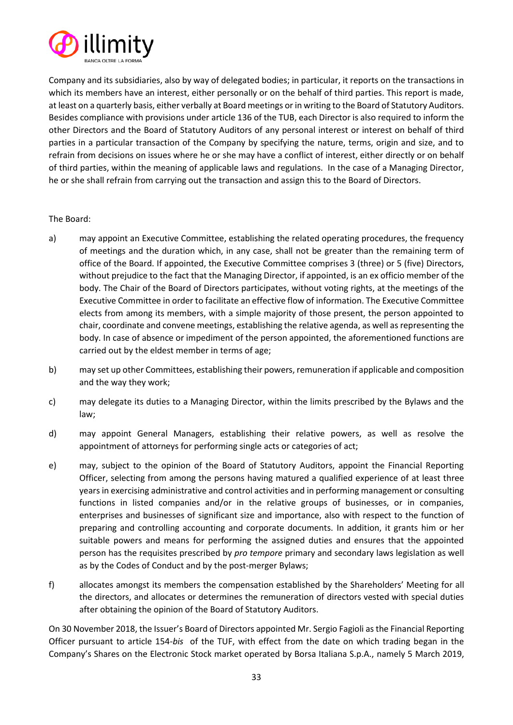

Company and its subsidiaries, also by way of delegated bodies; in particular, it reports on the transactions in which its members have an interest, either personally or on the behalf of third parties. This report is made, at least on a quarterly basis, either verbally at Board meetings or in writing to the Board of Statutory Auditors. Besides compliance with provisions under article 136 of the TUB, each Director is also required to inform the other Directors and the Board of Statutory Auditors of any personal interest or interest on behalf of third parties in a particular transaction of the Company by specifying the nature, terms, origin and size, and to refrain from decisions on issues where he or she may have a conflict of interest, either directly or on behalf of third parties, within the meaning of applicable laws and regulations. In the case of a Managing Director, he or she shall refrain from carrying out the transaction and assign this to the Board of Directors.

# The Board:

- a) may appoint an Executive Committee, establishing the related operating procedures, the frequency of meetings and the duration which, in any case, shall not be greater than the remaining term of office of the Board. If appointed, the Executive Committee comprises 3 (three) or 5 (five) Directors, without prejudice to the fact that the Managing Director, if appointed, is an ex officio member of the body. The Chair of the Board of Directors participates, without voting rights, at the meetings of the Executive Committee in order to facilitate an effective flow of information. The Executive Committee elects from among its members, with a simple majority of those present, the person appointed to chair, coordinate and convene meetings, establishing the relative agenda, as well as representing the body. In case of absence or impediment of the person appointed, the aforementioned functions are carried out by the eldest member in terms of age;
- b) may set up other Committees, establishing their powers, remuneration if applicable and composition and the way they work;
- c) may delegate its duties to a Managing Director, within the limits prescribed by the Bylaws and the law;
- d) may appoint General Managers, establishing their relative powers, as well as resolve the appointment of attorneys for performing single acts or categories of act;
- e) may, subject to the opinion of the Board of Statutory Auditors, appoint the Financial Reporting Officer, selecting from among the persons having matured a qualified experience of at least three years in exercising administrative and control activities and in performing management or consulting functions in listed companies and/or in the relative groups of businesses, or in companies, enterprises and businesses of significant size and importance, also with respect to the function of preparing and controlling accounting and corporate documents. In addition, it grants him or her suitable powers and means for performing the assigned duties and ensures that the appointed person has the requisites prescribed by *pro tempore* primary and secondary laws legislation as well as by the Codes of Conduct and by the post-merger Bylaws;
- f) allocates amongst its members the compensation established by the Shareholders' Meeting for all the directors, and allocates or determines the remuneration of directors vested with special duties after obtaining the opinion of the Board of Statutory Auditors.

On 30 November 2018, the Issuer's Board of Directors appointed Mr. Sergio Fagioli as the Financial Reporting Officer pursuant to article 154-*bis* of the TUF, with effect from the date on which trading began in the Company's Shares on the Electronic Stock market operated by Borsa Italiana S.p.A., namely 5 March 2019,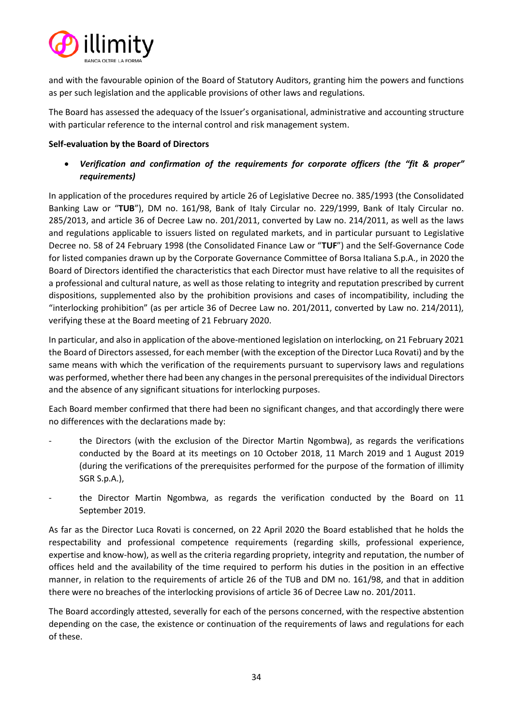

and with the favourable opinion of the Board of Statutory Auditors, granting him the powers and functions as per such legislation and the applicable provisions of other laws and regulations.

The Board has assessed the adequacy of the Issuer's organisational, administrative and accounting structure with particular reference to the internal control and risk management system.

# **Self-evaluation by the Board of Directors**

• *Verification and confirmation of the requirements for corporate officers (the "fit & proper" requirements)*

In application of the procedures required by article 26 of Legislative Decree no. 385/1993 (the Consolidated Banking Law or "**TUB**"), DM no. 161/98, Bank of Italy Circular no. 229/1999, Bank of Italy Circular no. 285/2013, and article 36 of Decree Law no. 201/2011, converted by Law no. 214/2011, as well as the laws and regulations applicable to issuers listed on regulated markets, and in particular pursuant to Legislative Decree no. 58 of 24 February 1998 (the Consolidated Finance Law or "**TUF**") and the Self-Governance Code for listed companies drawn up by the Corporate Governance Committee of Borsa Italiana S.p.A., in 2020 the Board of Directors identified the characteristics that each Director must have relative to all the requisites of a professional and cultural nature, as well as those relating to integrity and reputation prescribed by current dispositions, supplemented also by the prohibition provisions and cases of incompatibility, including the "interlocking prohibition" (as per article 36 of Decree Law no. 201/2011, converted by Law no. 214/2011), verifying these at the Board meeting of 21 February 2020.

In particular, and also in application of the above-mentioned legislation on interlocking, on 21 February 2021 the Board of Directors assessed, for each member (with the exception of the Director Luca Rovati) and by the same means with which the verification of the requirements pursuant to supervisory laws and regulations was performed, whether there had been any changes in the personal prerequisites of the individual Directors and the absence of any significant situations for interlocking purposes.

Each Board member confirmed that there had been no significant changes, and that accordingly there were no differences with the declarations made by:

- the Directors (with the exclusion of the Director Martin Ngombwa), as regards the verifications conducted by the Board at its meetings on 10 October 2018, 11 March 2019 and 1 August 2019 (during the verifications of the prerequisites performed for the purpose of the formation of illimity SGR S.p.A.),
- the Director Martin Ngombwa, as regards the verification conducted by the Board on 11 September 2019.

As far as the Director Luca Rovati is concerned, on 22 April 2020 the Board established that he holds the respectability and professional competence requirements (regarding skills, professional experience, expertise and know-how), as well as the criteria regarding propriety, integrity and reputation, the number of offices held and the availability of the time required to perform his duties in the position in an effective manner, in relation to the requirements of article 26 of the TUB and DM no. 161/98, and that in addition there were no breaches of the interlocking provisions of article 36 of Decree Law no. 201/2011.

The Board accordingly attested, severally for each of the persons concerned, with the respective abstention depending on the case, the existence or continuation of the requirements of laws and regulations for each of these.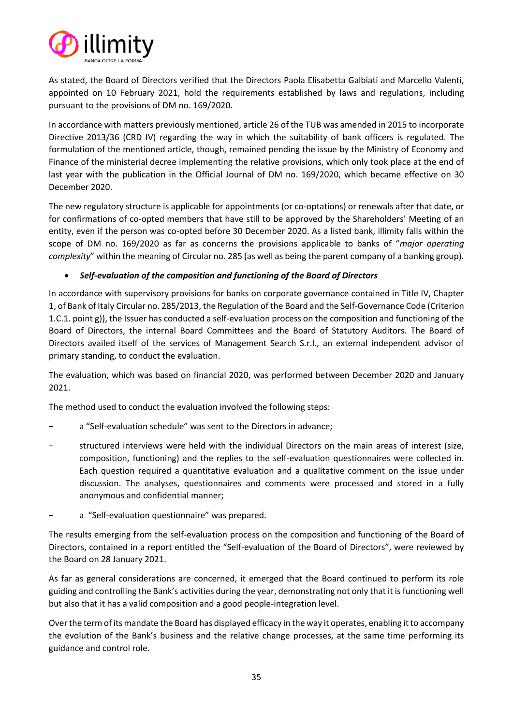

As stated, the Board of Directors verified that the Directors Paola Elisabetta Galbiati and Marcello Valenti, appointed on 10 February 2021, hold the requirements established by laws and regulations, including pursuant to the provisions of DM no. 169/2020.

In accordance with matters previously mentioned, article 26 of the TUB was amended in 2015 to incorporate Directive 2013/36 (CRD IV) regarding the way in which the suitability of bank officers is regulated. The formulation of the mentioned article, though, remained pending the issue by the Ministry of Economy and Finance of the ministerial decree implementing the relative provisions, which only took place at the end of last year with the publication in the Official Journal of DM no. 169/2020, which became effective on 30 December 2020.

The new regulatory structure is applicable for appointments (or co-optations) or renewals after that date, or for confirmations of co-opted members that have still to be approved by the Shareholders' Meeting of an entity, even if the person was co-opted before 30 December 2020. As a listed bank, illimity falls within the scope of DM no. 169/2020 as far as concerns the provisions applicable to banks of "*major operating complexity*" within the meaning of Circular no. 285 (as well as being the parent company of a banking group).

# • *Self-evaluation of the composition and functioning of the Board of Directors*

In accordance with supervisory provisions for banks on corporate governance contained in Title IV, Chapter 1, of Bank of Italy Circular no. 285/2013, the Regulation of the Board and the Self-Governance Code (Criterion 1.C.1. point g)), the Issuer has conducted a self-evaluation process on the composition and functioning of the Board of Directors, the internal Board Committees and the Board of Statutory Auditors. The Board of Directors availed itself of the services of Management Search S.r.l., an external independent advisor of primary standing, to conduct the evaluation.

The evaluation, which was based on financial 2020, was performed between December 2020 and January 2021.

The method used to conduct the evaluation involved the following steps:

- a "Self-evaluation schedule" was sent to the Directors in advance:
- structured interviews were held with the individual Directors on the main areas of interest (size, composition, functioning) and the replies to the self-evaluation questionnaires were collected in. Each question required a quantitative evaluation and a qualitative comment on the issue under discussion. The analyses, questionnaires and comments were processed and stored in a fully anonymous and confidential manner;
- a "Self-evaluation questionnaire" was prepared.

The results emerging from the self-evaluation process on the composition and functioning of the Board of Directors, contained in a report entitled the "Self-evaluation of the Board of Directors", were reviewed by the Board on 28 January 2021.

As far as general considerations are concerned, it emerged that the Board continued to perform its role guiding and controlling the Bank's activities during the year, demonstrating not only that it is functioning well but also that it has a valid composition and a good people-integration level.

Over the term of its mandate the Board has displayed efficacy in the way it operates, enabling it to accompany the evolution of the Bank's business and the relative change processes, at the same time performing its guidance and control role.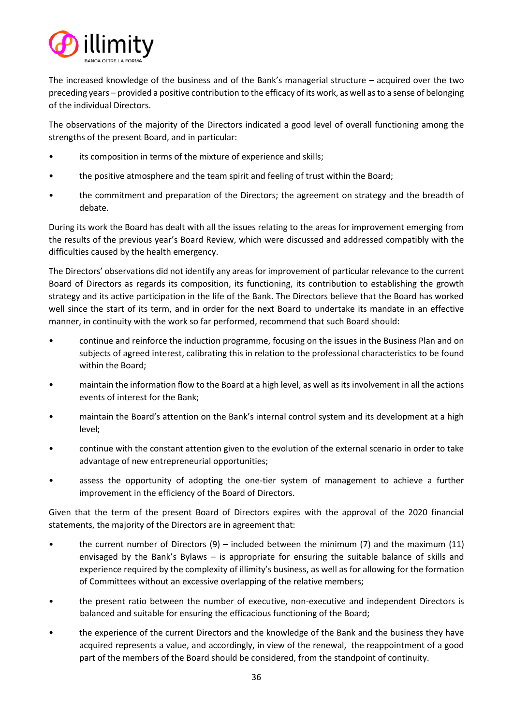

The increased knowledge of the business and of the Bank's managerial structure – acquired over the two preceding years – provided a positive contribution to the efficacy of its work, as well as to a sense of belonging of the individual Directors.

The observations of the majority of the Directors indicated a good level of overall functioning among the strengths of the present Board, and in particular:

- its composition in terms of the mixture of experience and skills;
- the positive atmosphere and the team spirit and feeling of trust within the Board;
- the commitment and preparation of the Directors; the agreement on strategy and the breadth of debate.

During its work the Board has dealt with all the issues relating to the areas for improvement emerging from the results of the previous year's Board Review, which were discussed and addressed compatibly with the difficulties caused by the health emergency.

The Directors' observations did not identify any areas for improvement of particular relevance to the current Board of Directors as regards its composition, its functioning, its contribution to establishing the growth strategy and its active participation in the life of the Bank. The Directors believe that the Board has worked well since the start of its term, and in order for the next Board to undertake its mandate in an effective manner, in continuity with the work so far performed, recommend that such Board should:

- continue and reinforce the induction programme, focusing on the issues in the Business Plan and on subjects of agreed interest, calibrating this in relation to the professional characteristics to be found within the Board;
- maintain the information flow to the Board at a high level, as well as its involvement in all the actions events of interest for the Bank;
- maintain the Board's attention on the Bank's internal control system and its development at a high level;
- continue with the constant attention given to the evolution of the external scenario in order to take advantage of new entrepreneurial opportunities;
- assess the opportunity of adopting the one-tier system of management to achieve a further improvement in the efficiency of the Board of Directors.

Given that the term of the present Board of Directors expires with the approval of the 2020 financial statements, the majority of the Directors are in agreement that:

- the current number of Directors  $(9)$  included between the minimum (7) and the maximum (11) envisaged by the Bank's Bylaws – is appropriate for ensuring the suitable balance of skills and experience required by the complexity of illimity's business, as well as for allowing for the formation of Committees without an excessive overlapping of the relative members;
- the present ratio between the number of executive, non-executive and independent Directors is balanced and suitable for ensuring the efficacious functioning of the Board;
- the experience of the current Directors and the knowledge of the Bank and the business they have acquired represents a value, and accordingly, in view of the renewal, the reappointment of a good part of the members of the Board should be considered, from the standpoint of continuity.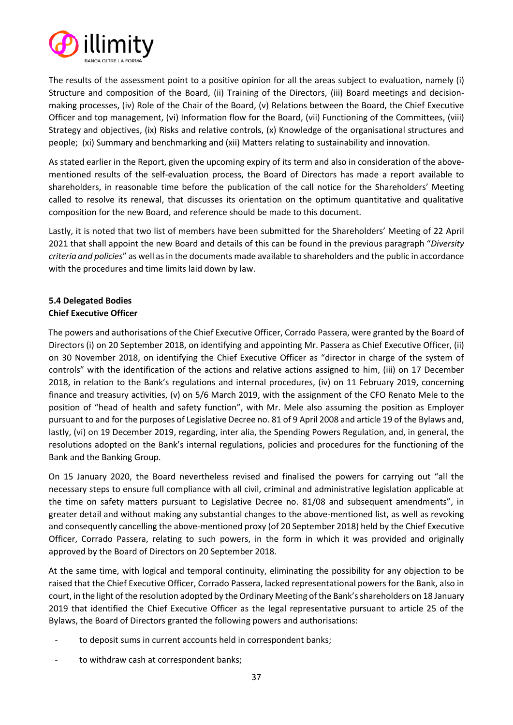

The results of the assessment point to a positive opinion for all the areas subject to evaluation, namely (i) Structure and composition of the Board, (ii) Training of the Directors, (iii) Board meetings and decisionmaking processes, (iv) Role of the Chair of the Board, (v) Relations between the Board, the Chief Executive Officer and top management, (vi) Information flow for the Board, (vii) Functioning of the Committees, (viii) Strategy and objectives, (ix) Risks and relative controls, (x) Knowledge of the organisational structures and people; (xi) Summary and benchmarking and (xii) Matters relating to sustainability and innovation.

As stated earlier in the Report, given the upcoming expiry of its term and also in consideration of the abovementioned results of the self-evaluation process, the Board of Directors has made a report available to shareholders, in reasonable time before the publication of the call notice for the Shareholders' Meeting called to resolve its renewal, that discusses its orientation on the optimum quantitative and qualitative composition for the new Board, and reference should be made to this document.

Lastly, it is noted that two list of members have been submitted for the Shareholders' Meeting of 22 April 2021 that shall appoint the new Board and details of this can be found in the previous paragraph "*Diversity criteria and policies*" as well as in the documents made available to shareholders and the public in accordance with the procedures and time limits laid down by law.

# **5.4 Delegated Bodies Chief Executive Officer**

The powers and authorisations of the Chief Executive Officer, Corrado Passera, were granted by the Board of Directors (i) on 20 September 2018, on identifying and appointing Mr. Passera as Chief Executive Officer, (ii) on 30 November 2018, on identifying the Chief Executive Officer as "director in charge of the system of controls" with the identification of the actions and relative actions assigned to him, (iii) on 17 December 2018, in relation to the Bank's regulations and internal procedures, (iv) on 11 February 2019, concerning finance and treasury activities, (v) on 5/6 March 2019, with the assignment of the CFO Renato Mele to the position of "head of health and safety function", with Mr. Mele also assuming the position as Employer pursuant to and for the purposes of Legislative Decree no. 81 of 9 April 2008 and article 19 of the Bylaws and, lastly, (vi) on 19 December 2019, regarding, inter alia, the Spending Powers Regulation, and, in general, the resolutions adopted on the Bank's internal regulations, policies and procedures for the functioning of the Bank and the Banking Group.

On 15 January 2020, the Board nevertheless revised and finalised the powers for carrying out "all the necessary steps to ensure full compliance with all civil, criminal and administrative legislation applicable at the time on safety matters pursuant to Legislative Decree no. 81/08 and subsequent amendments", in greater detail and without making any substantial changes to the above-mentioned list, as well as revoking and consequently cancelling the above-mentioned proxy (of 20 September 2018) held by the Chief Executive Officer, Corrado Passera, relating to such powers, in the form in which it was provided and originally approved by the Board of Directors on 20 September 2018.

At the same time, with logical and temporal continuity, eliminating the possibility for any objection to be raised that the Chief Executive Officer, Corrado Passera, lacked representational powers for the Bank, also in court, in the light of the resolution adopted by the Ordinary Meeting of the Bank's shareholders on 18 January 2019 that identified the Chief Executive Officer as the legal representative pursuant to article 25 of the Bylaws, the Board of Directors granted the following powers and authorisations:

- to deposit sums in current accounts held in correspondent banks;
- to withdraw cash at correspondent banks;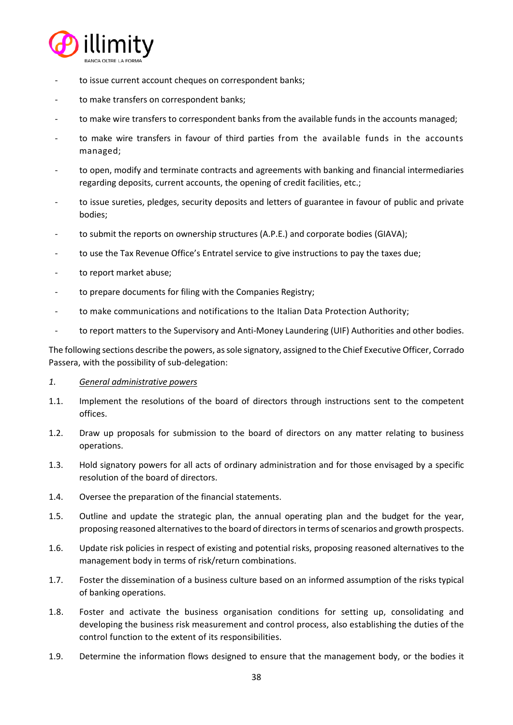

- to issue current account cheques on correspondent banks;
- to make transfers on correspondent banks;
- to make wire transfers to correspondent banks from the available funds in the accounts managed;
- to make wire transfers in favour of third parties from the available funds in the accounts managed;
- to open, modify and terminate contracts and agreements with banking and financial intermediaries regarding deposits, current accounts, the opening of credit facilities, etc.;
- to issue sureties, pledges, security deposits and letters of guarantee in favour of public and private bodies;
- to submit the reports on ownership structures (A.P.E.) and corporate bodies (GIAVA);
- to use the Tax Revenue Office's Entratel service to give instructions to pay the taxes due;
- to report market abuse;
- to prepare documents for filing with the Companies Registry;
- to make communications and notifications to the Italian Data Protection Authority;
- to report matters to the Supervisory and Anti-Money Laundering (UIF) Authorities and other bodies.

The following sections describe the powers, as sole signatory, assigned to the Chief Executive Officer, Corrado Passera, with the possibility of sub-delegation:

## *1. General administrative powers*

- 1.1. Implement the resolutions of the board of directors through instructions sent to the competent offices.
- 1.2. Draw up proposals for submission to the board of directors on any matter relating to business operations.
- 1.3. Hold signatory powers for all acts of ordinary administration and for those envisaged by a specific resolution of the board of directors.
- 1.4. Oversee the preparation of the financial statements.
- 1.5. Outline and update the strategic plan, the annual operating plan and the budget for the year, proposing reasoned alternatives to the board of directors in terms of scenarios and growth prospects.
- 1.6. Update risk policies in respect of existing and potential risks, proposing reasoned alternatives to the management body in terms of risk/return combinations.
- 1.7. Foster the dissemination of a business culture based on an informed assumption of the risks typical of banking operations.
- 1.8. Foster and activate the business organisation conditions for setting up, consolidating and developing the business risk measurement and control process, also establishing the duties of the control function to the extent of its responsibilities.
- 1.9. Determine the information flows designed to ensure that the management body, or the bodies it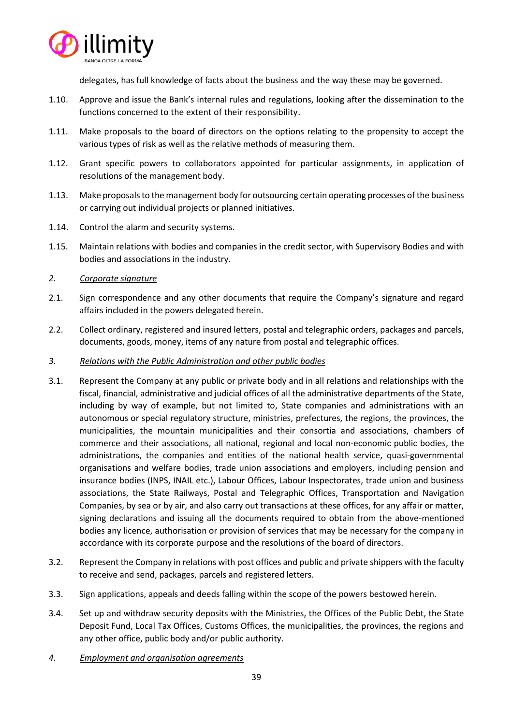

delegates, has full knowledge of facts about the business and the way these may be governed.

- 1.10. Approve and issue the Bank's internal rules and regulations, looking after the dissemination to the functions concerned to the extent of their responsibility.
- 1.11. Make proposals to the board of directors on the options relating to the propensity to accept the various types of risk as well as the relative methods of measuring them.
- 1.12. Grant specific powers to collaborators appointed for particular assignments, in application of resolutions of the management body.
- 1.13. Make proposals to the management body for outsourcing certain operating processes of the business or carrying out individual projects or planned initiatives.
- 1.14. Control the alarm and security systems.
- 1.15. Maintain relations with bodies and companies in the credit sector, with Supervisory Bodies and with bodies and associations in the industry.
- *2. Corporate signature*
- 2.1. Sign correspondence and any other documents that require the Company's signature and regard affairs included in the powers delegated herein.
- 2.2. Collect ordinary, registered and insured letters, postal and telegraphic orders, packages and parcels, documents, goods, money, items of any nature from postal and telegraphic offices.
- *3. Relations with the Public Administration and other public bodies*
- 3.1. Represent the Company at any public or private body and in all relations and relationships with the fiscal, financial, administrative and judicial offices of all the administrative departments of the State, including by way of example, but not limited to, State companies and administrations with an autonomous or special regulatory structure, ministries, prefectures, the regions, the provinces, the municipalities, the mountain municipalities and their consortia and associations, chambers of commerce and their associations, all national, regional and local non-economic public bodies, the administrations, the companies and entities of the national health service, quasi-governmental organisations and welfare bodies, trade union associations and employers, including pension and insurance bodies (INPS, INAIL etc.), Labour Offices, Labour Inspectorates, trade union and business associations, the State Railways, Postal and Telegraphic Offices, Transportation and Navigation Companies, by sea or by air, and also carry out transactions at these offices, for any affair or matter, signing declarations and issuing all the documents required to obtain from the above-mentioned bodies any licence, authorisation or provision of services that may be necessary for the company in accordance with its corporate purpose and the resolutions of the board of directors.
- 3.2. Represent the Company in relations with post offices and public and private shippers with the faculty to receive and send, packages, parcels and registered letters.
- 3.3. Sign applications, appeals and deeds falling within the scope of the powers bestowed herein.
- 3.4. Set up and withdraw security deposits with the Ministries, the Offices of the Public Debt, the State Deposit Fund, Local Tax Offices, Customs Offices, the municipalities, the provinces, the regions and any other office, public body and/or public authority.
- *4. Employment and organisation agreements*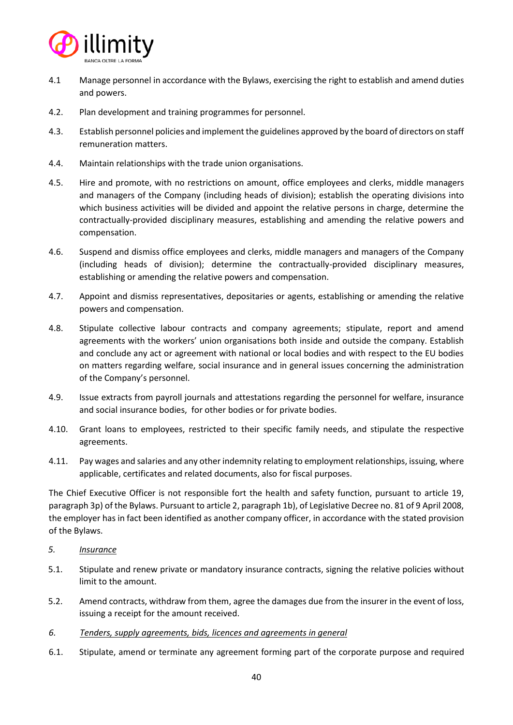

- 4.1 Manage personnel in accordance with the Bylaws, exercising the right to establish and amend duties and powers.
- 4.2. Plan development and training programmes for personnel.
- 4.3. Establish personnel policies and implement the guidelines approved by the board of directors on staff remuneration matters.
- 4.4. Maintain relationships with the trade union organisations.
- 4.5. Hire and promote, with no restrictions on amount, office employees and clerks, middle managers and managers of the Company (including heads of division); establish the operating divisions into which business activities will be divided and appoint the relative persons in charge, determine the contractually-provided disciplinary measures, establishing and amending the relative powers and compensation.
- 4.6. Suspend and dismiss office employees and clerks, middle managers and managers of the Company (including heads of division); determine the contractually-provided disciplinary measures, establishing or amending the relative powers and compensation.
- 4.7. Appoint and dismiss representatives, depositaries or agents, establishing or amending the relative powers and compensation.
- 4.8. Stipulate collective labour contracts and company agreements; stipulate, report and amend agreements with the workers' union organisations both inside and outside the company. Establish and conclude any act or agreement with national or local bodies and with respect to the EU bodies on matters regarding welfare, social insurance and in general issues concerning the administration of the Company's personnel.
- 4.9. Issue extracts from payroll journals and attestations regarding the personnel for welfare, insurance and social insurance bodies, for other bodies or for private bodies.
- 4.10. Grant loans to employees, restricted to their specific family needs, and stipulate the respective agreements.
- 4.11. Pay wages and salaries and any other indemnity relating to employment relationships, issuing, where applicable, certificates and related documents, also for fiscal purposes.

The Chief Executive Officer is not responsible fort the health and safety function, pursuant to article 19, paragraph 3p) of the Bylaws. Pursuant to article 2, paragraph 1b), of Legislative Decree no. 81 of 9 April 2008, the employer has in fact been identified as another company officer, in accordance with the stated provision of the Bylaws.

- *5. Insurance*
- 5.1. Stipulate and renew private or mandatory insurance contracts, signing the relative policies without limit to the amount.
- 5.2. Amend contracts, withdraw from them, agree the damages due from the insurer in the event of loss, issuing a receipt for the amount received.
- *6. Tenders, supply agreements, bids, licences and agreements in general*
- 6.1. Stipulate, amend or terminate any agreement forming part of the corporate purpose and required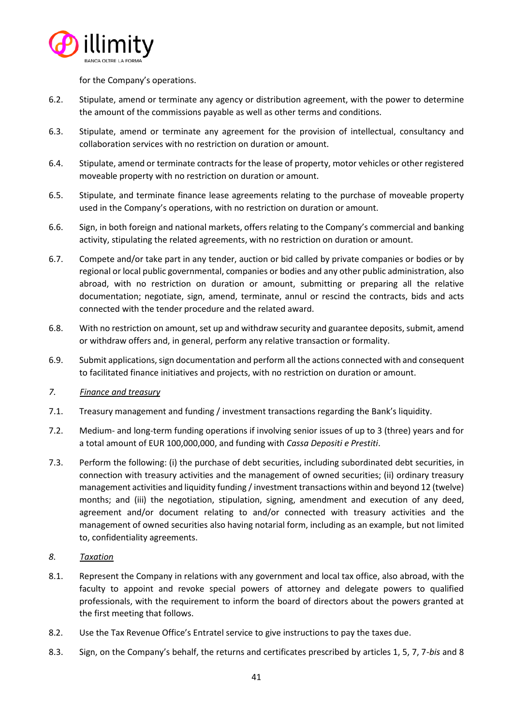

for the Company's operations.

- 6.2. Stipulate, amend or terminate any agency or distribution agreement, with the power to determine the amount of the commissions payable as well as other terms and conditions.
- 6.3. Stipulate, amend or terminate any agreement for the provision of intellectual, consultancy and collaboration services with no restriction on duration or amount.
- 6.4. Stipulate, amend or terminate contracts for the lease of property, motor vehicles or other registered moveable property with no restriction on duration or amount.
- 6.5. Stipulate, and terminate finance lease agreements relating to the purchase of moveable property used in the Company's operations, with no restriction on duration or amount.
- 6.6. Sign, in both foreign and national markets, offers relating to the Company's commercial and banking activity, stipulating the related agreements, with no restriction on duration or amount.
- 6.7. Compete and/or take part in any tender, auction or bid called by private companies or bodies or by regional or local public governmental, companies or bodies and any other public administration, also abroad, with no restriction on duration or amount, submitting or preparing all the relative documentation; negotiate, sign, amend, terminate, annul or rescind the contracts, bids and acts connected with the tender procedure and the related award.
- 6.8. With no restriction on amount, set up and withdraw security and guarantee deposits, submit, amend or withdraw offers and, in general, perform any relative transaction or formality.
- 6.9. Submit applications,sign documentation and perform all the actions connected with and consequent to facilitated finance initiatives and projects, with no restriction on duration or amount.
- *7. Finance and treasury*
- 7.1. Treasury management and funding / investment transactions regarding the Bank's liquidity.
- 7.2. Medium- and long-term funding operations if involving senior issues of up to 3 (three) years and for a total amount of EUR 100,000,000, and funding with *Cassa Depositi e Prestiti*.
- 7.3. Perform the following: (i) the purchase of debt securities, including subordinated debt securities, in connection with treasury activities and the management of owned securities; (ii) ordinary treasury management activities and liquidity funding / investment transactions within and beyond 12 (twelve) months; and (iii) the negotiation, stipulation, signing, amendment and execution of any deed, agreement and/or document relating to and/or connected with treasury activities and the management of owned securities also having notarial form, including as an example, but not limited to, confidentiality agreements.
- *8. Taxation*
- 8.1. Represent the Company in relations with any government and local tax office, also abroad, with the faculty to appoint and revoke special powers of attorney and delegate powers to qualified professionals, with the requirement to inform the board of directors about the powers granted at the first meeting that follows.
- 8.2. Use the Tax Revenue Office's Entratel service to give instructions to pay the taxes due.
- 8.3. Sign, on the Company's behalf, the returns and certificates prescribed by articles 1, 5, 7, 7-*bis* and 8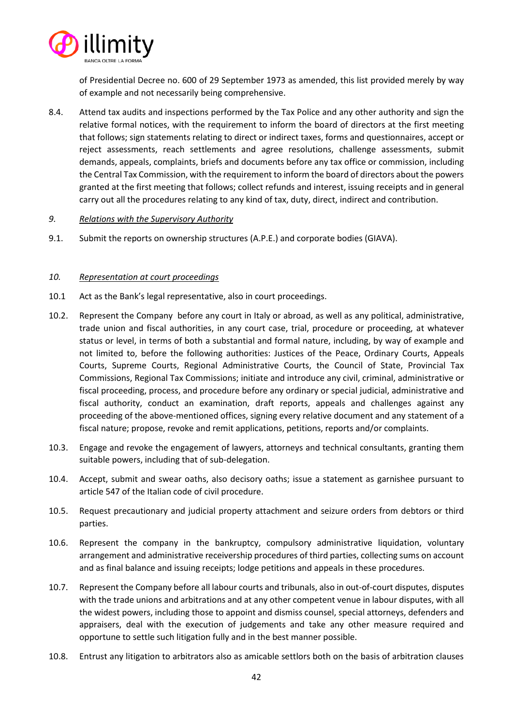

of Presidential Decree no. 600 of 29 September 1973 as amended, this list provided merely by way of example and not necessarily being comprehensive.

8.4. Attend tax audits and inspections performed by the Tax Police and any other authority and sign the relative formal notices, with the requirement to inform the board of directors at the first meeting that follows; sign statements relating to direct or indirect taxes, forms and questionnaires, accept or reject assessments, reach settlements and agree resolutions, challenge assessments, submit demands, appeals, complaints, briefs and documents before any tax office or commission, including the Central Tax Commission, with the requirement to inform the board of directors about the powers granted at the first meeting that follows; collect refunds and interest, issuing receipts and in general carry out all the procedures relating to any kind of tax, duty, direct, indirect and contribution.

## *9. Relations with the Supervisory Authority*

9.1. Submit the reports on ownership structures (A.P.E.) and corporate bodies (GIAVA).

## *10. Representation at court proceedings*

- 10.1 Act as the Bank's legal representative, also in court proceedings.
- 10.2. Represent the Company before any court in Italy or abroad, as well as any political, administrative, trade union and fiscal authorities, in any court case, trial, procedure or proceeding, at whatever status or level, in terms of both a substantial and formal nature, including, by way of example and not limited to, before the following authorities: Justices of the Peace, Ordinary Courts, Appeals Courts, Supreme Courts, Regional Administrative Courts, the Council of State, Provincial Tax Commissions, Regional Tax Commissions; initiate and introduce any civil, criminal, administrative or fiscal proceeding, process, and procedure before any ordinary or special judicial, administrative and fiscal authority, conduct an examination, draft reports, appeals and challenges against any proceeding of the above-mentioned offices, signing every relative document and any statement of a fiscal nature; propose, revoke and remit applications, petitions, reports and/or complaints.
- 10.3. Engage and revoke the engagement of lawyers, attorneys and technical consultants, granting them suitable powers, including that of sub-delegation.
- 10.4. Accept, submit and swear oaths, also decisory oaths; issue a statement as garnishee pursuant to article 547 of the Italian code of civil procedure.
- 10.5. Request precautionary and judicial property attachment and seizure orders from debtors or third parties.
- 10.6. Represent the company in the bankruptcy, compulsory administrative liquidation, voluntary arrangement and administrative receivership procedures of third parties, collecting sums on account and as final balance and issuing receipts; lodge petitions and appeals in these procedures.
- 10.7. Represent the Company before all labour courts and tribunals, also in out-of-court disputes, disputes with the trade unions and arbitrations and at any other competent venue in labour disputes, with all the widest powers, including those to appoint and dismiss counsel, special attorneys, defenders and appraisers, deal with the execution of judgements and take any other measure required and opportune to settle such litigation fully and in the best manner possible.
- 10.8. Entrust any litigation to arbitrators also as amicable settlors both on the basis of arbitration clauses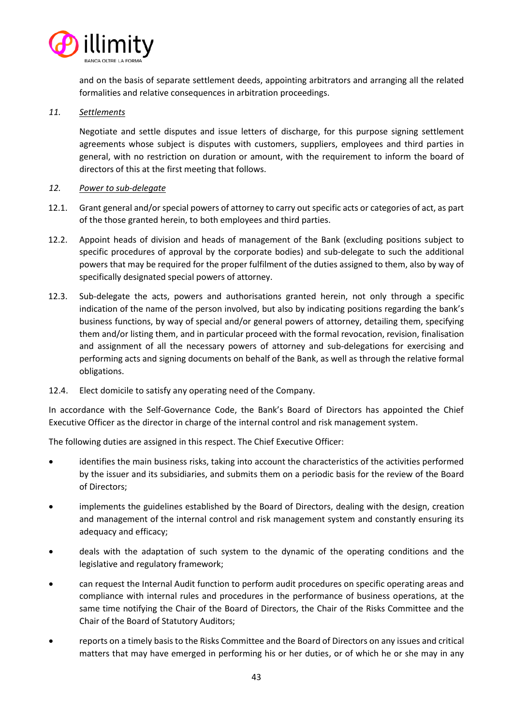

and on the basis of separate settlement deeds, appointing arbitrators and arranging all the related formalities and relative consequences in arbitration proceedings.

## *11. Settlements*

Negotiate and settle disputes and issue letters of discharge, for this purpose signing settlement agreements whose subject is disputes with customers, suppliers, employees and third parties in general, with no restriction on duration or amount, with the requirement to inform the board of directors of this at the first meeting that follows.

# *12. Power to sub-delegate*

- 12.1. Grant general and/or special powers of attorney to carry out specific acts or categories of act, as part of the those granted herein, to both employees and third parties.
- 12.2. Appoint heads of division and heads of management of the Bank (excluding positions subject to specific procedures of approval by the corporate bodies) and sub-delegate to such the additional powers that may be required for the proper fulfilment of the duties assigned to them, also by way of specifically designated special powers of attorney.
- 12.3. Sub-delegate the acts, powers and authorisations granted herein, not only through a specific indication of the name of the person involved, but also by indicating positions regarding the bank's business functions, by way of special and/or general powers of attorney, detailing them, specifying them and/or listing them, and in particular proceed with the formal revocation, revision, finalisation and assignment of all the necessary powers of attorney and sub-delegations for exercising and performing acts and signing documents on behalf of the Bank, as well as through the relative formal obligations.
- 12.4. Elect domicile to satisfy any operating need of the Company.

In accordance with the Self-Governance Code, the Bank's Board of Directors has appointed the Chief Executive Officer as the director in charge of the internal control and risk management system.

The following duties are assigned in this respect. The Chief Executive Officer:

- identifies the main business risks, taking into account the characteristics of the activities performed by the issuer and its subsidiaries, and submits them on a periodic basis for the review of the Board of Directors;
- implements the guidelines established by the Board of Directors, dealing with the design, creation and management of the internal control and risk management system and constantly ensuring its adequacy and efficacy;
- deals with the adaptation of such system to the dynamic of the operating conditions and the legislative and regulatory framework;
- can request the Internal Audit function to perform audit procedures on specific operating areas and compliance with internal rules and procedures in the performance of business operations, at the same time notifying the Chair of the Board of Directors, the Chair of the Risks Committee and the Chair of the Board of Statutory Auditors;
- reports on a timely basis to the Risks Committee and the Board of Directors on any issues and critical matters that may have emerged in performing his or her duties, or of which he or she may in any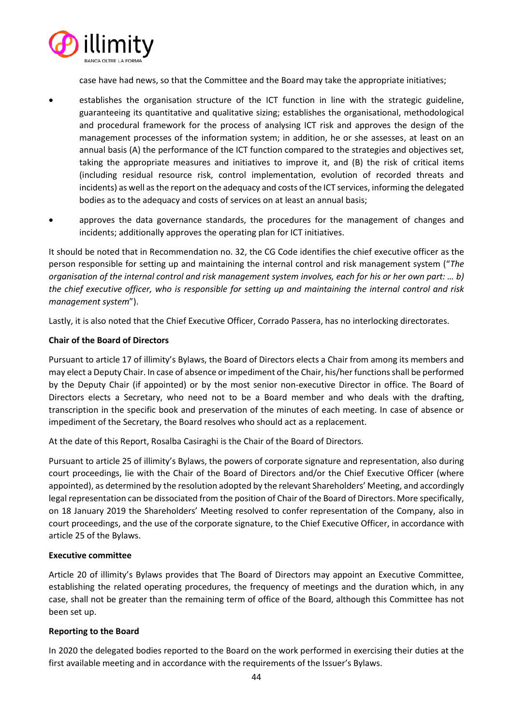

case have had news, so that the Committee and the Board may take the appropriate initiatives;

- establishes the organisation structure of the ICT function in line with the strategic guideline, guaranteeing its quantitative and qualitative sizing; establishes the organisational, methodological and procedural framework for the process of analysing ICT risk and approves the design of the management processes of the information system; in addition, he or she assesses, at least on an annual basis (A) the performance of the ICT function compared to the strategies and objectives set, taking the appropriate measures and initiatives to improve it, and (B) the risk of critical items (including residual resource risk, control implementation, evolution of recorded threats and incidents) as well as the report on the adequacy and costs of the ICT services, informing the delegated bodies as to the adequacy and costs of services on at least an annual basis;
- approves the data governance standards, the procedures for the management of changes and incidents; additionally approves the operating plan for ICT initiatives.

It should be noted that in Recommendation no. 32, the CG Code identifies the chief executive officer as the person responsible for setting up and maintaining the internal control and risk management system ("*The organisation of the internal control and risk management system involves, each for his or her own part: … b) the chief executive officer, who is responsible for setting up and maintaining the internal control and risk management system*").

Lastly, it is also noted that the Chief Executive Officer, Corrado Passera, has no interlocking directorates.

# **Chair of the Board of Directors**

Pursuant to article 17 of illimity's Bylaws, the Board of Directors elects a Chair from among its members and may elect a Deputy Chair. In case of absence or impediment of the Chair, his/her functions shall be performed by the Deputy Chair (if appointed) or by the most senior non-executive Director in office. The Board of Directors elects a Secretary, who need not to be a Board member and who deals with the drafting, transcription in the specific book and preservation of the minutes of each meeting. In case of absence or impediment of the Secretary, the Board resolves who should act as a replacement.

At the date of this Report, Rosalba Casiraghi is the Chair of the Board of Directors.

Pursuant to article 25 of illimity's Bylaws, the powers of corporate signature and representation, also during court proceedings, lie with the Chair of the Board of Directors and/or the Chief Executive Officer (where appointed), as determined by the resolution adopted by the relevant Shareholders' Meeting, and accordingly legal representation can be dissociated from the position of Chair of the Board of Directors. More specifically, on 18 January 2019 the Shareholders' Meeting resolved to confer representation of the Company, also in court proceedings, and the use of the corporate signature, to the Chief Executive Officer, in accordance with article 25 of the Bylaws.

## **Executive committee**

Article 20 of illimity's Bylaws provides that The Board of Directors may appoint an Executive Committee, establishing the related operating procedures, the frequency of meetings and the duration which, in any case, shall not be greater than the remaining term of office of the Board, although this Committee has not been set up.

# **Reporting to the Board**

In 2020 the delegated bodies reported to the Board on the work performed in exercising their duties at the first available meeting and in accordance with the requirements of the Issuer's Bylaws.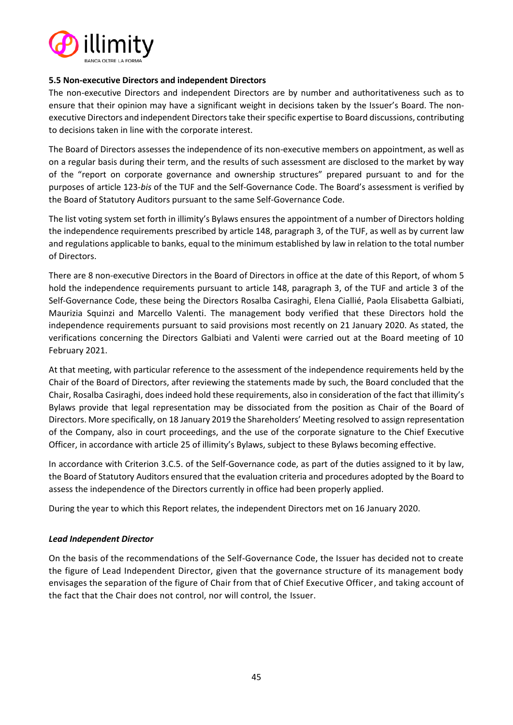

## **5.5 Non-executive Directors and independent Directors**

The non-executive Directors and independent Directors are by number and authoritativeness such as to ensure that their opinion may have a significant weight in decisions taken by the Issuer's Board. The nonexecutive Directors and independent Directors take their specific expertise to Board discussions, contributing to decisions taken in line with the corporate interest.

The Board of Directors assesses the independence of its non-executive members on appointment, as well as on a regular basis during their term, and the results of such assessment are disclosed to the market by way of the "report on corporate governance and ownership structures" prepared pursuant to and for the purposes of article 123-*bis* of the TUF and the Self-Governance Code. The Board's assessment is verified by the Board of Statutory Auditors pursuant to the same Self-Governance Code.

The list voting system set forth in illimity's Bylaws ensures the appointment of a number of Directors holding the independence requirements prescribed by article 148, paragraph 3, of the TUF, as well as by current law and regulations applicable to banks, equal to the minimum established by law in relation to the total number of Directors.

There are 8 non-executive Directors in the Board of Directors in office at the date of this Report, of whom 5 hold the independence requirements pursuant to article 148, paragraph 3, of the TUF and article 3 of the Self-Governance Code, these being the Directors Rosalba Casiraghi, Elena Ciallié, Paola Elisabetta Galbiati, Maurizia Squinzi and Marcello Valenti. The management body verified that these Directors hold the independence requirements pursuant to said provisions most recently on 21 January 2020. As stated, the verifications concerning the Directors Galbiati and Valenti were carried out at the Board meeting of 10 February 2021.

At that meeting, with particular reference to the assessment of the independence requirements held by the Chair of the Board of Directors, after reviewing the statements made by such, the Board concluded that the Chair, Rosalba Casiraghi, does indeed hold these requirements, also in consideration of the fact that illimity's Bylaws provide that legal representation may be dissociated from the position as Chair of the Board of Directors. More specifically, on 18 January 2019 the Shareholders' Meeting resolved to assign representation of the Company, also in court proceedings, and the use of the corporate signature to the Chief Executive Officer, in accordance with article 25 of illimity's Bylaws, subject to these Bylaws becoming effective.

In accordance with Criterion 3.C.5. of the Self-Governance code, as part of the duties assigned to it by law, the Board of Statutory Auditors ensured that the evaluation criteria and procedures adopted by the Board to assess the independence of the Directors currently in office had been properly applied.

During the year to which this Report relates, the independent Directors met on 16 January 2020.

## *Lead Independent Director*

On the basis of the recommendations of the Self-Governance Code, the Issuer has decided not to create the figure of Lead Independent Director, given that the governance structure of its management body envisages the separation of the figure of Chair from that of Chief Executive Officer, and taking account of the fact that the Chair does not control, nor will control, the Issuer.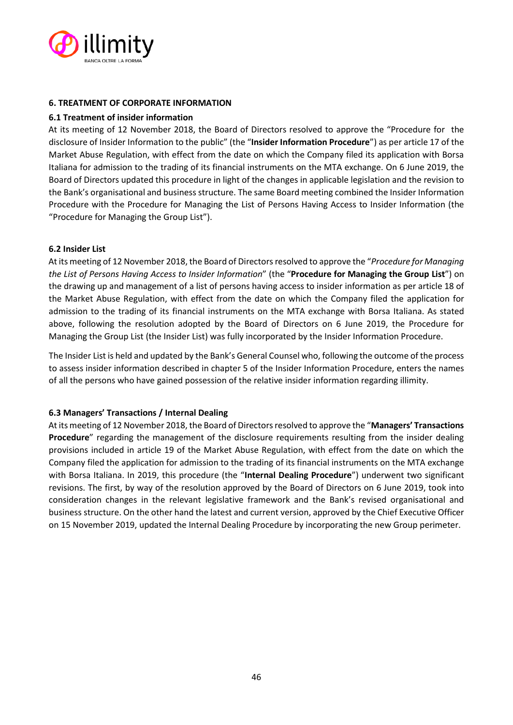

## **6. TREATMENT OF CORPORATE INFORMATION**

## **6.1 Treatment of insider information**

At its meeting of 12 November 2018, the Board of Directors resolved to approve the "Procedure for the disclosure of Insider Information to the public" (the "**Insider Information Procedure**") as per article 17 of the Market Abuse Regulation, with effect from the date on which the Company filed its application with Borsa Italiana for admission to the trading of its financial instruments on the MTA exchange. On 6 June 2019, the Board of Directors updated this procedure in light of the changes in applicable legislation and the revision to the Bank's organisational and business structure. The same Board meeting combined the Insider Information Procedure with the Procedure for Managing the List of Persons Having Access to Insider Information (the "Procedure for Managing the Group List").

## **6.2 Insider List**

At its meeting of 12 November 2018, the Board of Directors resolved to approve the "*Procedure for Managing the List of Persons Having Access to Insider Information*" (the "**Procedure for Managing the Group List**") on the drawing up and management of a list of persons having access to insider information as per article 18 of the Market Abuse Regulation, with effect from the date on which the Company filed the application for admission to the trading of its financial instruments on the MTA exchange with Borsa Italiana. As stated above, following the resolution adopted by the Board of Directors on 6 June 2019, the Procedure for Managing the Group List (the Insider List) was fully incorporated by the Insider Information Procedure.

The Insider List is held and updated by the Bank's General Counsel who, following the outcome of the process to assess insider information described in chapter 5 of the Insider Information Procedure, enters the names of all the persons who have gained possession of the relative insider information regarding illimity.

## **6.3 Managers' Transactions / Internal Dealing**

At its meeting of 12 November 2018, the Board of Directors resolved to approve the "**Managers' Transactions Procedure**" regarding the management of the disclosure requirements resulting from the insider dealing provisions included in article 19 of the Market Abuse Regulation, with effect from the date on which the Company filed the application for admission to the trading of its financial instruments on the MTA exchange with Borsa Italiana. In 2019, this procedure (the "**Internal Dealing Procedure**") underwent two significant revisions. The first, by way of the resolution approved by the Board of Directors on 6 June 2019, took into consideration changes in the relevant legislative framework and the Bank's revised organisational and business structure. On the other hand the latest and current version, approved by the Chief Executive Officer on 15 November 2019, updated the Internal Dealing Procedure by incorporating the new Group perimeter.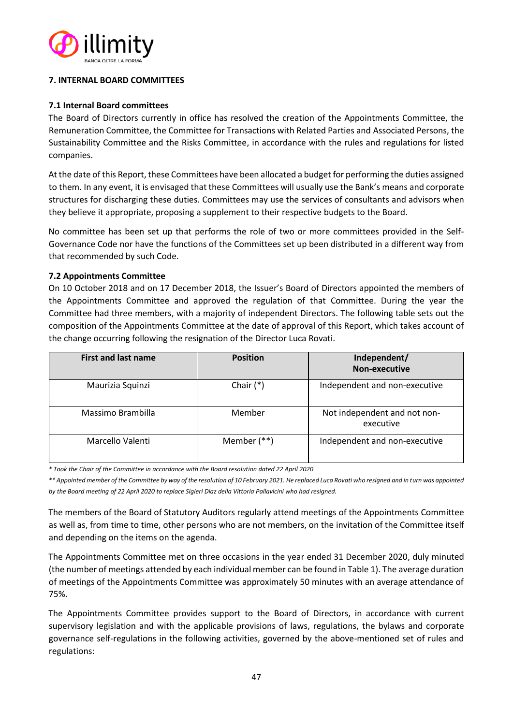

# **7. INTERNAL BOARD COMMITTEES**

# **7.1 Internal Board committees**

The Board of Directors currently in office has resolved the creation of the Appointments Committee, the Remuneration Committee, the Committee for Transactions with Related Parties and Associated Persons, the Sustainability Committee and the Risks Committee, in accordance with the rules and regulations for listed companies.

At the date of this Report, these Committees have been allocated a budget for performing the duties assigned to them. In any event, it is envisaged that these Committees will usually use the Bank's means and corporate structures for discharging these duties. Committees may use the services of consultants and advisors when they believe it appropriate, proposing a supplement to their respective budgets to the Board.

No committee has been set up that performs the role of two or more committees provided in the Self-Governance Code nor have the functions of the Committees set up been distributed in a different way from that recommended by such Code.

# **7.2 Appointments Committee**

On 10 October 2018 and on 17 December 2018, the Issuer's Board of Directors appointed the members of the Appointments Committee and approved the regulation of that Committee. During the year the Committee had three members, with a majority of independent Directors. The following table sets out the composition of the Appointments Committee at the date of approval of this Report, which takes account of the change occurring following the resignation of the Director Luca Rovati.

| <b>First and last name</b> | <b>Position</b> | Independent/<br><b>Non-executive</b>      |
|----------------------------|-----------------|-------------------------------------------|
| Maurizia Squinzi           | Chair $(*)$     | Independent and non-executive             |
| Massimo Brambilla          | Member          | Not independent and not non-<br>executive |
| Marcello Valenti           | Member $(**)$   | Independent and non-executive             |

*\* Took the Chair of the Committee in accordance with the Board resolution dated 22 April 2020*

*\*\* Appointed member of the Committee by way of the resolution of 10 February 2021. He replaced Luca Rovati who resigned and in turn was appointed by the Board meeting of 22 April 2020 to replace Sigieri Diaz della Vittoria Pallavicini who had resigned.*

The members of the Board of Statutory Auditors regularly attend meetings of the Appointments Committee as well as, from time to time, other persons who are not members, on the invitation of the Committee itself and depending on the items on the agenda.

The Appointments Committee met on three occasions in the year ended 31 December 2020, duly minuted (the number of meetings attended by each individual member can be found in Table 1). The average duration of meetings of the Appointments Committee was approximately 50 minutes with an average attendance of 75%.

The Appointments Committee provides support to the Board of Directors, in accordance with current supervisory legislation and with the applicable provisions of laws, regulations, the bylaws and corporate governance self-regulations in the following activities, governed by the above-mentioned set of rules and regulations: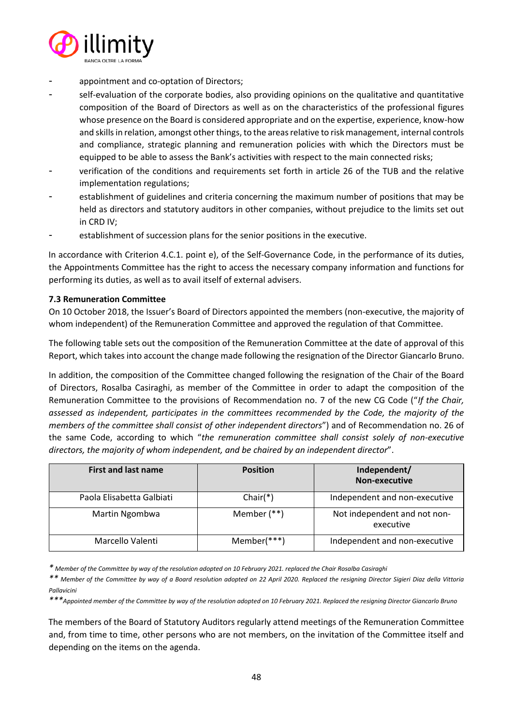

- appointment and co-optation of Directors;
- self-evaluation of the corporate bodies, also providing opinions on the qualitative and quantitative composition of the Board of Directors as well as on the characteristics of the professional figures whose presence on the Board is considered appropriate and on the expertise, experience, know-how and skills in relation, amongst other things, to the areas relative to risk management, internal controls and compliance, strategic planning and remuneration policies with which the Directors must be equipped to be able to assess the Bank's activities with respect to the main connected risks;
- verification of the conditions and requirements set forth in article 26 of the TUB and the relative implementation regulations;
- establishment of guidelines and criteria concerning the maximum number of positions that may be held as directors and statutory auditors in other companies, without prejudice to the limits set out in CRD IV;
- establishment of succession plans for the senior positions in the executive.

In accordance with Criterion 4.C.1. point e), of the Self-Governance Code, in the performance of its duties, the Appointments Committee has the right to access the necessary company information and functions for performing its duties, as well as to avail itself of external advisers.

# **7.3 Remuneration Committee**

On 10 October 2018, the Issuer's Board of Directors appointed the members (non-executive, the majority of whom independent) of the Remuneration Committee and approved the regulation of that Committee.

The following table sets out the composition of the Remuneration Committee at the date of approval of this Report, which takes into account the change made following the resignation of the Director Giancarlo Bruno.

In addition, the composition of the Committee changed following the resignation of the Chair of the Board of Directors, Rosalba Casiraghi, as member of the Committee in order to adapt the composition of the Remuneration Committee to the provisions of Recommendation no. 7 of the new CG Code ("*If the Chair, assessed as independent, participates in the committees recommended by the Code, the majority of the members of the committee shall consist of other independent directors*") and of Recommendation no. 26 of the same Code, according to which "*the remuneration committee shall consist solely of non-executive directors, the majority of whom independent, and be chaired by an independent director*".

| <b>First and last name</b> | <b>Position</b> | Independent/<br><b>Non-executive</b>      |
|----------------------------|-----------------|-------------------------------------------|
| Paola Elisabetta Galbiati  | $Chair(*)$      | Independent and non-executive             |
| Martin Ngombwa             | Member $(**)$   | Not independent and not non-<br>executive |
| Marcello Valenti           | Member(***)     | Independent and non-executive             |

*\* Member of the Committee by way of the resolution adopted on 10 February 2021. replaced the Chair Rosalba Casiraghi*

*\*\* Member of the Committee by way of a Board resolution adopted on 22 April 2020. Replaced the resigning Director Sigieri Diaz della Vittoria Pallavicini* 

The members of the Board of Statutory Auditors regularly attend meetings of the Remuneration Committee and, from time to time, other persons who are not members, on the invitation of the Committee itself and depending on the items on the agenda.

*<sup>\*\*\*</sup>Appointed member of the Committee by way of the resolution adopted on 10 February 2021. Replaced the resigning Director Giancarlo Bruno*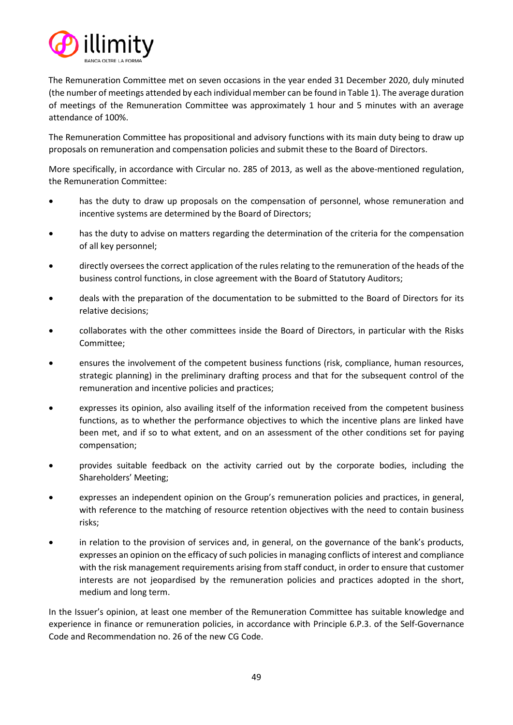

The Remuneration Committee met on seven occasions in the year ended 31 December 2020, duly minuted (the number of meetings attended by each individual member can be found in Table 1). The average duration of meetings of the Remuneration Committee was approximately 1 hour and 5 minutes with an average attendance of 100%.

The Remuneration Committee has propositional and advisory functions with its main duty being to draw up proposals on remuneration and compensation policies and submit these to the Board of Directors.

More specifically, in accordance with Circular no. 285 of 2013, as well as the above-mentioned regulation, the Remuneration Committee:

- has the duty to draw up proposals on the compensation of personnel, whose remuneration and incentive systems are determined by the Board of Directors;
- has the duty to advise on matters regarding the determination of the criteria for the compensation of all key personnel;
- directly oversees the correct application of the rules relating to the remuneration of the heads of the business control functions, in close agreement with the Board of Statutory Auditors;
- deals with the preparation of the documentation to be submitted to the Board of Directors for its relative decisions;
- collaborates with the other committees inside the Board of Directors, in particular with the Risks Committee;
- ensures the involvement of the competent business functions (risk, compliance, human resources, strategic planning) in the preliminary drafting process and that for the subsequent control of the remuneration and incentive policies and practices;
- expresses its opinion, also availing itself of the information received from the competent business functions, as to whether the performance objectives to which the incentive plans are linked have been met, and if so to what extent, and on an assessment of the other conditions set for paying compensation;
- provides suitable feedback on the activity carried out by the corporate bodies, including the Shareholders' Meeting;
- expresses an independent opinion on the Group's remuneration policies and practices, in general, with reference to the matching of resource retention objectives with the need to contain business risks;
- in relation to the provision of services and, in general, on the governance of the bank's products, expresses an opinion on the efficacy of such policies in managing conflicts of interest and compliance with the risk management requirements arising from staff conduct, in order to ensure that customer interests are not jeopardised by the remuneration policies and practices adopted in the short, medium and long term.

In the Issuer's opinion, at least one member of the Remuneration Committee has suitable knowledge and experience in finance or remuneration policies, in accordance with Principle 6.P.3. of the Self-Governance Code and Recommendation no. 26 of the new CG Code.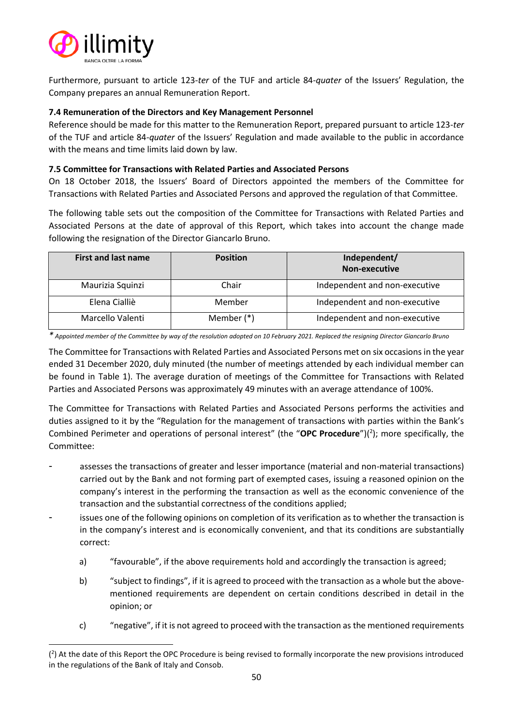

Furthermore, pursuant to article 123-*ter* of the TUF and article 84-*quater* of the Issuers' Regulation, the Company prepares an annual Remuneration Report.

# **7.4 Remuneration of the Directors and Key Management Personnel**

Reference should be made for this matter to the Remuneration Report, prepared pursuant to article 123-*ter* of the TUF and article 84-*quater* of the Issuers' Regulation and made available to the public in accordance with the means and time limits laid down by law.

## **7.5 Committee for Transactions with Related Parties and Associated Persons**

On 18 October 2018, the Issuers' Board of Directors appointed the members of the Committee for Transactions with Related Parties and Associated Persons and approved the regulation of that Committee.

The following table sets out the composition of the Committee for Transactions with Related Parties and Associated Persons at the date of approval of this Report, which takes into account the change made following the resignation of the Director Giancarlo Bruno.

| First and last name | <b>Position</b> | Independent/<br>Non-executive |
|---------------------|-----------------|-------------------------------|
| Maurizia Squinzi    | Chair           | Independent and non-executive |
| Elena Cialliè       | Member          | Independent and non-executive |
| Marcello Valenti    | Member $(*)$    | Independent and non-executive |

*\* Appointed member of the Committee by way of the resolution adopted on 10 February 2021. Replaced the resigning Director Giancarlo Bruno*

The Committee for Transactions with Related Parties and Associated Persons met on six occasions in the year ended 31 December 2020, duly minuted (the number of meetings attended by each individual member can be found in Table 1). The average duration of meetings of the Committee for Transactions with Related Parties and Associated Persons was approximately 49 minutes with an average attendance of 100%.

The Committee for Transactions with Related Parties and Associated Persons performs the activities and duties assigned to it by the "Regulation for the management of transactions with parties within the Bank's Combined Perimeter and operations of personal interest" (the "OPC Procedure")(<sup>2</sup>); more specifically, the Committee:

- assesses the transactions of greater and lesser importance (material and non-material transactions) carried out by the Bank and not forming part of exempted cases, issuing a reasoned opinion on the company's interest in the performing the transaction as well as the economic convenience of the transaction and the substantial correctness of the conditions applied;
- issues one of the following opinions on completion of its verification as to whether the transaction is in the company's interest and is economically convenient, and that its conditions are substantially correct:
	- a) "favourable", if the above requirements hold and accordingly the transaction is agreed;
	- b) "subject to findings", if it is agreed to proceed with the transaction as a whole but the abovementioned requirements are dependent on certain conditions described in detail in the opinion; or
	- c) "negative", if it is not agreed to proceed with the transaction as the mentioned requirements

<sup>(</sup> 2 ) At the date of this Report the OPC Procedure is being revised to formally incorporate the new provisions introduced in the regulations of the Bank of Italy and Consob.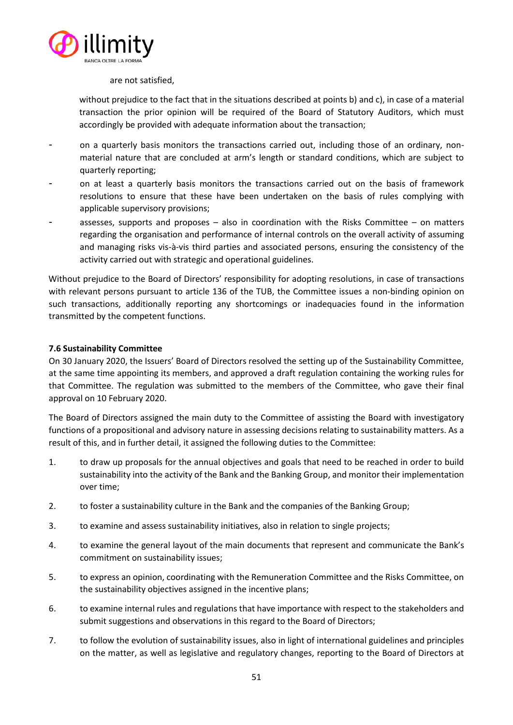

#### are not satisfied,

without prejudice to the fact that in the situations described at points b) and c), in case of a material transaction the prior opinion will be required of the Board of Statutory Auditors, which must accordingly be provided with adequate information about the transaction;

- on a quarterly basis monitors the transactions carried out, including those of an ordinary, nonmaterial nature that are concluded at arm's length or standard conditions, which are subject to quarterly reporting;
- on at least a quarterly basis monitors the transactions carried out on the basis of framework resolutions to ensure that these have been undertaken on the basis of rules complying with applicable supervisory provisions;
- assesses, supports and proposes  $-$  also in coordination with the Risks Committee  $-$  on matters regarding the organisation and performance of internal controls on the overall activity of assuming and managing risks vis-à-vis third parties and associated persons, ensuring the consistency of the activity carried out with strategic and operational guidelines.

Without prejudice to the Board of Directors' responsibility for adopting resolutions, in case of transactions with relevant persons pursuant to article 136 of the TUB, the Committee issues a non-binding opinion on such transactions, additionally reporting any shortcomings or inadequacies found in the information transmitted by the competent functions.

# **7.6 Sustainability Committee**

On 30 January 2020, the Issuers' Board of Directors resolved the setting up of the Sustainability Committee, at the same time appointing its members, and approved a draft regulation containing the working rules for that Committee. The regulation was submitted to the members of the Committee, who gave their final approval on 10 February 2020.

The Board of Directors assigned the main duty to the Committee of assisting the Board with investigatory functions of a propositional and advisory nature in assessing decisions relating to sustainability matters. As a result of this, and in further detail, it assigned the following duties to the Committee:

- 1. to draw up proposals for the annual objectives and goals that need to be reached in order to build sustainability into the activity of the Bank and the Banking Group, and monitor their implementation over time;
- 2. to foster a sustainability culture in the Bank and the companies of the Banking Group;
- 3. to examine and assess sustainability initiatives, also in relation to single projects;
- 4. to examine the general layout of the main documents that represent and communicate the Bank's commitment on sustainability issues;
- 5. to express an opinion, coordinating with the Remuneration Committee and the Risks Committee, on the sustainability objectives assigned in the incentive plans;
- 6. to examine internal rules and regulations that have importance with respect to the stakeholders and submit suggestions and observations in this regard to the Board of Directors;
- 7. to follow the evolution of sustainability issues, also in light of international guidelines and principles on the matter, as well as legislative and regulatory changes, reporting to the Board of Directors at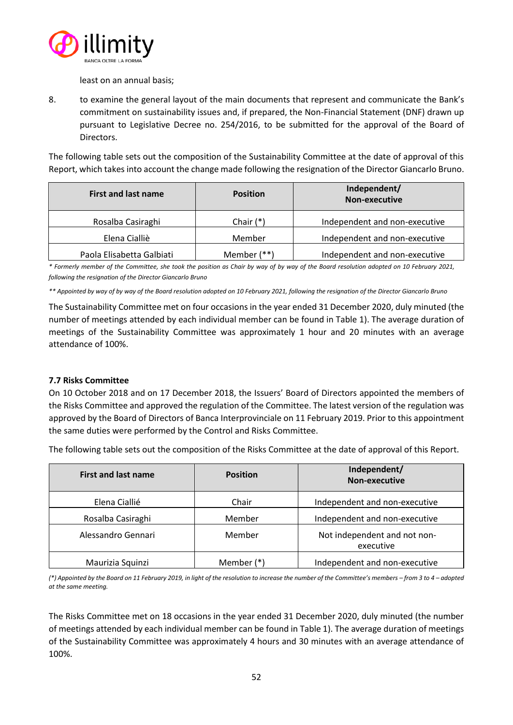

least on an annual basis;

8. to examine the general layout of the main documents that represent and communicate the Bank's commitment on sustainability issues and, if prepared, the Non-Financial Statement (DNF) drawn up pursuant to Legislative Decree no. 254/2016, to be submitted for the approval of the Board of Directors.

The following table sets out the composition of the Sustainability Committee at the date of approval of this Report, which takes into account the change made following the resignation of the Director Giancarlo Bruno.

| <b>First and last name</b> | <b>Position</b> | Independent/<br>Non-executive |
|----------------------------|-----------------|-------------------------------|
| Rosalba Casiraghi          | Chair $(*)$     | Independent and non-executive |
| Elena Cialliè              | Member          | Independent and non-executive |
| Paola Elisabetta Galbiati  | Member $(**)$   | Independent and non-executive |

*\* Formerly member of the Committee, she took the position as Chair by way of by way of the Board resolution adopted on 10 February 2021, following the resignation of the Director Giancarlo Bruno*

*\*\* Appointed by way of by way of the Board resolution adopted on 10 February 2021, following the resignation of the Director Giancarlo Bruno*

The Sustainability Committee met on four occasions in the year ended 31 December 2020, duly minuted (the number of meetings attended by each individual member can be found in Table 1). The average duration of meetings of the Sustainability Committee was approximately 1 hour and 20 minutes with an average attendance of 100%.

# **7.7 Risks Committee**

On 10 October 2018 and on 17 December 2018, the Issuers' Board of Directors appointed the members of the Risks Committee and approved the regulation of the Committee. The latest version of the regulation was approved by the Board of Directors of Banca Interprovinciale on 11 February 2019. Prior to this appointment the same duties were performed by the Control and Risks Committee.

The following table sets out the composition of the Risks Committee at the date of approval of this Report.

| <b>First and last name</b> | <b>Position</b> | Independent/<br><b>Non-executive</b>      |
|----------------------------|-----------------|-------------------------------------------|
| Elena Ciallié              | Chair           | Independent and non-executive             |
| Rosalba Casiraghi          | Member          | Independent and non-executive             |
| Alessandro Gennari         | Member          | Not independent and not non-<br>executive |
| Maurizia Squinzi           | Member (*)      | Independent and non-executive             |

*(\*) Appointed by the Board on 11 February 2019, in light of the resolution to increase the number of the Committee's members – from 3 to 4 – adopted at the same meeting.*

The Risks Committee met on 18 occasions in the year ended 31 December 2020, duly minuted (the number of meetings attended by each individual member can be found in Table 1). The average duration of meetings of the Sustainability Committee was approximately 4 hours and 30 minutes with an average attendance of 100%.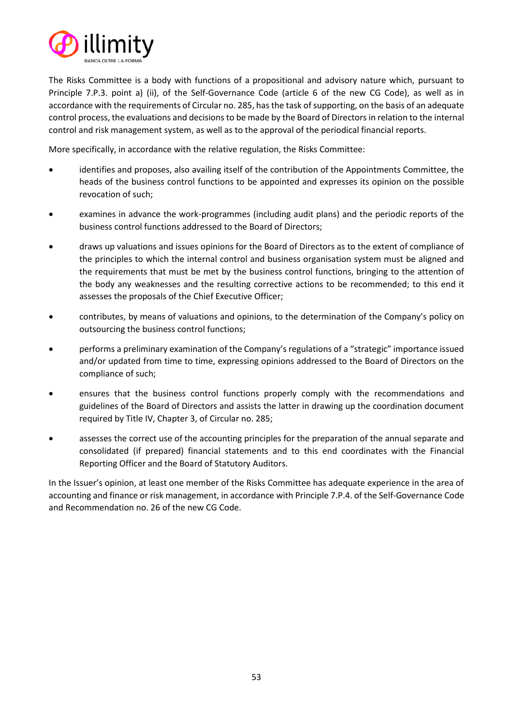

The Risks Committee is a body with functions of a propositional and advisory nature which, pursuant to Principle 7.P.3. point a) (ii), of the Self-Governance Code (article 6 of the new CG Code), as well as in accordance with the requirements of Circular no. 285, has the task of supporting, on the basis of an adequate control process, the evaluations and decisions to be made by the Board of Directors in relation to the internal control and risk management system, as well as to the approval of the periodical financial reports.

More specifically, in accordance with the relative regulation, the Risks Committee:

- identifies and proposes, also availing itself of the contribution of the Appointments Committee, the heads of the business control functions to be appointed and expresses its opinion on the possible revocation of such;
- examines in advance the work-programmes (including audit plans) and the periodic reports of the business control functions addressed to the Board of Directors;
- draws up valuations and issues opinions for the Board of Directors as to the extent of compliance of the principles to which the internal control and business organisation system must be aligned and the requirements that must be met by the business control functions, bringing to the attention of the body any weaknesses and the resulting corrective actions to be recommended; to this end it assesses the proposals of the Chief Executive Officer;
- contributes, by means of valuations and opinions, to the determination of the Company's policy on outsourcing the business control functions;
- performs a preliminary examination of the Company's regulations of a "strategic" importance issued and/or updated from time to time, expressing opinions addressed to the Board of Directors on the compliance of such;
- ensures that the business control functions properly comply with the recommendations and guidelines of the Board of Directors and assists the latter in drawing up the coordination document required by Title IV, Chapter 3, of Circular no. 285;
- assesses the correct use of the accounting principles for the preparation of the annual separate and consolidated (if prepared) financial statements and to this end coordinates with the Financial Reporting Officer and the Board of Statutory Auditors.

In the Issuer's opinion, at least one member of the Risks Committee has adequate experience in the area of accounting and finance or risk management, in accordance with Principle 7.P.4. of the Self-Governance Code and Recommendation no. 26 of the new CG Code.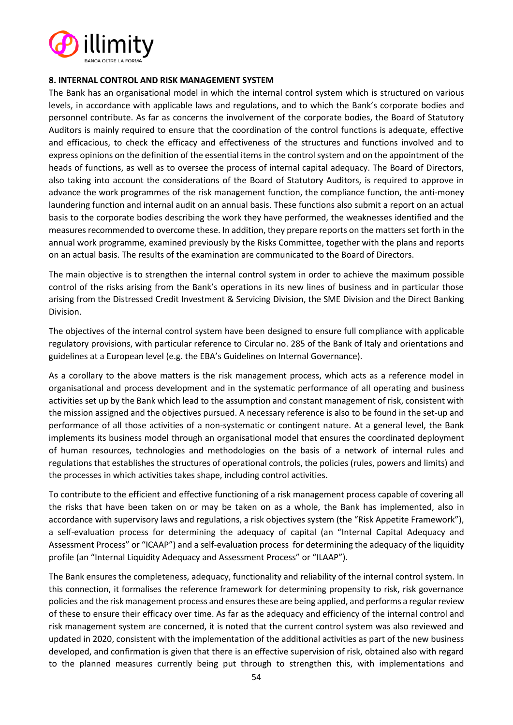

#### **8. INTERNAL CONTROL AND RISK MANAGEMENT SYSTEM**

The Bank has an organisational model in which the internal control system which is structured on various levels, in accordance with applicable laws and regulations, and to which the Bank's corporate bodies and personnel contribute. As far as concerns the involvement of the corporate bodies, the Board of Statutory Auditors is mainly required to ensure that the coordination of the control functions is adequate, effective and efficacious, to check the efficacy and effectiveness of the structures and functions involved and to express opinions on the definition of the essential items in the control system and on the appointment of the heads of functions, as well as to oversee the process of internal capital adequacy. The Board of Directors, also taking into account the considerations of the Board of Statutory Auditors, is required to approve in advance the work programmes of the risk management function, the compliance function, the anti-money laundering function and internal audit on an annual basis. These functions also submit a report on an actual basis to the corporate bodies describing the work they have performed, the weaknesses identified and the measures recommended to overcome these. In addition, they prepare reports on the matters set forth in the annual work programme, examined previously by the Risks Committee, together with the plans and reports on an actual basis. The results of the examination are communicated to the Board of Directors.

The main objective is to strengthen the internal control system in order to achieve the maximum possible control of the risks arising from the Bank's operations in its new lines of business and in particular those arising from the Distressed Credit Investment & Servicing Division, the SME Division and the Direct Banking Division.

The objectives of the internal control system have been designed to ensure full compliance with applicable regulatory provisions, with particular reference to Circular no. 285 of the Bank of Italy and orientations and guidelines at a European level (e.g. the EBA's Guidelines on Internal Governance).

As a corollary to the above matters is the risk management process, which acts as a reference model in organisational and process development and in the systematic performance of all operating and business activities set up by the Bank which lead to the assumption and constant management of risk, consistent with the mission assigned and the objectives pursued. A necessary reference is also to be found in the set-up and performance of all those activities of a non-systematic or contingent nature. At a general level, the Bank implements its business model through an organisational model that ensures the coordinated deployment of human resources, technologies and methodologies on the basis of a network of internal rules and regulations that establishes the structures of operational controls, the policies (rules, powers and limits) and the processes in which activities takes shape, including control activities.

To contribute to the efficient and effective functioning of a risk management process capable of covering all the risks that have been taken on or may be taken on as a whole, the Bank has implemented, also in accordance with supervisory laws and regulations, a risk objectives system (the "Risk Appetite Framework"), a self-evaluation process for determining the adequacy of capital (an "Internal Capital Adequacy and Assessment Process" or "ICAAP") and a self-evaluation process for determining the adequacy of the liquidity profile (an "Internal Liquidity Adequacy and Assessment Process" or "ILAAP").

The Bank ensures the completeness, adequacy, functionality and reliability of the internal control system. In this connection, it formalises the reference framework for determining propensity to risk, risk governance policies and the risk management process and ensures these are being applied, and performs a regular review of these to ensure their efficacy over time. As far as the adequacy and efficiency of the internal control and risk management system are concerned, it is noted that the current control system was also reviewed and updated in 2020, consistent with the implementation of the additional activities as part of the new business developed, and confirmation is given that there is an effective supervision of risk, obtained also with regard to the planned measures currently being put through to strengthen this, with implementations and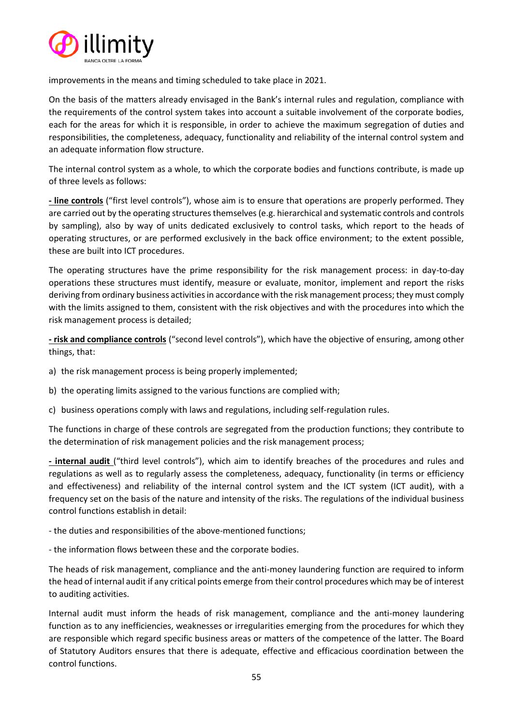

improvements in the means and timing scheduled to take place in 2021.

On the basis of the matters already envisaged in the Bank's internal rules and regulation, compliance with the requirements of the control system takes into account a suitable involvement of the corporate bodies, each for the areas for which it is responsible, in order to achieve the maximum segregation of duties and responsibilities, the completeness, adequacy, functionality and reliability of the internal control system and an adequate information flow structure.

The internal control system as a whole, to which the corporate bodies and functions contribute, is made up of three levels as follows:

**- line controls** ("first level controls"), whose aim is to ensure that operations are properly performed. They are carried out by the operating structures themselves (e.g. hierarchical and systematic controls and controls by sampling), also by way of units dedicated exclusively to control tasks, which report to the heads of operating structures, or are performed exclusively in the back office environment; to the extent possible, these are built into ICT procedures.

The operating structures have the prime responsibility for the risk management process: in day-to-day operations these structures must identify, measure or evaluate, monitor, implement and report the risks deriving from ordinary business activities in accordance with the risk management process; they must comply with the limits assigned to them, consistent with the risk objectives and with the procedures into which the risk management process is detailed;

**- risk and compliance controls** ("second level controls"), which have the objective of ensuring, among other things, that:

- a) the risk management process is being properly implemented;
- b) the operating limits assigned to the various functions are complied with;
- c) business operations comply with laws and regulations, including self-regulation rules.

The functions in charge of these controls are segregated from the production functions; they contribute to the determination of risk management policies and the risk management process;

**- internal audit** ("third level controls"), which aim to identify breaches of the procedures and rules and regulations as well as to regularly assess the completeness, adequacy, functionality (in terms or efficiency and effectiveness) and reliability of the internal control system and the ICT system (ICT audit), with a frequency set on the basis of the nature and intensity of the risks. The regulations of the individual business control functions establish in detail:

- the duties and responsibilities of the above-mentioned functions;
- the information flows between these and the corporate bodies.

The heads of risk management, compliance and the anti-money laundering function are required to inform the head of internal audit if any critical points emerge from their control procedures which may be of interest to auditing activities.

Internal audit must inform the heads of risk management, compliance and the anti-money laundering function as to any inefficiencies, weaknesses or irregularities emerging from the procedures for which they are responsible which regard specific business areas or matters of the competence of the latter. The Board of Statutory Auditors ensures that there is adequate, effective and efficacious coordination between the control functions.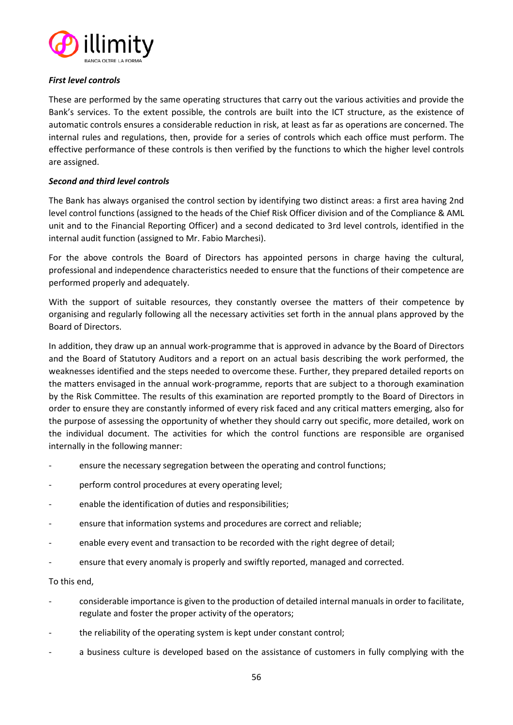

## *First level controls*

These are performed by the same operating structures that carry out the various activities and provide the Bank's services. To the extent possible, the controls are built into the ICT structure, as the existence of automatic controls ensures a considerable reduction in risk, at least as far as operations are concerned. The internal rules and regulations, then, provide for a series of controls which each office must perform. The effective performance of these controls is then verified by the functions to which the higher level controls are assigned.

# *Second and third level controls*

The Bank has always organised the control section by identifying two distinct areas: a first area having 2nd level control functions (assigned to the heads of the Chief Risk Officer division and of the Compliance & AML unit and to the Financial Reporting Officer) and a second dedicated to 3rd level controls, identified in the internal audit function (assigned to Mr. Fabio Marchesi).

For the above controls the Board of Directors has appointed persons in charge having the cultural, professional and independence characteristics needed to ensure that the functions of their competence are performed properly and adequately.

With the support of suitable resources, they constantly oversee the matters of their competence by organising and regularly following all the necessary activities set forth in the annual plans approved by the Board of Directors.

In addition, they draw up an annual work-programme that is approved in advance by the Board of Directors and the Board of Statutory Auditors and a report on an actual basis describing the work performed, the weaknesses identified and the steps needed to overcome these. Further, they prepared detailed reports on the matters envisaged in the annual work-programme, reports that are subject to a thorough examination by the Risk Committee. The results of this examination are reported promptly to the Board of Directors in order to ensure they are constantly informed of every risk faced and any critical matters emerging, also for the purpose of assessing the opportunity of whether they should carry out specific, more detailed, work on the individual document. The activities for which the control functions are responsible are organised internally in the following manner:

- ensure the necessary segregation between the operating and control functions;
- perform control procedures at every operating level;
- enable the identification of duties and responsibilities;
- ensure that information systems and procedures are correct and reliable;
- enable every event and transaction to be recorded with the right degree of detail;
- ensure that every anomaly is properly and swiftly reported, managed and corrected.

## To this end,

- considerable importance is given to the production of detailed internal manuals in order to facilitate, regulate and foster the proper activity of the operators;
- the reliability of the operating system is kept under constant control;
- a business culture is developed based on the assistance of customers in fully complying with the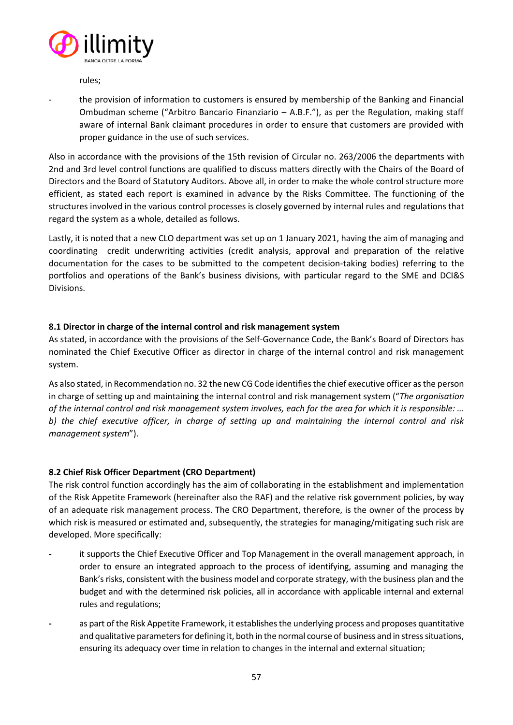

rules;

the provision of information to customers is ensured by membership of the Banking and Financial Ombudman scheme ("Arbitro Bancario Finanziario – A.B.F."), as per the Regulation, making staff aware of internal Bank claimant procedures in order to ensure that customers are provided with proper guidance in the use of such services.

Also in accordance with the provisions of the 15th revision of Circular no. 263/2006 the departments with 2nd and 3rd level control functions are qualified to discuss matters directly with the Chairs of the Board of Directors and the Board of Statutory Auditors. Above all, in order to make the whole control structure more efficient, as stated each report is examined in advance by the Risks Committee. The functioning of the structures involved in the various control processes is closely governed by internal rules and regulations that regard the system as a whole, detailed as follows.

Lastly, it is noted that a new CLO department was set up on 1 January 2021, having the aim of managing and coordinating credit underwriting activities (credit analysis, approval and preparation of the relative documentation for the cases to be submitted to the competent decision-taking bodies) referring to the portfolios and operations of the Bank's business divisions, with particular regard to the SME and DCI&S Divisions.

# **8.1 Director in charge of the internal control and risk management system**

As stated, in accordance with the provisions of the Self-Governance Code, the Bank's Board of Directors has nominated the Chief Executive Officer as director in charge of the internal control and risk management system.

As also stated, in Recommendation no. 32 the new CG Code identifies the chief executive officer as the person in charge of setting up and maintaining the internal control and risk management system ("*The organisation of the internal control and risk management system involves, each for the area for which it is responsible: … b) the chief executive officer, in charge of setting up and maintaining the internal control and risk management system*").

# **8.2 Chief Risk Officer Department (CRO Department)**

The risk control function accordingly has the aim of collaborating in the establishment and implementation of the Risk Appetite Framework (hereinafter also the RAF) and the relative risk government policies, by way of an adequate risk management process. The CRO Department, therefore, is the owner of the process by which risk is measured or estimated and, subsequently, the strategies for managing/mitigating such risk are developed. More specifically:

- **-** it supports the Chief Executive Officer and Top Management in the overall management approach, in order to ensure an integrated approach to the process of identifying, assuming and managing the Bank's risks, consistent with the business model and corporate strategy, with the business plan and the budget and with the determined risk policies, all in accordance with applicable internal and external rules and regulations;
- as part of the Risk Appetite Framework, it establishes the underlying process and proposes quantitative and qualitative parameters for defining it, both in the normal course of business and in stress situations, ensuring its adequacy over time in relation to changes in the internal and external situation;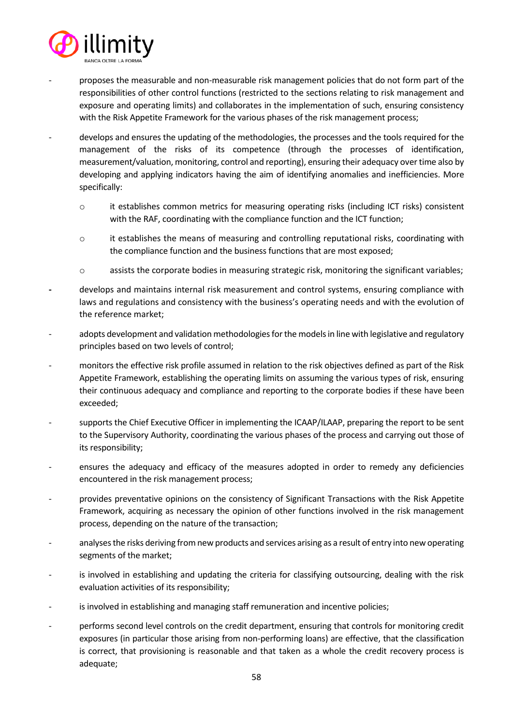

- proposes the measurable and non-measurable risk management policies that do not form part of the responsibilities of other control functions (restricted to the sections relating to risk management and exposure and operating limits) and collaborates in the implementation of such, ensuring consistency with the Risk Appetite Framework for the various phases of the risk management process;
- develops and ensures the updating of the methodologies, the processes and the tools required for the management of the risks of its competence (through the processes of identification, measurement/valuation, monitoring, control and reporting), ensuring their adequacy over time also by developing and applying indicators having the aim of identifying anomalies and inefficiencies. More specifically:
	- o it establishes common metrics for measuring operating risks (including ICT risks) consistent with the RAF, coordinating with the compliance function and the ICT function;
	- $\circ$  it establishes the means of measuring and controlling reputational risks, coordinating with the compliance function and the business functions that are most exposed;
	- o assists the corporate bodies in measuring strategic risk, monitoring the significant variables;
- **-** develops and maintains internal risk measurement and control systems, ensuring compliance with laws and regulations and consistency with the business's operating needs and with the evolution of the reference market;
- adopts development and validation methodologies for the models in line with legislative and regulatory principles based on two levels of control;
- monitors the effective risk profile assumed in relation to the risk objectives defined as part of the Risk Appetite Framework, establishing the operating limits on assuming the various types of risk, ensuring their continuous adequacy and compliance and reporting to the corporate bodies if these have been exceeded;
- supports the Chief Executive Officer in implementing the ICAAP/ILAAP, preparing the report to be sent to the Supervisory Authority, coordinating the various phases of the process and carrying out those of its responsibility;
- ensures the adequacy and efficacy of the measures adopted in order to remedy any deficiencies encountered in the risk management process;
- provides preventative opinions on the consistency of Significant Transactions with the Risk Appetite Framework, acquiring as necessary the opinion of other functions involved in the risk management process, depending on the nature of the transaction;
- analyses the risks deriving from new products and services arising as a result of entry into new operating segments of the market;
- is involved in establishing and updating the criteria for classifying outsourcing, dealing with the risk evaluation activities of its responsibility;
- is involved in establishing and managing staff remuneration and incentive policies;
- performs second level controls on the credit department, ensuring that controls for monitoring credit exposures (in particular those arising from non-performing loans) are effective, that the classification is correct, that provisioning is reasonable and that taken as a whole the credit recovery process is adequate;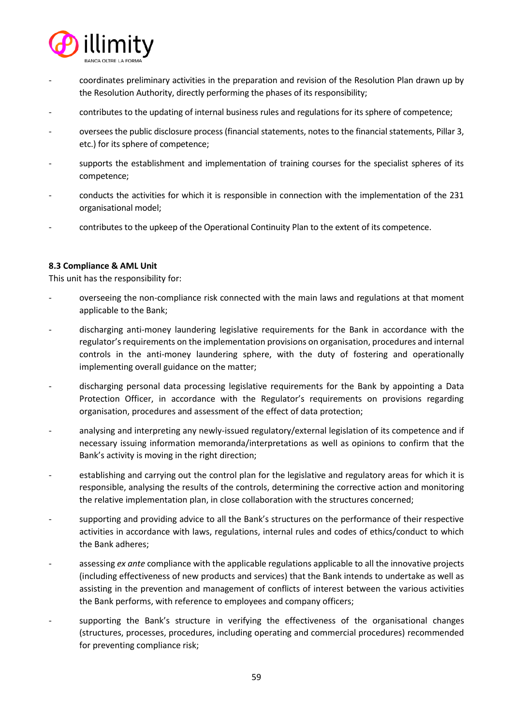

- coordinates preliminary activities in the preparation and revision of the Resolution Plan drawn up by the Resolution Authority, directly performing the phases of its responsibility;
- contributes to the updating of internal business rules and regulations for its sphere of competence;
- oversees the public disclosure process (financial statements, notes to the financial statements, Pillar 3, etc.) for its sphere of competence;
- supports the establishment and implementation of training courses for the specialist spheres of its competence;
- conducts the activities for which it is responsible in connection with the implementation of the 231 organisational model;
- contributes to the upkeep of the Operational Continuity Plan to the extent of its competence.

## **8.3 Compliance & AML Unit**

This unit has the responsibility for:

- overseeing the non-compliance risk connected with the main laws and regulations at that moment applicable to the Bank;
- discharging anti-money laundering legislative requirements for the Bank in accordance with the regulator's requirements on the implementation provisions on organisation, procedures and internal controls in the anti-money laundering sphere, with the duty of fostering and operationally implementing overall guidance on the matter;
- discharging personal data processing legislative requirements for the Bank by appointing a Data Protection Officer, in accordance with the Regulator's requirements on provisions regarding organisation, procedures and assessment of the effect of data protection;
- analysing and interpreting any newly-issued regulatory/external legislation of its competence and if necessary issuing information memoranda/interpretations as well as opinions to confirm that the Bank's activity is moving in the right direction;
- establishing and carrying out the control plan for the legislative and regulatory areas for which it is responsible, analysing the results of the controls, determining the corrective action and monitoring the relative implementation plan, in close collaboration with the structures concerned;
- supporting and providing advice to all the Bank's structures on the performance of their respective activities in accordance with laws, regulations, internal rules and codes of ethics/conduct to which the Bank adheres;
- assessing *ex ante* compliance with the applicable regulations applicable to all the innovative projects (including effectiveness of new products and services) that the Bank intends to undertake as well as assisting in the prevention and management of conflicts of interest between the various activities the Bank performs, with reference to employees and company officers;
- supporting the Bank's structure in verifying the effectiveness of the organisational changes (structures, processes, procedures, including operating and commercial procedures) recommended for preventing compliance risk;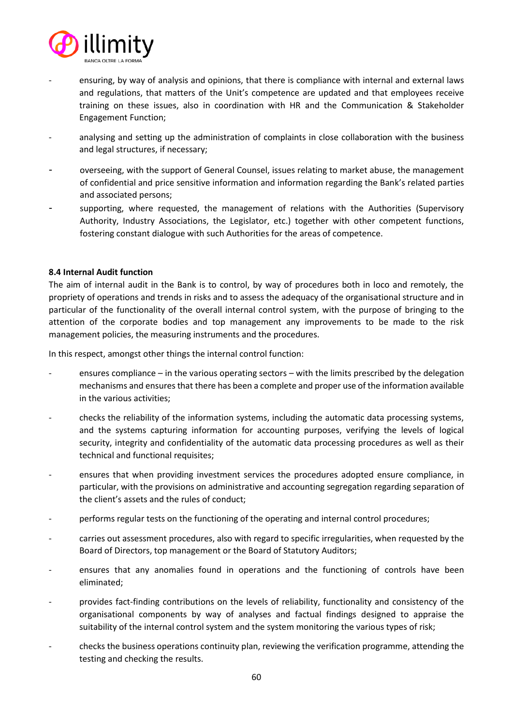

- ensuring, by way of analysis and opinions, that there is compliance with internal and external laws and regulations, that matters of the Unit's competence are updated and that employees receive training on these issues, also in coordination with HR and the Communication & Stakeholder Engagement Function;
- analysing and setting up the administration of complaints in close collaboration with the business and legal structures, if necessary;
- overseeing, with the support of General Counsel, issues relating to market abuse, the management of confidential and price sensitive information and information regarding the Bank's related parties and associated persons;
- supporting, where requested, the management of relations with the Authorities (Supervisory Authority, Industry Associations, the Legislator, etc.) together with other competent functions, fostering constant dialogue with such Authorities for the areas of competence.

## **8.4 Internal Audit function**

The aim of internal audit in the Bank is to control, by way of procedures both in loco and remotely, the propriety of operations and trends in risks and to assess the adequacy of the organisational structure and in particular of the functionality of the overall internal control system, with the purpose of bringing to the attention of the corporate bodies and top management any improvements to be made to the risk management policies, the measuring instruments and the procedures.

In this respect, amongst other things the internal control function:

- ensures compliance in the various operating sectors with the limits prescribed by the delegation mechanisms and ensuresthat there has been a complete and proper use of the information available in the various activities;
- checks the reliability of the information systems, including the automatic data processing systems, and the systems capturing information for accounting purposes, verifying the levels of logical security, integrity and confidentiality of the automatic data processing procedures as well as their technical and functional requisites;
- ensures that when providing investment services the procedures adopted ensure compliance, in particular, with the provisions on administrative and accounting segregation regarding separation of the client's assets and the rules of conduct;
- performs regular tests on the functioning of the operating and internal control procedures;
- carries out assessment procedures, also with regard to specific irregularities, when requested by the Board of Directors, top management or the Board of Statutory Auditors;
- ensures that any anomalies found in operations and the functioning of controls have been eliminated;
- provides fact-finding contributions on the levels of reliability, functionality and consistency of the organisational components by way of analyses and factual findings designed to appraise the suitability of the internal control system and the system monitoring the various types of risk;
- checks the business operations continuity plan, reviewing the verification programme, attending the testing and checking the results.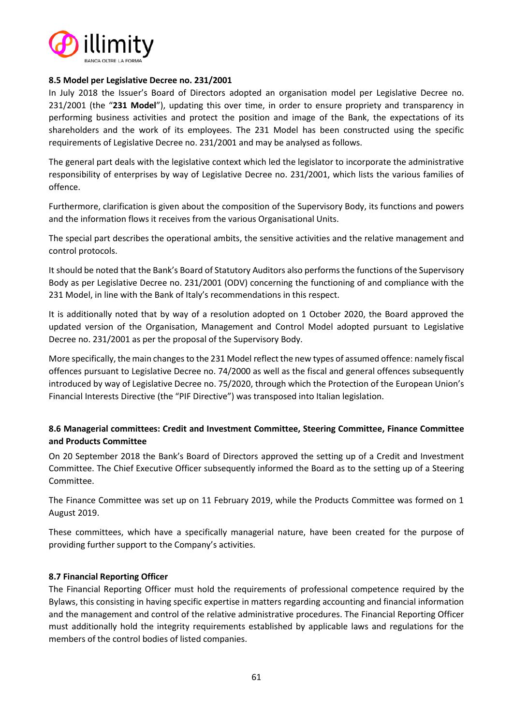

## **8.5 Model per Legislative Decree no. 231/2001**

In July 2018 the Issuer's Board of Directors adopted an organisation model per Legislative Decree no. 231/2001 (the "**231 Model**"), updating this over time, in order to ensure propriety and transparency in performing business activities and protect the position and image of the Bank, the expectations of its shareholders and the work of its employees. The 231 Model has been constructed using the specific requirements of Legislative Decree no. 231/2001 and may be analysed as follows.

The general part deals with the legislative context which led the legislator to incorporate the administrative responsibility of enterprises by way of Legislative Decree no. 231/2001, which lists the various families of offence.

Furthermore, clarification is given about the composition of the Supervisory Body, its functions and powers and the information flows it receives from the various Organisational Units.

The special part describes the operational ambits, the sensitive activities and the relative management and control protocols.

It should be noted that the Bank's Board of Statutory Auditors also performs the functions of the Supervisory Body as per Legislative Decree no. 231/2001 (ODV) concerning the functioning of and compliance with the 231 Model, in line with the Bank of Italy's recommendations in this respect.

It is additionally noted that by way of a resolution adopted on 1 October 2020, the Board approved the updated version of the Organisation, Management and Control Model adopted pursuant to Legislative Decree no. 231/2001 as per the proposal of the Supervisory Body.

More specifically, the main changes to the 231 Model reflect the new types of assumed offence: namely fiscal offences pursuant to Legislative Decree no. 74/2000 as well as the fiscal and general offences subsequently introduced by way of Legislative Decree no. 75/2020, through which the Protection of the European Union's Financial Interests Directive (the "PIF Directive") was transposed into Italian legislation.

# **8.6 Managerial committees: Credit and Investment Committee, Steering Committee, Finance Committee and Products Committee**

On 20 September 2018 the Bank's Board of Directors approved the setting up of a Credit and Investment Committee. The Chief Executive Officer subsequently informed the Board as to the setting up of a Steering Committee.

The Finance Committee was set up on 11 February 2019, while the Products Committee was formed on 1 August 2019.

These committees, which have a specifically managerial nature, have been created for the purpose of providing further support to the Company's activities.

## **8.7 Financial Reporting Officer**

The Financial Reporting Officer must hold the requirements of professional competence required by the Bylaws, this consisting in having specific expertise in matters regarding accounting and financial information and the management and control of the relative administrative procedures. The Financial Reporting Officer must additionally hold the integrity requirements established by applicable laws and regulations for the members of the control bodies of listed companies.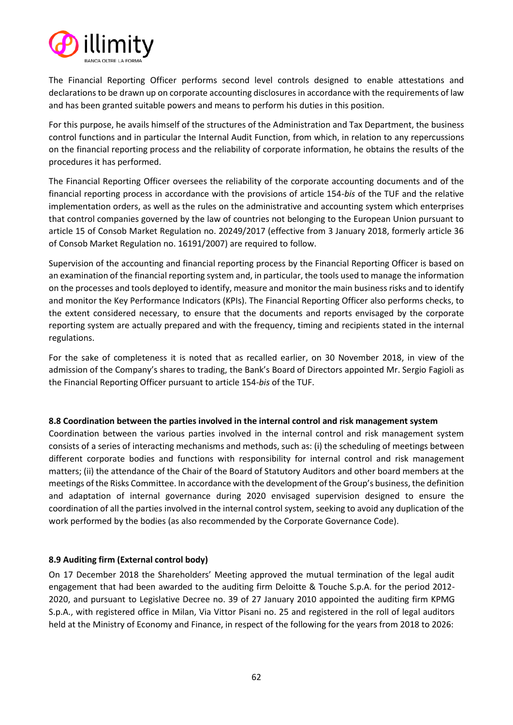

The Financial Reporting Officer performs second level controls designed to enable attestations and declarations to be drawn up on corporate accounting disclosures in accordance with the requirements of law and has been granted suitable powers and means to perform his duties in this position.

For this purpose, he avails himself of the structures of the Administration and Tax Department, the business control functions and in particular the Internal Audit Function, from which, in relation to any repercussions on the financial reporting process and the reliability of corporate information, he obtains the results of the procedures it has performed.

The Financial Reporting Officer oversees the reliability of the corporate accounting documents and of the financial reporting process in accordance with the provisions of article 154-*bis* of the TUF and the relative implementation orders, as well as the rules on the administrative and accounting system which enterprises that control companies governed by the law of countries not belonging to the European Union pursuant to article 15 of Consob Market Regulation no. 20249/2017 (effective from 3 January 2018, formerly article 36 of Consob Market Regulation no. 16191/2007) are required to follow.

Supervision of the accounting and financial reporting process by the Financial Reporting Officer is based on an examination of the financial reporting system and, in particular, the tools used to manage the information on the processes and tools deployed to identify, measure and monitor the main business risks and to identify and monitor the Key Performance Indicators (KPIs). The Financial Reporting Officer also performs checks, to the extent considered necessary, to ensure that the documents and reports envisaged by the corporate reporting system are actually prepared and with the frequency, timing and recipients stated in the internal regulations.

For the sake of completeness it is noted that as recalled earlier, on 30 November 2018, in view of the admission of the Company's shares to trading, the Bank's Board of Directors appointed Mr. Sergio Fagioli as the Financial Reporting Officer pursuant to article 154-*bis* of the TUF.

## **8.8 Coordination between the parties involved in the internal control and risk management system**

Coordination between the various parties involved in the internal control and risk management system consists of a series of interacting mechanisms and methods, such as: (i) the scheduling of meetings between different corporate bodies and functions with responsibility for internal control and risk management matters; (ii) the attendance of the Chair of the Board of Statutory Auditors and other board members at the meetings of the Risks Committee. In accordance with the development of the Group's business, the definition and adaptation of internal governance during 2020 envisaged supervision designed to ensure the coordination of all the parties involved in the internal control system, seeking to avoid any duplication of the work performed by the bodies (as also recommended by the Corporate Governance Code).

# **8.9 Auditing firm (External control body)**

On 17 December 2018 the Shareholders' Meeting approved the mutual termination of the legal audit engagement that had been awarded to the auditing firm Deloitte & Touche S.p.A. for the period 2012- 2020, and pursuant to Legislative Decree no. 39 of 27 January 2010 appointed the auditing firm KPMG S.p.A., with registered office in Milan, Via Vittor Pisani no. 25 and registered in the roll of legal auditors held at the Ministry of Economy and Finance, in respect of the following for the years from 2018 to 2026: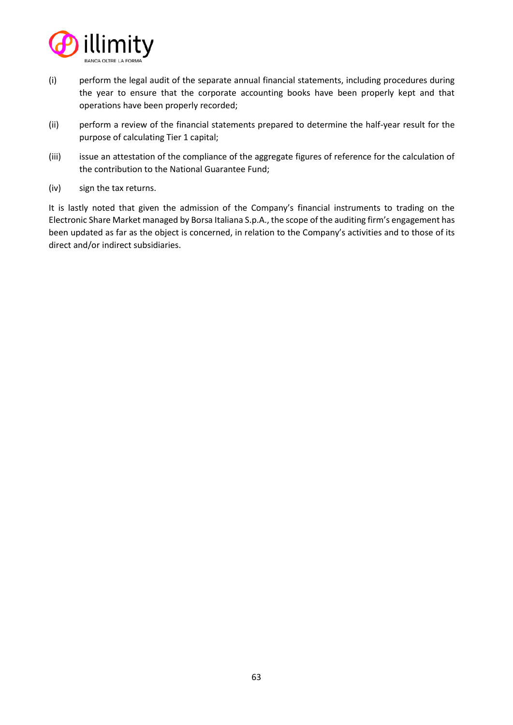

- (i) perform the legal audit of the separate annual financial statements, including procedures during the year to ensure that the corporate accounting books have been properly kept and that operations have been properly recorded;
- (ii) perform a review of the financial statements prepared to determine the half-year result for the purpose of calculating Tier 1 capital;
- (iii) issue an attestation of the compliance of the aggregate figures of reference for the calculation of the contribution to the National Guarantee Fund;
- (iv) sign the tax returns.

It is lastly noted that given the admission of the Company's financial instruments to trading on the Electronic Share Market managed by Borsa Italiana S.p.A., the scope of the auditing firm's engagement has been updated as far as the object is concerned, in relation to the Company's activities and to those of its direct and/or indirect subsidiaries.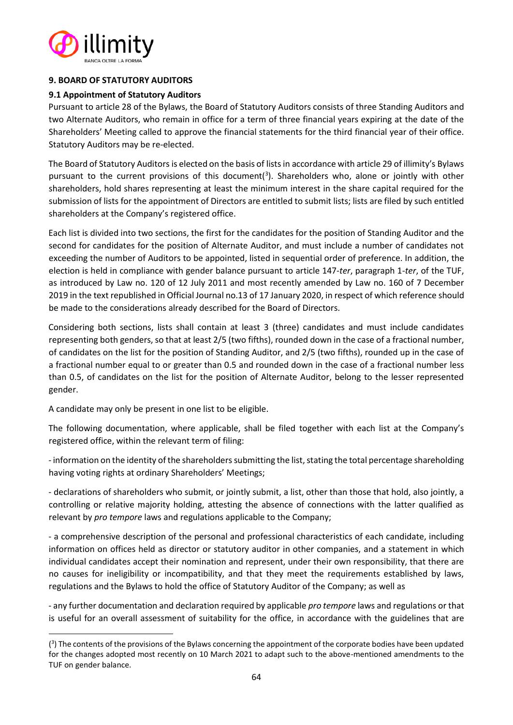

# **9. BOARD OF STATUTORY AUDITORS**

# **9.1 Appointment of Statutory Auditors**

Pursuant to article 28 of the Bylaws, the Board of Statutory Auditors consists of three Standing Auditors and two Alternate Auditors, who remain in office for a term of three financial years expiring at the date of the Shareholders' Meeting called to approve the financial statements for the third financial year of their office. Statutory Auditors may be re-elected.

The Board of Statutory Auditors is elected on the basis of lists in accordance with article 29 of illimity's Bylaws pursuant to the current provisions of this document( $3$ ). Shareholders who, alone or jointly with other shareholders, hold shares representing at least the minimum interest in the share capital required for the submission of lists for the appointment of Directors are entitled to submit lists; lists are filed by such entitled shareholders at the Company's registered office.

Each list is divided into two sections, the first for the candidates for the position of Standing Auditor and the second for candidates for the position of Alternate Auditor, and must include a number of candidates not exceeding the number of Auditors to be appointed, listed in sequential order of preference. In addition, the election is held in compliance with gender balance pursuant to article 147-*ter*, paragraph 1-*ter*, of the TUF, as introduced by Law no. 120 of 12 July 2011 and most recently amended by Law no. 160 of 7 December 2019 in the text republished in Official Journal no.13 of 17 January 2020, in respect of which reference should be made to the considerations already described for the Board of Directors.

Considering both sections, lists shall contain at least 3 (three) candidates and must include candidates representing both genders, so that at least 2/5 (two fifths), rounded down in the case of a fractional number, of candidates on the list for the position of Standing Auditor, and 2/5 (two fifths), rounded up in the case of a fractional number equal to or greater than 0.5 and rounded down in the case of a fractional number less than 0.5, of candidates on the list for the position of Alternate Auditor, belong to the lesser represented gender.

A candidate may only be present in one list to be eligible.

The following documentation, where applicable, shall be filed together with each list at the Company's registered office, within the relevant term of filing:

- information on the identity of the shareholders submitting the list, stating the total percentage shareholding having voting rights at ordinary Shareholders' Meetings;

- declarations of shareholders who submit, or jointly submit, a list, other than those that hold, also jointly, a controlling or relative majority holding, attesting the absence of connections with the latter qualified as relevant by *pro tempore* laws and regulations applicable to the Company;

- a comprehensive description of the personal and professional characteristics of each candidate, including information on offices held as director or statutory auditor in other companies, and a statement in which individual candidates accept their nomination and represent, under their own responsibility, that there are no causes for ineligibility or incompatibility, and that they meet the requirements established by laws, regulations and the Bylaws to hold the office of Statutory Auditor of the Company; as well as

- any further documentation and declaration required by applicable *pro tempore* laws and regulations or that is useful for an overall assessment of suitability for the office, in accordance with the guidelines that are

<sup>(&</sup>lt;sup>3</sup>) The contents of the provisions of the Bylaws concerning the appointment of the corporate bodies have been updated for the changes adopted most recently on 10 March 2021 to adapt such to the above-mentioned amendments to the TUF on gender balance.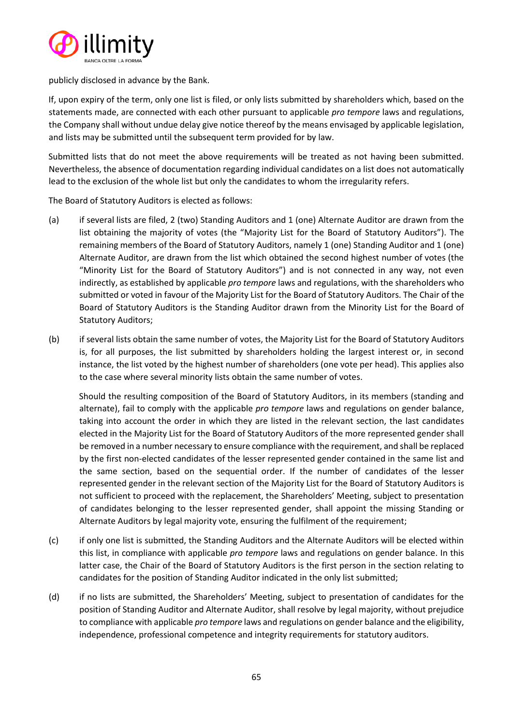

publicly disclosed in advance by the Bank.

If, upon expiry of the term, only one list is filed, or only lists submitted by shareholders which, based on the statements made, are connected with each other pursuant to applicable *pro tempore* laws and regulations, the Company shall without undue delay give notice thereof by the means envisaged by applicable legislation, and lists may be submitted until the subsequent term provided for by law.

Submitted lists that do not meet the above requirements will be treated as not having been submitted. Nevertheless, the absence of documentation regarding individual candidates on a list does not automatically lead to the exclusion of the whole list but only the candidates to whom the irregularity refers.

The Board of Statutory Auditors is elected as follows:

- (a) if several lists are filed, 2 (two) Standing Auditors and 1 (one) Alternate Auditor are drawn from the list obtaining the majority of votes (the "Majority List for the Board of Statutory Auditors"). The remaining members of the Board of Statutory Auditors, namely 1 (one) Standing Auditor and 1 (one) Alternate Auditor, are drawn from the list which obtained the second highest number of votes (the "Minority List for the Board of Statutory Auditors") and is not connected in any way, not even indirectly, as established by applicable *pro tempore* laws and regulations, with the shareholders who submitted or voted in favour of the Majority List for the Board of Statutory Auditors. The Chair of the Board of Statutory Auditors is the Standing Auditor drawn from the Minority List for the Board of Statutory Auditors;
- (b) if several lists obtain the same number of votes, the Majority List for the Board of Statutory Auditors is, for all purposes, the list submitted by shareholders holding the largest interest or, in second instance, the list voted by the highest number of shareholders (one vote per head). This applies also to the case where several minority lists obtain the same number of votes.

Should the resulting composition of the Board of Statutory Auditors, in its members (standing and alternate), fail to comply with the applicable *pro tempore* laws and regulations on gender balance, taking into account the order in which they are listed in the relevant section, the last candidates elected in the Majority List for the Board of Statutory Auditors of the more represented gender shall be removed in a number necessary to ensure compliance with the requirement, and shall be replaced by the first non-elected candidates of the lesser represented gender contained in the same list and the same section, based on the sequential order. If the number of candidates of the lesser represented gender in the relevant section of the Majority List for the Board of Statutory Auditors is not sufficient to proceed with the replacement, the Shareholders' Meeting, subject to presentation of candidates belonging to the lesser represented gender, shall appoint the missing Standing or Alternate Auditors by legal majority vote, ensuring the fulfilment of the requirement;

- (c) if only one list is submitted, the Standing Auditors and the Alternate Auditors will be elected within this list, in compliance with applicable *pro tempore* laws and regulations on gender balance. In this latter case, the Chair of the Board of Statutory Auditors is the first person in the section relating to candidates for the position of Standing Auditor indicated in the only list submitted;
- (d) if no lists are submitted, the Shareholders' Meeting, subject to presentation of candidates for the position of Standing Auditor and Alternate Auditor, shall resolve by legal majority, without prejudice to compliance with applicable *pro tempore* laws and regulations on gender balance and the eligibility, independence, professional competence and integrity requirements for statutory auditors.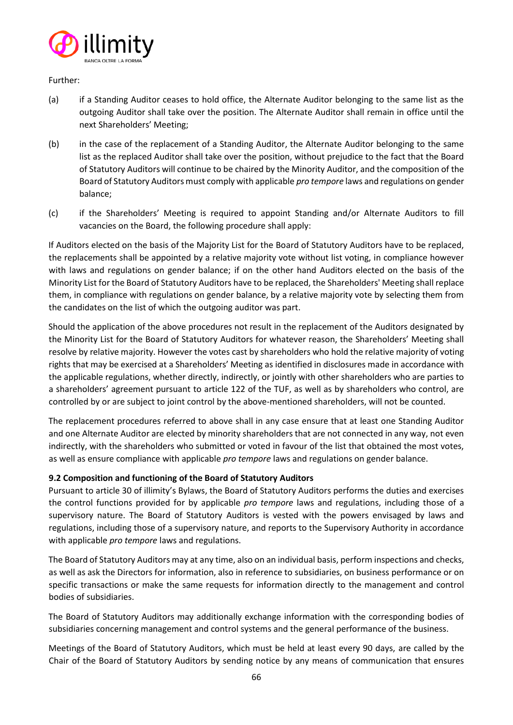

Further:

- (a) if a Standing Auditor ceases to hold office, the Alternate Auditor belonging to the same list as the outgoing Auditor shall take over the position. The Alternate Auditor shall remain in office until the next Shareholders' Meeting;
- (b) in the case of the replacement of a Standing Auditor, the Alternate Auditor belonging to the same list as the replaced Auditor shall take over the position, without prejudice to the fact that the Board of Statutory Auditors will continue to be chaired by the Minority Auditor, and the composition of the Board of Statutory Auditors must comply with applicable *pro tempore* laws and regulations on gender balance;
- (c) if the Shareholders' Meeting is required to appoint Standing and/or Alternate Auditors to fill vacancies on the Board, the following procedure shall apply:

If Auditors elected on the basis of the Majority List for the Board of Statutory Auditors have to be replaced, the replacements shall be appointed by a relative majority vote without list voting, in compliance however with laws and regulations on gender balance; if on the other hand Auditors elected on the basis of the Minority List for the Board of Statutory Auditors have to be replaced, the Shareholders' Meeting shall replace them, in compliance with regulations on gender balance, by a relative majority vote by selecting them from the candidates on the list of which the outgoing auditor was part.

Should the application of the above procedures not result in the replacement of the Auditors designated by the Minority List for the Board of Statutory Auditors for whatever reason, the Shareholders' Meeting shall resolve by relative majority. However the votes cast by shareholders who hold the relative majority of voting rights that may be exercised at a Shareholders' Meeting as identified in disclosures made in accordance with the applicable regulations, whether directly, indirectly, or jointly with other shareholders who are parties to a shareholders' agreement pursuant to article 122 of the TUF, as well as by shareholders who control, are controlled by or are subject to joint control by the above-mentioned shareholders, will not be counted.

The replacement procedures referred to above shall in any case ensure that at least one Standing Auditor and one Alternate Auditor are elected by minority shareholders that are not connected in any way, not even indirectly, with the shareholders who submitted or voted in favour of the list that obtained the most votes, as well as ensure compliance with applicable *pro tempore* laws and regulations on gender balance.

# **9.2 Composition and functioning of the Board of Statutory Auditors**

Pursuant to article 30 of illimity's Bylaws, the Board of Statutory Auditors performs the duties and exercises the control functions provided for by applicable *pro tempore* laws and regulations, including those of a supervisory nature. The Board of Statutory Auditors is vested with the powers envisaged by laws and regulations, including those of a supervisory nature, and reports to the Supervisory Authority in accordance with applicable *pro tempore* laws and regulations.

The Board of Statutory Auditors may at any time, also on an individual basis, perform inspections and checks, as well as ask the Directors for information, also in reference to subsidiaries, on business performance or on specific transactions or make the same requests for information directly to the management and control bodies of subsidiaries.

The Board of Statutory Auditors may additionally exchange information with the corresponding bodies of subsidiaries concerning management and control systems and the general performance of the business.

Meetings of the Board of Statutory Auditors, which must be held at least every 90 days, are called by the Chair of the Board of Statutory Auditors by sending notice by any means of communication that ensures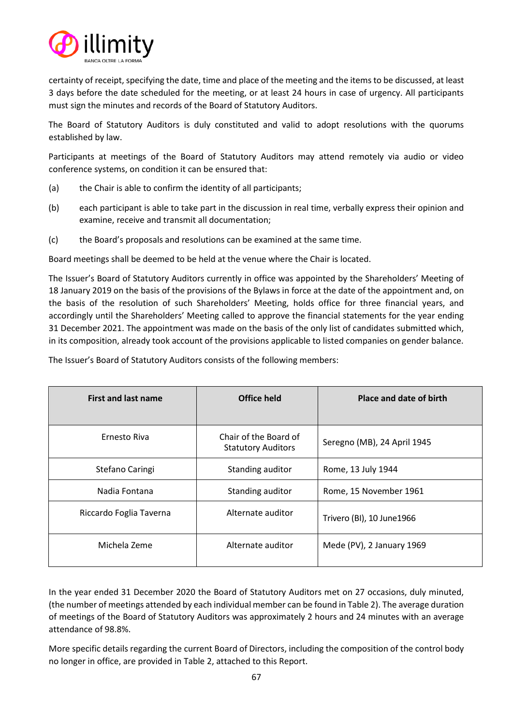

certainty of receipt, specifying the date, time and place of the meeting and the items to be discussed, at least 3 days before the date scheduled for the meeting, or at least 24 hours in case of urgency. All participants must sign the minutes and records of the Board of Statutory Auditors.

The Board of Statutory Auditors is duly constituted and valid to adopt resolutions with the quorums established by law.

Participants at meetings of the Board of Statutory Auditors may attend remotely via audio or video conference systems, on condition it can be ensured that:

- (a) the Chair is able to confirm the identity of all participants;
- (b) each participant is able to take part in the discussion in real time, verbally express their opinion and examine, receive and transmit all documentation;
- (c) the Board's proposals and resolutions can be examined at the same time.

Board meetings shall be deemed to be held at the venue where the Chair is located.

The Issuer's Board of Statutory Auditors currently in office was appointed by the Shareholders' Meeting of 18 January 2019 on the basis of the provisions of the Bylaws in force at the date of the appointment and, on the basis of the resolution of such Shareholders' Meeting, holds office for three financial years, and accordingly until the Shareholders' Meeting called to approve the financial statements for the year ending 31 December 2021. The appointment was made on the basis of the only list of candidates submitted which, in its composition, already took account of the provisions applicable to listed companies on gender balance.

The Issuer's Board of Statutory Auditors consists of the following members:

| <b>First and last name</b> | Office held                                        | Place and date of birth     |
|----------------------------|----------------------------------------------------|-----------------------------|
| Ernesto Riva               | Chair of the Board of<br><b>Statutory Auditors</b> | Seregno (MB), 24 April 1945 |
| Stefano Caringi            | Standing auditor                                   | Rome, 13 July 1944          |
| Nadia Fontana              | Standing auditor                                   | Rome, 15 November 1961      |
| Riccardo Foglia Taverna    | Alternate auditor                                  | Trivero (BI), 10 June1966   |
| Michela Zeme               | Alternate auditor                                  | Mede (PV), 2 January 1969   |

In the year ended 31 December 2020 the Board of Statutory Auditors met on 27 occasions, duly minuted, (the number of meetings attended by each individual member can be found in Table 2). The average duration of meetings of the Board of Statutory Auditors was approximately 2 hours and 24 minutes with an average attendance of 98.8%.

More specific details regarding the current Board of Directors, including the composition of the control body no longer in office, are provided in Table 2, attached to this Report.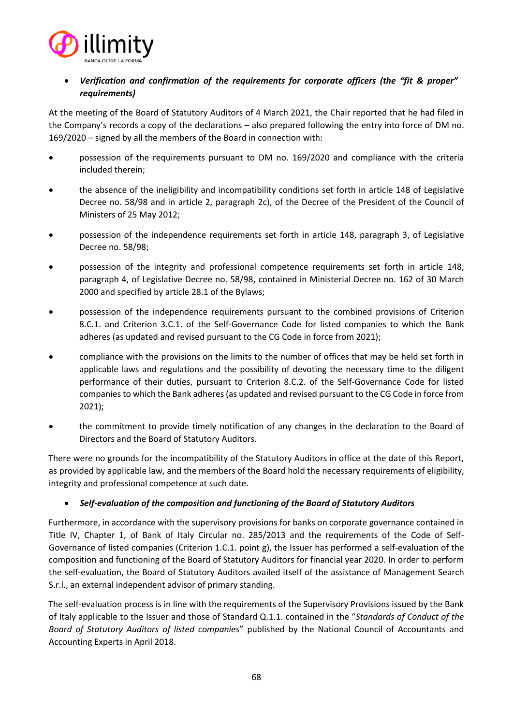

# • *Verification and confirmation of the requirements for corporate officers (the "fit & proper" requirements)*

At the meeting of the Board of Statutory Auditors of 4 March 2021, the Chair reported that he had filed in the Company's records a copy of the declarations – also prepared following the entry into force of DM no. 169/2020 – signed by all the members of the Board in connection with:

- possession of the requirements pursuant to DM no. 169/2020 and compliance with the criteria included therein;
- the absence of the ineligibility and incompatibility conditions set forth in article 148 of Legislative Decree no. 58/98 and in article 2, paragraph 2c), of the Decree of the President of the Council of Ministers of 25 May 2012;
- possession of the independence requirements set forth in article 148, paragraph 3, of Legislative Decree no. 58/98;
- possession of the integrity and professional competence requirements set forth in article 148, paragraph 4, of Legislative Decree no. 58/98, contained in Ministerial Decree no. 162 of 30 March 2000 and specified by article 28.1 of the Bylaws;
- possession of the independence requirements pursuant to the combined provisions of Criterion 8.C.1. and Criterion 3.C.1. of the Self-Governance Code for listed companies to which the Bank adheres (as updated and revised pursuant to the CG Code in force from 2021);
- compliance with the provisions on the limits to the number of offices that may be held set forth in applicable laws and regulations and the possibility of devoting the necessary time to the diligent performance of their duties, pursuant to Criterion 8.C.2. of the Self-Governance Code for listed companies to which the Bank adheres (as updated and revised pursuant to the CG Code in force from 2021);
- the commitment to provide timely notification of any changes in the declaration to the Board of Directors and the Board of Statutory Auditors.

There were no grounds for the incompatibility of the Statutory Auditors in office at the date of this Report, as provided by applicable law, and the members of the Board hold the necessary requirements of eligibility, integrity and professional competence at such date.

# • *Self-evaluation of the composition and functioning of the Board of Statutory Auditors*

Furthermore, in accordance with the supervisory provisions for banks on corporate governance contained in Title IV, Chapter 1, of Bank of Italy Circular no. 285/2013 and the requirements of the Code of Self-Governance of listed companies (Criterion 1.C.1. point g), the Issuer has performed a self-evaluation of the composition and functioning of the Board of Statutory Auditors for financial year 2020. In order to perform the self-evaluation, the Board of Statutory Auditors availed itself of the assistance of Management Search S.r.l., an external independent advisor of primary standing.

The self-evaluation process is in line with the requirements of the Supervisory Provisions issued by the Bank of Italy applicable to the Issuer and those of Standard Q.1.1. contained in the "*Standards of Conduct of the Board of Statutory Auditors of listed companies*" published by the National Council of Accountants and Accounting Experts in April 2018.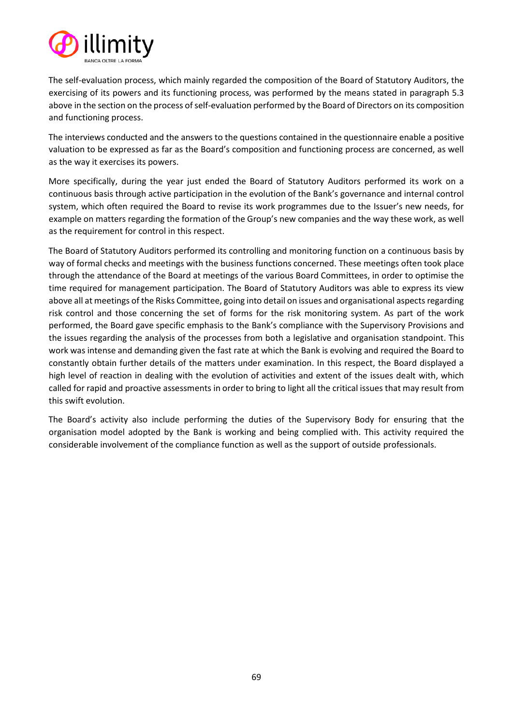

The self-evaluation process, which mainly regarded the composition of the Board of Statutory Auditors, the exercising of its powers and its functioning process, was performed by the means stated in paragraph 5.3 above in the section on the process of self-evaluation performed by the Board of Directors on its composition and functioning process.

The interviews conducted and the answers to the questions contained in the questionnaire enable a positive valuation to be expressed as far as the Board's composition and functioning process are concerned, as well as the way it exercises its powers.

More specifically, during the year just ended the Board of Statutory Auditors performed its work on a continuous basis through active participation in the evolution of the Bank's governance and internal control system, which often required the Board to revise its work programmes due to the Issuer's new needs, for example on matters regarding the formation of the Group's new companies and the way these work, as well as the requirement for control in this respect.

The Board of Statutory Auditors performed its controlling and monitoring function on a continuous basis by way of formal checks and meetings with the business functions concerned. These meetings often took place through the attendance of the Board at meetings of the various Board Committees, in order to optimise the time required for management participation. The Board of Statutory Auditors was able to express its view above all at meetings of the Risks Committee, going into detail on issues and organisational aspects regarding risk control and those concerning the set of forms for the risk monitoring system. As part of the work performed, the Board gave specific emphasis to the Bank's compliance with the Supervisory Provisions and the issues regarding the analysis of the processes from both a legislative and organisation standpoint. This work was intense and demanding given the fast rate at which the Bank is evolving and required the Board to constantly obtain further details of the matters under examination. In this respect, the Board displayed a high level of reaction in dealing with the evolution of activities and extent of the issues dealt with, which called for rapid and proactive assessments in order to bring to light all the critical issues that may result from this swift evolution.

The Board's activity also include performing the duties of the Supervisory Body for ensuring that the organisation model adopted by the Bank is working and being complied with. This activity required the considerable involvement of the compliance function as well as the support of outside professionals.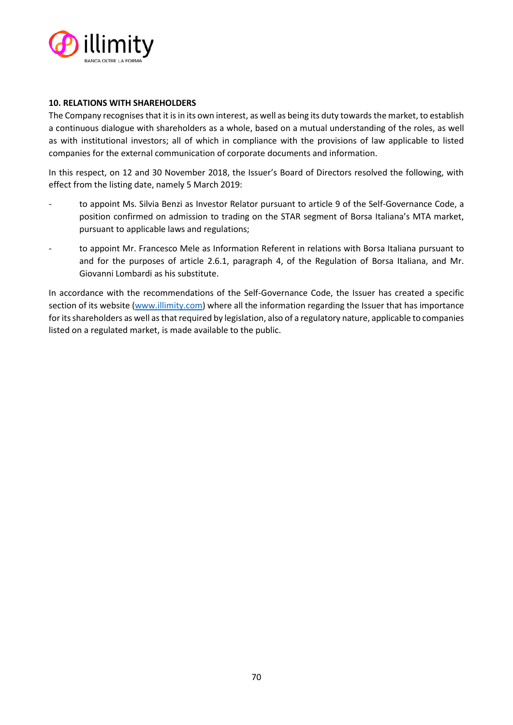

## **10. RELATIONS WITH SHAREHOLDERS**

The Company recognises that it is in its own interest, as well as being its duty towards the market, to establish a continuous dialogue with shareholders as a whole, based on a mutual understanding of the roles, as well as with institutional investors; all of which in compliance with the provisions of law applicable to listed companies for the external communication of corporate documents and information.

In this respect, on 12 and 30 November 2018, the Issuer's Board of Directors resolved the following, with effect from the listing date, namely 5 March 2019:

- to appoint Ms. Silvia Benzi as Investor Relator pursuant to article 9 of the Self-Governance Code, a position confirmed on admission to trading on the STAR segment of Borsa Italiana's MTA market, pursuant to applicable laws and regulations;
- to appoint Mr. Francesco Mele as Information Referent in relations with Borsa Italiana pursuant to and for the purposes of article 2.6.1, paragraph 4, of the Regulation of Borsa Italiana, and Mr. Giovanni Lombardi as his substitute.

In accordance with the recommendations of the Self-Governance Code, the Issuer has created a specific section of its website [\(www.illimity.com\)](http://www.illimity.com/) where all the information regarding the Issuer that has importance for its shareholders as well asthat required by legislation, also of a regulatory nature, applicable to companies listed on a regulated market, is made available to the public.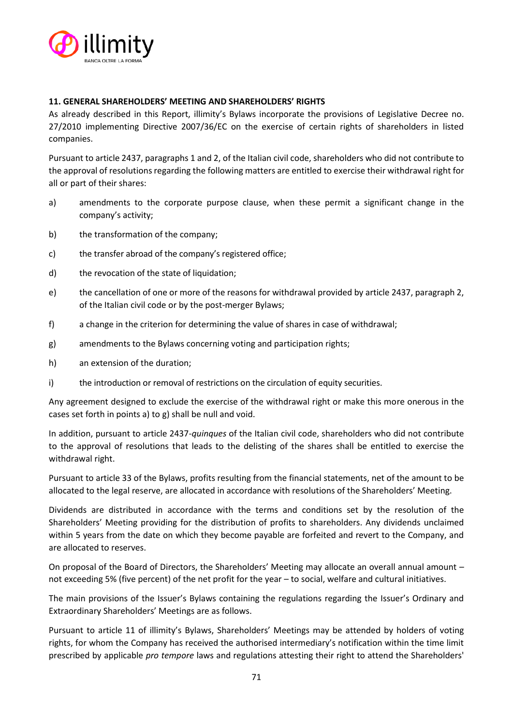

# **11. GENERAL SHAREHOLDERS' MEETING AND SHAREHOLDERS' RIGHTS**

As already described in this Report, illimity's Bylaws incorporate the provisions of Legislative Decree no. 27/2010 implementing Directive 2007/36/EC on the exercise of certain rights of shareholders in listed companies.

Pursuant to article 2437, paragraphs 1 and 2, of the Italian civil code, shareholders who did not contribute to the approval of resolutions regarding the following matters are entitled to exercise their withdrawal right for all or part of their shares:

- a) amendments to the corporate purpose clause, when these permit a significant change in the company's activity;
- b) the transformation of the company;
- c) the transfer abroad of the company's registered office;
- d) the revocation of the state of liquidation;
- e) the cancellation of one or more of the reasons for withdrawal provided by article 2437, paragraph 2, of the Italian civil code or by the post-merger Bylaws;
- f) a change in the criterion for determining the value of shares in case of withdrawal;
- g) amendments to the Bylaws concerning voting and participation rights;
- h) an extension of the duration;
- i) the introduction or removal of restrictions on the circulation of equity securities.

Any agreement designed to exclude the exercise of the withdrawal right or make this more onerous in the cases set forth in points a) to g) shall be null and void.

In addition, pursuant to article 2437-*quinques* of the Italian civil code, shareholders who did not contribute to the approval of resolutions that leads to the delisting of the shares shall be entitled to exercise the withdrawal right.

Pursuant to article 33 of the Bylaws, profits resulting from the financial statements, net of the amount to be allocated to the legal reserve, are allocated in accordance with resolutions of the Shareholders' Meeting.

Dividends are distributed in accordance with the terms and conditions set by the resolution of the Shareholders' Meeting providing for the distribution of profits to shareholders. Any dividends unclaimed within 5 years from the date on which they become payable are forfeited and revert to the Company, and are allocated to reserves.

On proposal of the Board of Directors, the Shareholders' Meeting may allocate an overall annual amount – not exceeding 5% (five percent) of the net profit for the year – to social, welfare and cultural initiatives.

The main provisions of the Issuer's Bylaws containing the regulations regarding the Issuer's Ordinary and Extraordinary Shareholders' Meetings are as follows.

Pursuant to article 11 of illimity's Bylaws, Shareholders' Meetings may be attended by holders of voting rights, for whom the Company has received the authorised intermediary's notification within the time limit prescribed by applicable *pro tempore* laws and regulations attesting their right to attend the Shareholders'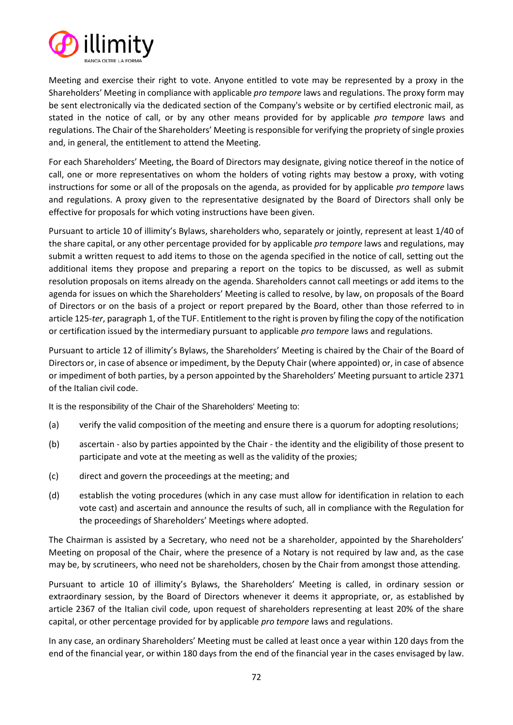

Meeting and exercise their right to vote. Anyone entitled to vote may be represented by a proxy in the Shareholders' Meeting in compliance with applicable *pro tempore* laws and regulations. The proxy form may be sent electronically via the dedicated section of the Company's website or by certified electronic mail, as stated in the notice of call, or by any other means provided for by applicable *pro tempore* laws and regulations. The Chair of the Shareholders' Meeting is responsible for verifying the propriety of single proxies and, in general, the entitlement to attend the Meeting.

For each Shareholders' Meeting, the Board of Directors may designate, giving notice thereof in the notice of call, one or more representatives on whom the holders of voting rights may bestow a proxy, with voting instructions for some or all of the proposals on the agenda, as provided for by applicable *pro tempore* laws and regulations. A proxy given to the representative designated by the Board of Directors shall only be effective for proposals for which voting instructions have been given.

Pursuant to article 10 of illimity's Bylaws, shareholders who, separately or jointly, represent at least 1/40 of the share capital, or any other percentage provided for by applicable *pro tempore* laws and regulations, may submit a written request to add items to those on the agenda specified in the notice of call, setting out the additional items they propose and preparing a report on the topics to be discussed, as well as submit resolution proposals on items already on the agenda. Shareholders cannot call meetings or add items to the agenda for issues on which the Shareholders' Meeting is called to resolve, by law, on proposals of the Board of Directors or on the basis of a project or report prepared by the Board, other than those referred to in article 125-*ter*, paragraph 1, of the TUF. Entitlement to the right is proven by filing the copy of the notification or certification issued by the intermediary pursuant to applicable *pro tempore* laws and regulations.

Pursuant to article 12 of illimity's Bylaws, the Shareholders' Meeting is chaired by the Chair of the Board of Directors or, in case of absence or impediment, by the Deputy Chair (where appointed) or, in case of absence or impediment of both parties, by a person appointed by the Shareholders' Meeting pursuant to article 2371 of the Italian civil code.

It is the responsibility of the Chair of the Shareholders' Meeting to:

- (a) verify the valid composition of the meeting and ensure there is a quorum for adopting resolutions;
- (b) ascertain also by parties appointed by the Chair the identity and the eligibility of those present to participate and vote at the meeting as well as the validity of the proxies;
- (c) direct and govern the proceedings at the meeting; and
- (d) establish the voting procedures (which in any case must allow for identification in relation to each vote cast) and ascertain and announce the results of such, all in compliance with the Regulation for the proceedings of Shareholders' Meetings where adopted.

The Chairman is assisted by a Secretary, who need not be a shareholder, appointed by the Shareholders' Meeting on proposal of the Chair, where the presence of a Notary is not required by law and, as the case may be, by scrutineers, who need not be shareholders, chosen by the Chair from amongst those attending.

Pursuant to article 10 of illimity's Bylaws, the Shareholders' Meeting is called, in ordinary session or extraordinary session, by the Board of Directors whenever it deems it appropriate, or, as established by article 2367 of the Italian civil code, upon request of shareholders representing at least 20% of the share capital, or other percentage provided for by applicable *pro tempore* laws and regulations.

In any case, an ordinary Shareholders' Meeting must be called at least once a year within 120 days from the end of the financial year, or within 180 days from the end of the financial year in the cases envisaged by law.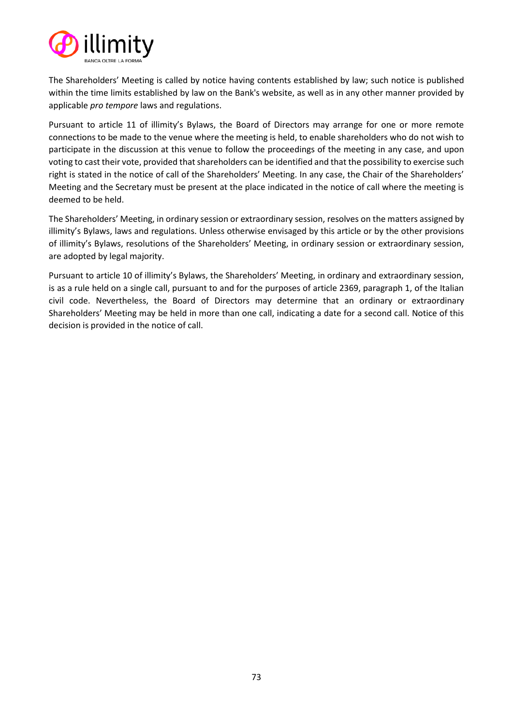

The Shareholders' Meeting is called by notice having contents established by law; such notice is published within the time limits established by law on the Bank's website, as well as in any other manner provided by applicable *pro tempore* laws and regulations.

Pursuant to article 11 of illimity's Bylaws, the Board of Directors may arrange for one or more remote connections to be made to the venue where the meeting is held, to enable shareholders who do not wish to participate in the discussion at this venue to follow the proceedings of the meeting in any case, and upon voting to cast their vote, provided that shareholders can be identified and that the possibility to exercise such right is stated in the notice of call of the Shareholders' Meeting. In any case, the Chair of the Shareholders' Meeting and the Secretary must be present at the place indicated in the notice of call where the meeting is deemed to be held.

The Shareholders' Meeting, in ordinary session or extraordinary session, resolves on the matters assigned by illimity's Bylaws, laws and regulations. Unless otherwise envisaged by this article or by the other provisions of illimity's Bylaws, resolutions of the Shareholders' Meeting, in ordinary session or extraordinary session, are adopted by legal majority.

Pursuant to article 10 of illimity's Bylaws, the Shareholders' Meeting, in ordinary and extraordinary session, is as a rule held on a single call, pursuant to and for the purposes of article 2369, paragraph 1, of the Italian civil code. Nevertheless, the Board of Directors may determine that an ordinary or extraordinary Shareholders' Meeting may be held in more than one call, indicating a date for a second call. Notice of this decision is provided in the notice of call.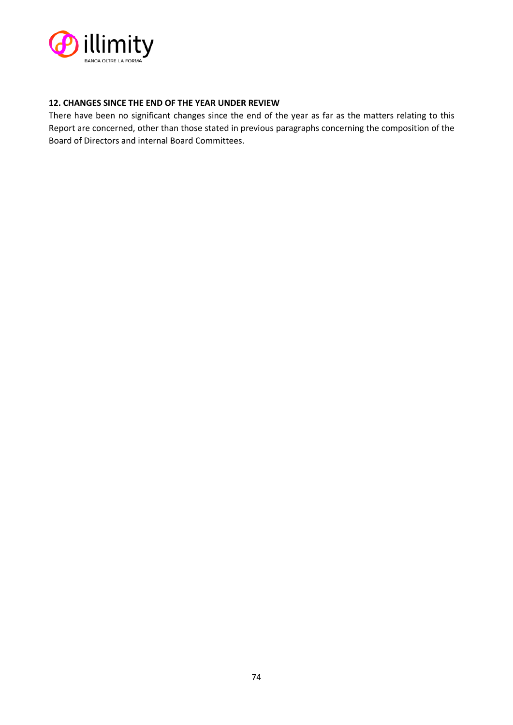

# **12. CHANGES SINCE THE END OF THE YEAR UNDER REVIEW**

There have been no significant changes since the end of the year as far as the matters relating to this Report are concerned, other than those stated in previous paragraphs concerning the composition of the Board of Directors and internal Board Committees.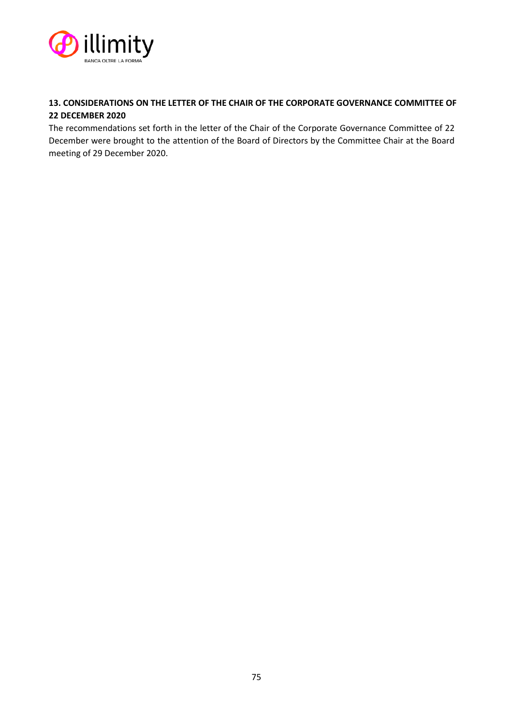

# **13. CONSIDERATIONS ON THE LETTER OF THE CHAIR OF THE CORPORATE GOVERNANCE COMMITTEE OF 22 DECEMBER 2020**

The recommendations set forth in the letter of the Chair of the Corporate Governance Committee of 22 December were brought to the attention of the Board of Directors by the Committee Chair at the Board meeting of 29 December 2020.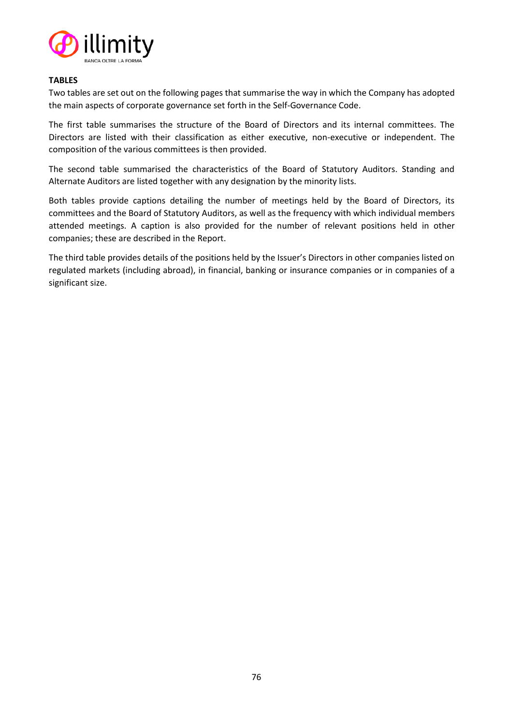

### **TABLES**

Two tables are set out on the following pages that summarise the way in which the Company has adopted the main aspects of corporate governance set forth in the Self-Governance Code.

The first table summarises the structure of the Board of Directors and its internal committees. The Directors are listed with their classification as either executive, non-executive or independent. The composition of the various committees is then provided.

The second table summarised the characteristics of the Board of Statutory Auditors. Standing and Alternate Auditors are listed together with any designation by the minority lists.

Both tables provide captions detailing the number of meetings held by the Board of Directors, its committees and the Board of Statutory Auditors, as well as the frequency with which individual members attended meetings. A caption is also provided for the number of relevant positions held in other companies; these are described in the Report.

The third table provides details of the positions held by the Issuer's Directors in other companies listed on regulated markets (including abroad), in financial, banking or insurance companies or in companies of a significant size.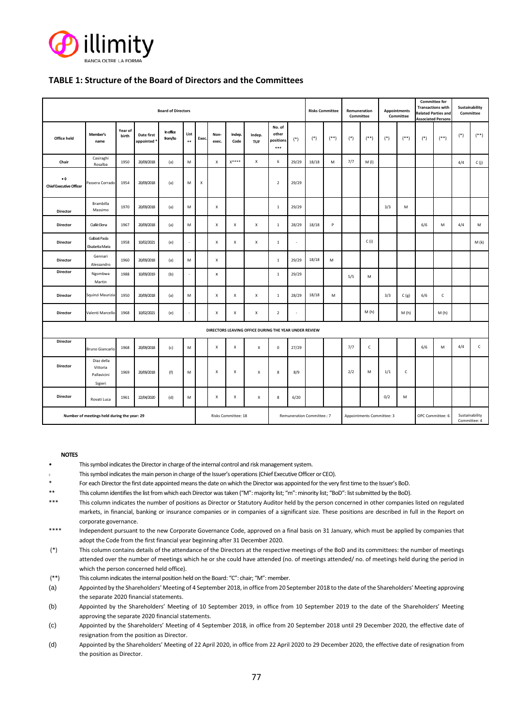

### **TABLE 1: Structure of the Board of Directors and the Committees**

| <b>Board of Directors</b>                             |                                                  |                  |                         |                             |                     |                           |                    |                | <b>Risks Committee</b>     |                                       | Remuneration<br>Committee |       | <b>Appointments</b><br>Committee |                                                    | <b>Committee for</b><br><b>Transactions with</b><br><b>Related Parties and</b><br><b>Associated Persons</b> |       | Sustainability<br>Committee |       |              |       |              |
|-------------------------------------------------------|--------------------------------------------------|------------------|-------------------------|-----------------------------|---------------------|---------------------------|--------------------|----------------|----------------------------|---------------------------------------|---------------------------|-------|----------------------------------|----------------------------------------------------|-------------------------------------------------------------------------------------------------------------|-------|-----------------------------|-------|--------------|-------|--------------|
| <b>Office held</b>                                    | Member's<br>name                                 | Year of<br>birth | Date first<br>appointed | <b>In office</b><br>from/to | List<br>$\ast\ast$  | Exec.                     | Non-<br>exec.      | Indep.<br>Code | Indep.<br><b>TUF</b>       | No. of<br>other<br>positions<br>$***$ | $(*)$                     | $(*)$ | $($ **)                          | $(*)$                                              | $($ **)                                                                                                     | $(*)$ | $($ **)                     | $(*)$ | $(**)$       | $(*)$ | $(**)$       |
| Chair                                                 | Casiraghi<br>Rosalba                             | 1950             | 20/09/2018              | (a)                         | M                   |                           | X                  | $X****$        | X                          | 6                                     | 29/29                     | 18/18 | M                                | 7/7                                                | M(I)                                                                                                        |       |                             |       |              | 4/4   | C(j)         |
| $\bullet$ 0<br><b>Chief Executive Officer</b>         | Passera Corrado                                  | 1954             | 20/09/2018              | (a)                         | M                   | $\boldsymbol{\mathsf{x}}$ |                    |                |                            | $\overline{2}$                        | 29/29                     |       |                                  |                                                    |                                                                                                             |       |                             |       |              |       |              |
| Director                                              | Brambilla<br>Massimo                             | 1970             | 20/09/2018              | (a)                         | M                   |                           | X                  |                |                            | $\mathbf{1}$                          | 29/29                     |       |                                  |                                                    |                                                                                                             | 3/3   | M                           |       |              |       |              |
| Director                                              | Cialliè Elena                                    | 1967             | 20/09/2018              | (a)                         | M                   |                           | X                  | x              | $\boldsymbol{\mathsf{X}}$  | $\,$ 1                                | 28/29                     | 18/18 | P                                |                                                    |                                                                                                             |       |                             | 6/6   | M            | 4/4   | M            |
| Director                                              | Galbiati Paola<br>Elisabetta Maria               | 1958             | 10/02/2021              | (e)                         | ٠                   |                           | X                  | x              | X                          | $\mathbf 1$                           | $\sim$                    |       |                                  |                                                    | C(i)                                                                                                        |       |                             |       |              |       | M(k)         |
| Director                                              | Gennari<br>Alessandro                            | 1960             | 20/09/2018              | (a)                         | M                   |                           | $\mathsf X$        |                |                            | $\mathbf{1}$                          | 29/29                     | 18/18 | M                                |                                                    |                                                                                                             |       |                             |       |              |       |              |
| Director                                              | Ngombwa<br>Martin                                | 1988             | 10/09/2019              | (b)                         |                     |                           | $\pmb{\mathsf{x}}$ |                |                            | $\,1\,$                               | 29/29                     |       |                                  | 5/5                                                | M                                                                                                           |       |                             |       |              |       |              |
| Director                                              | Squinzi Maurizia                                 | 1950             | 20/09/2018              | (a)                         | M                   |                           | $\pmb{\chi}$       | $\pmb{\chi}$   | $\pmb{\chi}$               | $\mathbf{1}$                          | 28/29                     | 18/18 | M                                |                                                    |                                                                                                             | 3/3   | C(g)                        | 6/6   | $\mathsf{C}$ |       |              |
| Director                                              | Valenti Marcello                                 | 1968             | 10/02/2021              | (e)                         |                     |                           | X                  | X              | X                          | $\overline{2}$                        | $\sim$                    |       |                                  |                                                    | M(h)                                                                                                        |       | M(h)                        |       | M(h)         |       |              |
| DIRECTORS LEAVING OFFICE DURING THE YEAR UNDER REVIEW |                                                  |                  |                         |                             |                     |                           |                    |                |                            |                                       |                           |       |                                  |                                                    |                                                                                                             |       |                             |       |              |       |              |
| Director                                              | <b>Bruno Giancarlo</b>                           | 1968             | 20/09/2018              | (c)                         | M                   |                           | X                  | x              | X                          | $\mathsf 0$                           | 27/29                     |       |                                  | 7/7                                                | $\mathsf{C}$                                                                                                |       |                             | 6/6   | M            | 4/4   | $\mathsf{C}$ |
| Director                                              | Diaz della<br>Vittoria<br>Pallavicini<br>Sigieri | 1969             | 20/09/2018              | (f)                         | M                   |                           | X                  | $\pmb{\times}$ | X                          | 8                                     | 8/9                       |       |                                  | 2/2                                                | M                                                                                                           | 1/1   | $\mathsf{C}$                |       |              |       |              |
| Director                                              | Rovati Luca                                      | 1961             | 22/04/2020              | (d)                         | M                   |                           | х                  | x              | $\mathsf{x}$               | 8                                     | 6/20                      |       |                                  |                                                    |                                                                                                             | 0/2   | M                           |       |              |       |              |
| Number of meetings held during the year: 29           |                                                  |                  |                         |                             | Risks Committee: 18 |                           |                    |                | Remuneration Committee.: 7 |                                       | Appointments Committee: 3 |       |                                  | Sustainability<br>OPC Committee: 6<br>Committee: 4 |                                                                                                             |       |                             |       |              |       |              |

#### **NOTES**

- This symbol indicates the Directorin charge of the internal control and risk management system.
- This symbol indicates the main person in charge of the Issuer's operations(Chief Executive Officer or CEO).
- For each Director the first date appointed means the date on which the Director was appointed for the very first time to the Issuer's BoD.
- \*\* This column identifies the list from which each Director was taken ("M": majority list; "m": minority list; "BoD": list submitted by the BoD).
- \*\*\* This column indicates the number of positions as Director or Statutory Auditor held by the person concerned in other companies listed on regulated markets, in financial, banking or insurance companies or in companies of a significant size. These positions are described in full in the Report on corporate governance.
- \*\*\*\* Independent pursuant to the new Corporate Governance Code, approved on a final basis on 31 January, which must be applied by companies that adopt the Code from the first financial year beginning after 31 December 2020.
- (\*) This column contains details of the attendance of the Directors at the respective meetings of the BoD and its committees: the number of meetings attended over the number of meetings which he or she could have attended (no. of meetings attended/ no. of meetings held during the period in which the person concerned held office).
- (\*\*) This column indicates the internal position held on the Board: "C": chair; "M": member.
- (a) Appointed by the Shareholders' Meeting of 4 September 2018, in office from 20 September 2018 to the date of the Shareholders' Meeting approving the separate 2020 financial statements.
- (b) Appointed by the Shareholders' Meeting of 10 September 2019, in office from 10 September 2019 to the date of the Shareholders' Meeting approving the separate 2020 financial statements.
- (c) Appointed by the Shareholders' Meeting of 4 September 2018, in office from 20 September 2018 until 29 December 2020, the effective date of resignation from the position as Director.
- (d) Appointed by the Shareholders' Meeting of 22 April 2020, in office from 22 April 2020 to 29 December 2020, the effective date of resignation from the position as Director.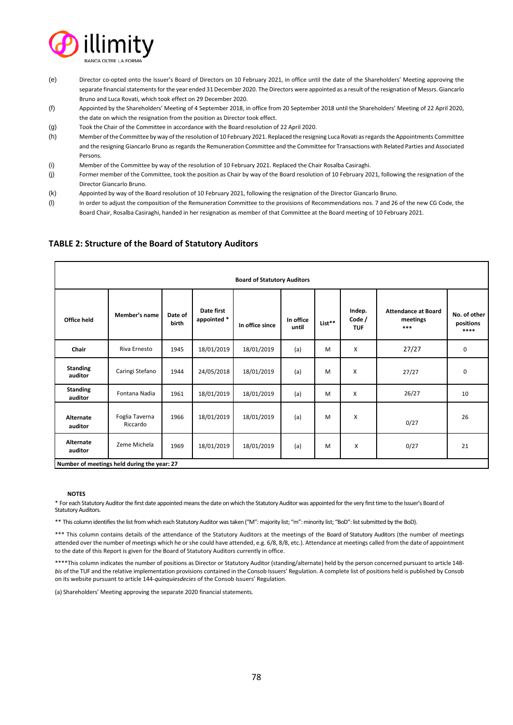

- (e) Director co-opted onto the Issuer's Board of Directors on 10 February 2021, in office until the date of the Shareholders' Meeting approving the separate financial statements for the year ended 31 December 2020. The Directors were appointed as a result of the resignation of Messrs. Giancarlo Bruno and Luca Rovati, which took effect on 29 December 2020.
- (f) Appointed by the Shareholders' Meeting of 4 September 2018, in office from 20 September 2018 until the Shareholders' Meeting of 22 April 2020, the date on which the resignation from the position as Director took effect.
- (g) Took the Chair of the Committee in accordance with the Board resolution of 22 April 2020.
- (h) Member of the Committee by way of the resolution of 10 February 2021. Replaced the resigning Luca Rovati as regards the Appointments Committee and the resigning Giancarlo Bruno as regards the Remuneration Committee and the Committee for Transactions with Related Parties and Associated Persons.
- (i) Member of the Committee by way of the resolution of 10 February 2021. Replaced the Chair Rosalba Casiraghi.
- (j) Former member of the Committee, took the position as Chair by way of the Board resolution of 10 February 2021, following the resignation of the Director Giancarlo Bruno.
- (k) Appointed by way of the Board resolution of 10 February 2021, following the resignation of the Director Giancarlo Bruno.
- (l) In order to adjust the composition of the Remuneration Committee to the provisions of Recommendations nos. 7 and 26 of the new CG Code, the Board Chair, Rosalba Casiraghi, handed in her resignation as member of that Committee at the Board meeting of 10 February 2021.

| <b>Board of Statutory Auditors</b>          |                            |                  |                           |                 |                    |        |                                |                                               |                                   |  |
|---------------------------------------------|----------------------------|------------------|---------------------------|-----------------|--------------------|--------|--------------------------------|-----------------------------------------------|-----------------------------------|--|
| Office held                                 | Member's name              | Date of<br>birth | Date first<br>appointed * | In office since | In office<br>until | List** | Indep.<br>Code /<br><b>TUF</b> | <b>Attendance at Board</b><br>meetings<br>*** | No. of other<br>positions<br>**** |  |
| Chair                                       | Riva Ernesto               | 1945             | 18/01/2019                | 18/01/2019      | (a)                | M      | X                              | 27/27                                         | 0                                 |  |
| <b>Standing</b><br>auditor                  | Caringi Stefano            | 1944             | 24/05/2018                | 18/01/2019      | (a)                | M      | X                              | 27/27                                         | 0                                 |  |
| <b>Standing</b><br>auditor                  | Fontana Nadia              | 1961             | 18/01/2019                | 18/01/2019      | (a)                | M      | X                              | 26/27                                         | 10                                |  |
| Alternate<br>auditor                        | Foglia Taverna<br>Riccardo | 1966             | 18/01/2019                | 18/01/2019      | (a)                | M      | X                              | 0/27                                          | 26                                |  |
| Alternate<br>auditor                        | Zeme Michela               | 1969             | 18/01/2019                | 18/01/2019      | (a)                | M      | X                              | 0/27                                          | 21                                |  |
| Number of meetings held during the year: 27 |                            |                  |                           |                 |                    |        |                                |                                               |                                   |  |

### **TABLE 2: Structure of the Board of Statutory Auditors**

#### **NOTES**

\* For each Statutory Auditor the first date appointed means the date on which the Statutory Auditorwas appointed for the very first time to the Issuer's Board of Statutory Auditors.

\*\* This column identifies the list from which each Statutory Auditor was taken ("M": majority list; "m": minority list; "BoD": list submitted by the BoD).

\*\*\* This column contains details of the attendance of the Statutory Auditors at the meetings of the Board of Statutory Auditors (the number of meetings attended over the number of meetings which he or she could have attended, e.g. 6/8, 8/8, etc.). Attendance at meetings called from the date of appointment to the date of this Report is given for the Board of Statutory Auditors currently in office.

\*\*\*\*This column indicates the number of positions as Director or Statutory Auditor (standing/alternate) held by the person concerned pursuant to article 148*bis* of the TUF and the relative implementation provisions contained in the Consob Issuers' Regulation. A complete list of positions held is published by Consob on its website pursuant to article 144-*quinquiesdecies* of the Consob Issuers' Regulation.

(a) Shareholders' Meeting approving the separate 2020 financial statements.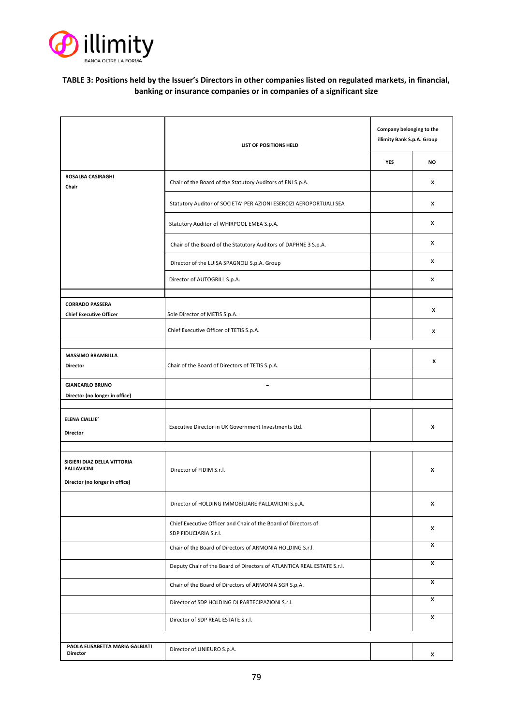

## **TABLE 3: Positions held by the Issuer's Directors in other companies listed on regulated markets, in financial, banking or insurance companies or in companies of a significant size**

|                                                                                     | LIST OF POSITIONS HELD                                                                  | Company belonging to the<br>illimity Bank S.p.A. Group |    |  |
|-------------------------------------------------------------------------------------|-----------------------------------------------------------------------------------------|--------------------------------------------------------|----|--|
|                                                                                     |                                                                                         | <b>YES</b>                                             | NO |  |
| ROSALBA CASIRAGHI<br>Chair                                                          | Chair of the Board of the Statutory Auditors of ENI S.p.A.                              |                                                        | X  |  |
|                                                                                     | Statutory Auditor of SOCIETA' PER AZIONI ESERCIZI AEROPORTUALI SEA                      |                                                        | X  |  |
|                                                                                     | Statutory Auditor of WHIRPOOL EMEA S.p.A.                                               |                                                        | X  |  |
|                                                                                     | Chair of the Board of the Statutory Auditors of DAPHNE 3 S.p.A.                         |                                                        | X  |  |
|                                                                                     | Director of the LUISA SPAGNOLI S.p.A. Group                                             |                                                        | x  |  |
|                                                                                     | Director of AUTOGRILL S.p.A.                                                            |                                                        | x  |  |
| <b>CORRADO PASSERA</b>                                                              |                                                                                         |                                                        | X  |  |
| <b>Chief Executive Officer</b>                                                      | Sole Director of METIS S.p.A.<br>Chief Executive Officer of TETIS S.p.A.                |                                                        | x  |  |
|                                                                                     |                                                                                         |                                                        |    |  |
| <b>MASSIMO BRAMBILLA</b><br><b>Director</b>                                         | Chair of the Board of Directors of TETIS S.p.A.                                         |                                                        | x  |  |
| <b>GIANCARLO BRUNO</b>                                                              | -                                                                                       |                                                        |    |  |
| Director (no longer in office)                                                      |                                                                                         |                                                        |    |  |
| <b>ELENA CIALLIE'</b><br><b>Director</b>                                            | Executive Director in UK Government Investments Ltd.                                    |                                                        | x  |  |
|                                                                                     |                                                                                         |                                                        |    |  |
| SIGIERI DIAZ DELLA VITTORIA<br><b>PALLAVICINI</b><br>Director (no longer in office) | Director of FIDIM S.r.l.                                                                |                                                        | x  |  |
|                                                                                     | Director of HOLDING IMMOBILIARE PALLAVICINI S.p.A.                                      |                                                        | x  |  |
|                                                                                     | Chief Executive Officer and Chair of the Board of Directors of<br>SDP FIDUCIARIA S.r.l. |                                                        | x  |  |
|                                                                                     | Chair of the Board of Directors of ARMONIA HOLDING S.r.l.                               |                                                        | X  |  |
|                                                                                     | Deputy Chair of the Board of Directors of ATLANTICA REAL ESTATE S.r.l.                  |                                                        | x  |  |
|                                                                                     | Chair of the Board of Directors of ARMONIA SGR S.p.A.                                   |                                                        | x  |  |
|                                                                                     | Director of SDP HOLDING DI PARTECIPAZIONI S.r.l.                                        |                                                        | x  |  |
|                                                                                     | Director of SDP REAL ESTATE S.r.l.                                                      |                                                        | X  |  |
|                                                                                     |                                                                                         |                                                        |    |  |
| PAOLA ELISABETTA MARIA GALBIATI<br><b>Director</b>                                  | Director of UNIEURO S.p.A.                                                              |                                                        | x  |  |